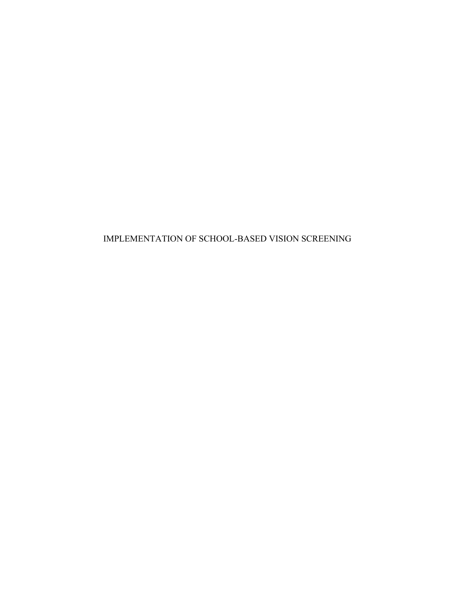IMPLEMENTATION OF SCHOOL-BASED VISION SCREENING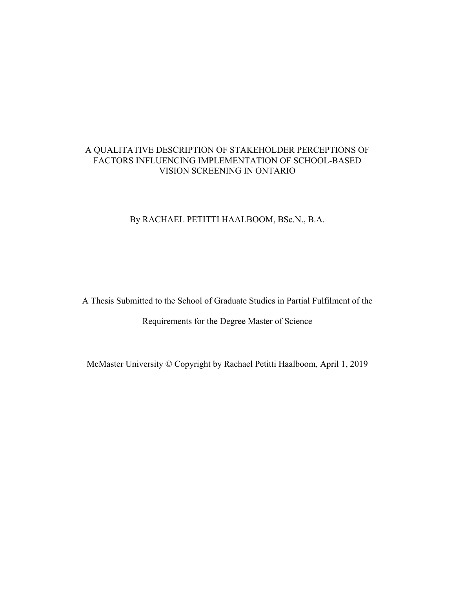## A QUALITATIVE DESCRIPTION OF STAKEHOLDER PERCEPTIONS OF FACTORS INFLUENCING IMPLEMENTATION OF SCHOOL-BASED VISION SCREENING IN ONTARIO

## By RACHAEL PETITTI HAALBOOM, BSc.N., B.A.

A Thesis Submitted to the School of Graduate Studies in Partial Fulfilment of the

Requirements for the Degree Master of Science

McMaster University © Copyright by Rachael Petitti Haalboom, April 1, 2019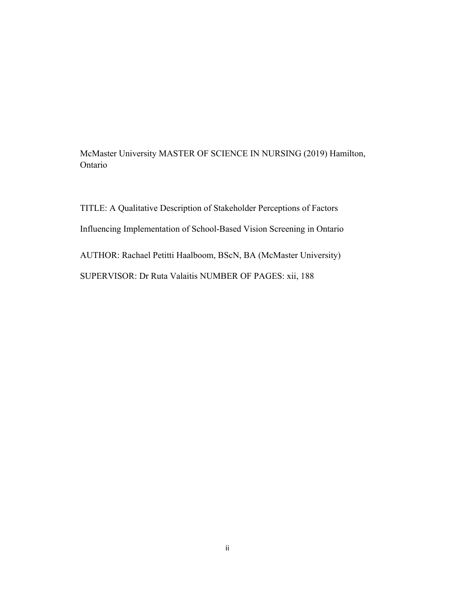McMaster University MASTER OF SCIENCE IN NURSING (2019) Hamilton, Ontario

TITLE: A Qualitative Description of Stakeholder Perceptions of Factors Influencing Implementation of School-Based Vision Screening in Ontario AUTHOR: Rachael Petitti Haalboom, BScN, BA (McMaster University) SUPERVISOR: Dr Ruta Valaitis NUMBER OF PAGES: xii, 188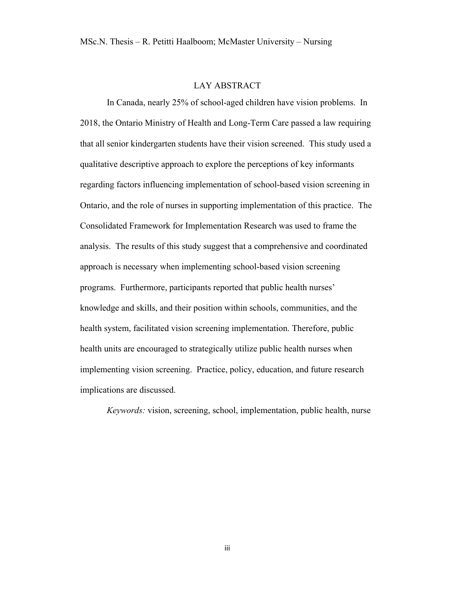## LAY ABSTRACT

In Canada, nearly 25% of school-aged children have vision problems. In 2018, the Ontario Ministry of Health and Long-Term Care passed a law requiring that all senior kindergarten students have their vision screened. This study used a qualitative descriptive approach to explore the perceptions of key informants regarding factors influencing implementation of school-based vision screening in Ontario, and the role of nurses in supporting implementation of this practice. The Consolidated Framework for Implementation Research was used to frame the analysis. The results of this study suggest that a comprehensive and coordinated approach is necessary when implementing school-based vision screening programs. Furthermore, participants reported that public health nurses' knowledge and skills, and their position within schools, communities, and the health system, facilitated vision screening implementation. Therefore, public health units are encouraged to strategically utilize public health nurses when implementing vision screening. Practice, policy, education, and future research implications are discussed.

*Keywords:* vision, screening, school, implementation, public health, nurse

iii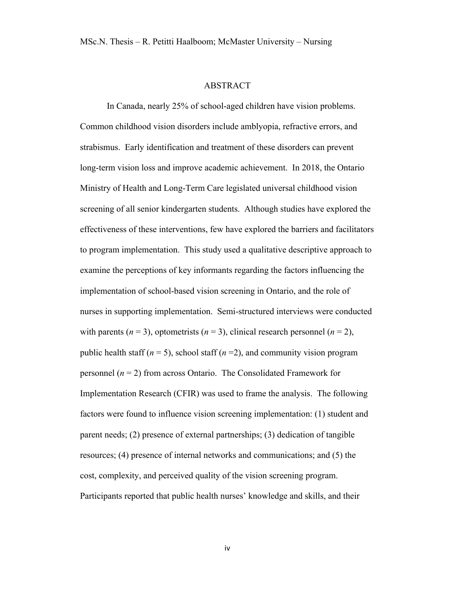#### ABSTRACT

In Canada, nearly 25% of school-aged children have vision problems. Common childhood vision disorders include amblyopia, refractive errors, and strabismus. Early identification and treatment of these disorders can prevent long-term vision loss and improve academic achievement. In 2018, the Ontario Ministry of Health and Long-Term Care legislated universal childhood vision screening of all senior kindergarten students. Although studies have explored the effectiveness of these interventions, few have explored the barriers and facilitators to program implementation. This study used a qualitative descriptive approach to examine the perceptions of key informants regarding the factors influencing the implementation of school-based vision screening in Ontario, and the role of nurses in supporting implementation. Semi-structured interviews were conducted with parents  $(n = 3)$ , optometrists  $(n = 3)$ , clinical research personnel  $(n = 2)$ , public health staff ( $n = 5$ ), school staff ( $n = 2$ ), and community vision program personnel  $(n = 2)$  from across Ontario. The Consolidated Framework for Implementation Research (CFIR) was used to frame the analysis. The following factors were found to influence vision screening implementation: (1) student and parent needs; (2) presence of external partnerships; (3) dedication of tangible resources; (4) presence of internal networks and communications; and (5) the cost, complexity, and perceived quality of the vision screening program. Participants reported that public health nurses' knowledge and skills, and their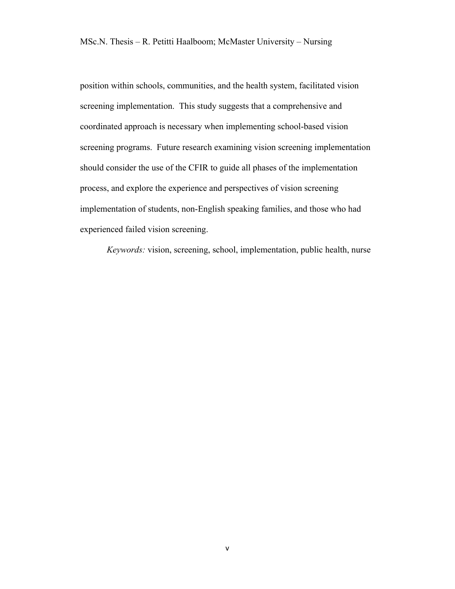position within schools, communities, and the health system, facilitated vision screening implementation. This study suggests that a comprehensive and coordinated approach is necessary when implementing school-based vision screening programs. Future research examining vision screening implementation should consider the use of the CFIR to guide all phases of the implementation process, and explore the experience and perspectives of vision screening implementation of students, non-English speaking families, and those who had experienced failed vision screening.

*Keywords:* vision, screening, school, implementation, public health, nurse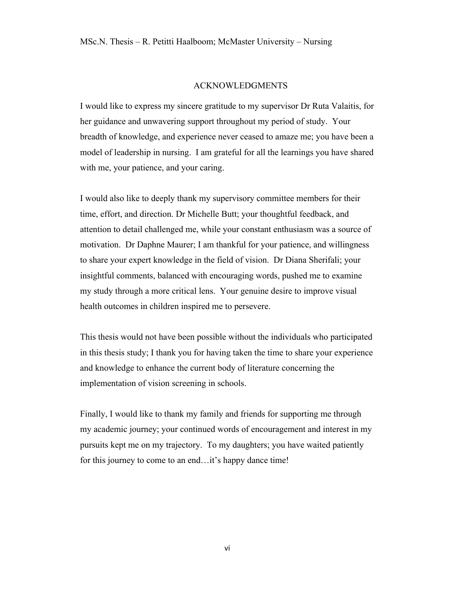#### ACKNOWLEDGMENTS

I would like to express my sincere gratitude to my supervisor Dr Ruta Valaitis, for her guidance and unwavering support throughout my period of study. Your breadth of knowledge, and experience never ceased to amaze me; you have been a model of leadership in nursing. I am grateful for all the learnings you have shared with me, your patience, and your caring.

I would also like to deeply thank my supervisory committee members for their time, effort, and direction. Dr Michelle Butt; your thoughtful feedback, and attention to detail challenged me, while your constant enthusiasm was a source of motivation. Dr Daphne Maurer; I am thankful for your patience, and willingness to share your expert knowledge in the field of vision. Dr Diana Sherifali; your insightful comments, balanced with encouraging words, pushed me to examine my study through a more critical lens. Your genuine desire to improve visual health outcomes in children inspired me to persevere.

This thesis would not have been possible without the individuals who participated in this thesis study; I thank you for having taken the time to share your experience and knowledge to enhance the current body of literature concerning the implementation of vision screening in schools.

Finally, I would like to thank my family and friends for supporting me through my academic journey; your continued words of encouragement and interest in my pursuits kept me on my trajectory. To my daughters; you have waited patiently for this journey to come to an end... it's happy dance time!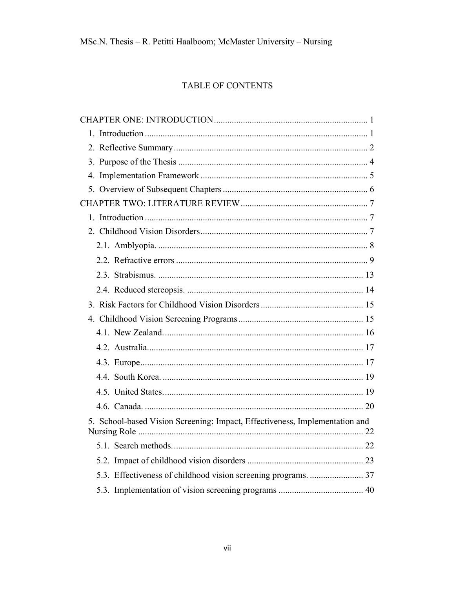# TABLE OF CONTENTS

| 5. School-based Vision Screening: Impact, Effectiveness, Implementation and |
|-----------------------------------------------------------------------------|
|                                                                             |
|                                                                             |
|                                                                             |
|                                                                             |
|                                                                             |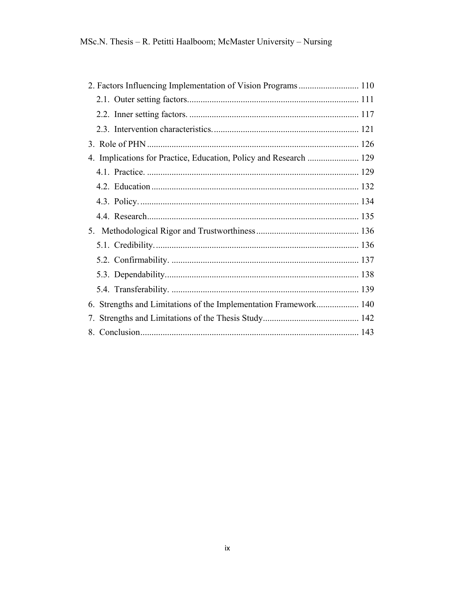| 4. Implications for Practice, Education, Policy and Research  129 |
|-------------------------------------------------------------------|
|                                                                   |
|                                                                   |
|                                                                   |
|                                                                   |
|                                                                   |
|                                                                   |
|                                                                   |
|                                                                   |
|                                                                   |
| 6. Strengths and Limitations of the Implementation Framework 140  |
|                                                                   |
|                                                                   |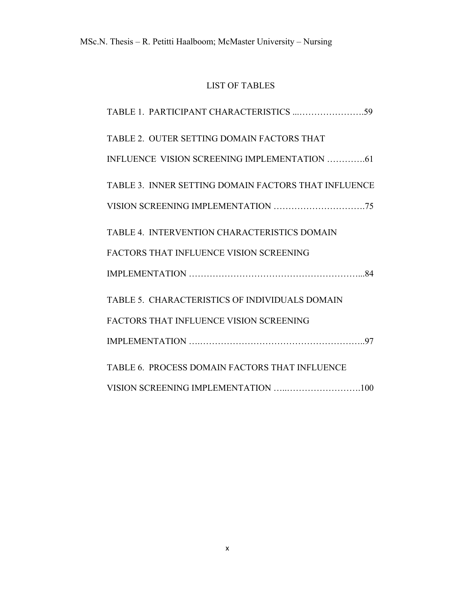# LIST OF TABLES

| TABLE 2. OUTER SETTING DOMAIN FACTORS THAT           |
|------------------------------------------------------|
| INFLUENCE VISION SCREENING IMPLEMENTATION 61         |
| TABLE 3. INNER SETTING DOMAIN FACTORS THAT INFLUENCE |
|                                                      |
| TABLE 4. INTERVENTION CHARACTERISTICS DOMAIN         |
| <b>FACTORS THAT INFLUENCE VISION SCREENING</b>       |
|                                                      |
| TABLE 5. CHARACTERISTICS OF INDIVIDUALS DOMAIN       |
| <b>FACTORS THAT INFLUENCE VISION SCREENING</b>       |
|                                                      |
| TABLE 6. PROCESS DOMAIN FACTORS THAT INFLUENCE       |
| VISION SCREENING IMPLEMENTATION 100                  |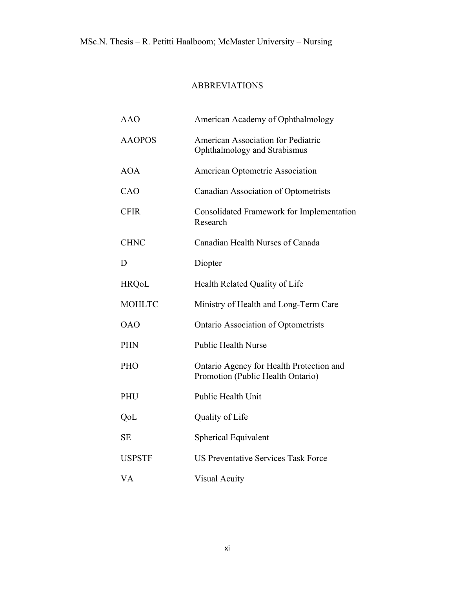## ABBREVIATIONS

| <b>AAO</b>    | American Academy of Ophthalmology                                             |
|---------------|-------------------------------------------------------------------------------|
| <b>AAOPOS</b> | <b>American Association for Pediatric</b><br>Ophthalmology and Strabismus     |
| <b>AOA</b>    | American Optometric Association                                               |
| CAO           | Canadian Association of Optometrists                                          |
| <b>CFIR</b>   | Consolidated Framework for Implementation<br>Research                         |
| <b>CHNC</b>   | Canadian Health Nurses of Canada                                              |
| D             | Diopter                                                                       |
| <b>HRQoL</b>  | Health Related Quality of Life                                                |
| <b>MOHLTC</b> | Ministry of Health and Long-Term Care                                         |
| <b>OAO</b>    | <b>Ontario Association of Optometrists</b>                                    |
| <b>PHN</b>    | <b>Public Health Nurse</b>                                                    |
| PHO           | Ontario Agency for Health Protection and<br>Promotion (Public Health Ontario) |
| PHU           | Public Health Unit                                                            |
| QoL           | Quality of Life                                                               |
| <b>SE</b>     | <b>Spherical Equivalent</b>                                                   |
| <b>USPSTF</b> | <b>US Preventative Services Task Force</b>                                    |
| VA            | <b>Visual Acuity</b>                                                          |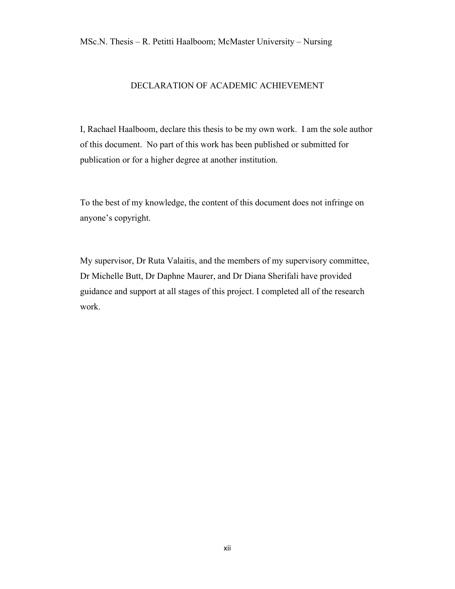MSc.N. Thesis – R. Petitti Haalboom; McMaster University – Nursing

## DECLARATION OF ACADEMIC ACHIEVEMENT

I, Rachael Haalboom, declare this thesis to be my own work. I am the sole author of this document. No part of this work has been published or submitted for publication or for a higher degree at another institution.

To the best of my knowledge, the content of this document does not infringe on anyone's copyright.

My supervisor, Dr Ruta Valaitis, and the members of my supervisory committee, Dr Michelle Butt, Dr Daphne Maurer, and Dr Diana Sherifali have provided guidance and support at all stages of this project. I completed all of the research work.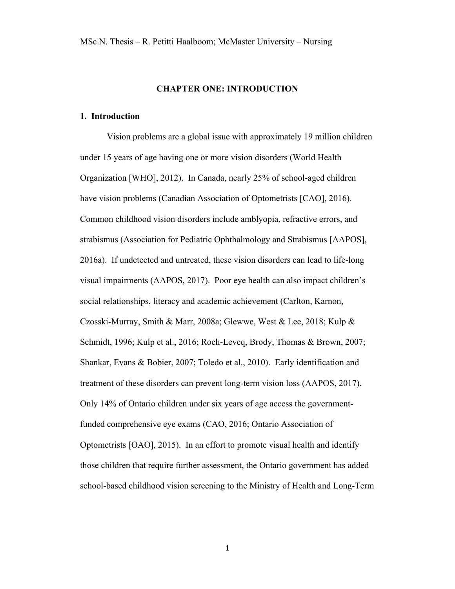#### **CHAPTER ONE: INTRODUCTION**

#### **1. Introduction**

Vision problems are a global issue with approximately 19 million children under 15 years of age having one or more vision disorders (World Health Organization [WHO], 2012). In Canada, nearly 25% of school-aged children have vision problems (Canadian Association of Optometrists [CAO], 2016). Common childhood vision disorders include amblyopia, refractive errors, and strabismus (Association for Pediatric Ophthalmology and Strabismus [AAPOS], 2016a). If undetected and untreated, these vision disorders can lead to life-long visual impairments (AAPOS, 2017). Poor eye health can also impact children's social relationships, literacy and academic achievement (Carlton, Karnon, Czosski-Murray, Smith & Marr, 2008a; Glewwe, West & Lee, 2018; Kulp & Schmidt, 1996; Kulp et al., 2016; Roch-Levcq, Brody, Thomas & Brown, 2007; Shankar, Evans & Bobier, 2007; Toledo et al., 2010). Early identification and treatment of these disorders can prevent long-term vision loss (AAPOS, 2017). Only 14% of Ontario children under six years of age access the governmentfunded comprehensive eye exams (CAO, 2016; Ontario Association of Optometrists [OAO], 2015). In an effort to promote visual health and identify those children that require further assessment, the Ontario government has added school-based childhood vision screening to the Ministry of Health and Long-Term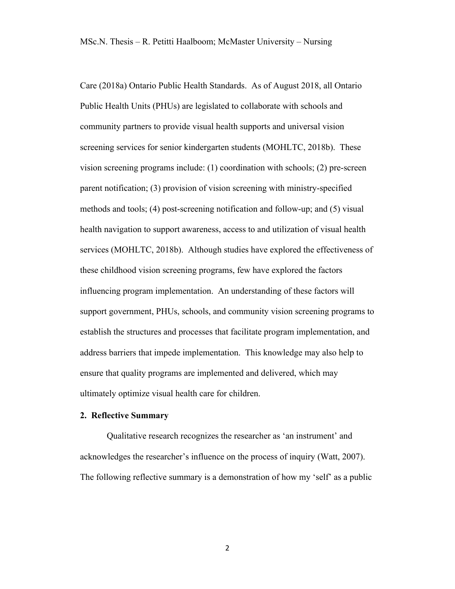Care (2018a) Ontario Public Health Standards. As of August 2018, all Ontario Public Health Units (PHUs) are legislated to collaborate with schools and community partners to provide visual health supports and universal vision screening services for senior kindergarten students (MOHLTC, 2018b). These vision screening programs include: (1) coordination with schools; (2) pre-screen parent notification; (3) provision of vision screening with ministry-specified methods and tools; (4) post-screening notification and follow-up; and (5) visual health navigation to support awareness, access to and utilization of visual health services (MOHLTC, 2018b). Although studies have explored the effectiveness of these childhood vision screening programs, few have explored the factors influencing program implementation. An understanding of these factors will support government, PHUs, schools, and community vision screening programs to establish the structures and processes that facilitate program implementation, and address barriers that impede implementation. This knowledge may also help to ensure that quality programs are implemented and delivered, which may ultimately optimize visual health care for children.

#### **2. Reflective Summary**

Qualitative research recognizes the researcher as 'an instrument' and acknowledges the researcher's influence on the process of inquiry (Watt, 2007). The following reflective summary is a demonstration of how my 'self' as a public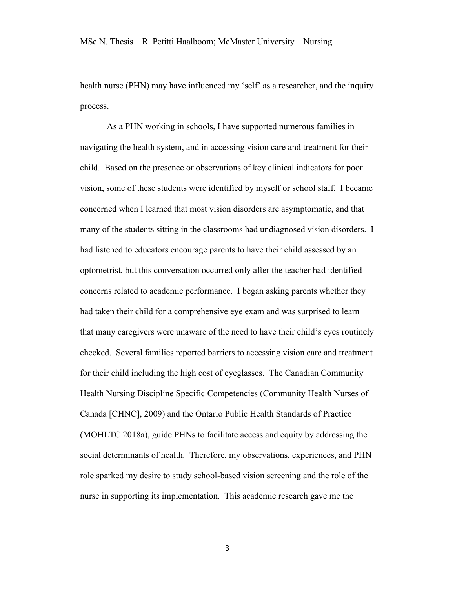health nurse (PHN) may have influenced my 'self' as a researcher, and the inquiry process.

As a PHN working in schools, I have supported numerous families in navigating the health system, and in accessing vision care and treatment for their child. Based on the presence or observations of key clinical indicators for poor vision, some of these students were identified by myself or school staff. I became concerned when I learned that most vision disorders are asymptomatic, and that many of the students sitting in the classrooms had undiagnosed vision disorders. I had listened to educators encourage parents to have their child assessed by an optometrist, but this conversation occurred only after the teacher had identified concerns related to academic performance. I began asking parents whether they had taken their child for a comprehensive eye exam and was surprised to learn that many caregivers were unaware of the need to have their child's eyes routinely checked. Several families reported barriers to accessing vision care and treatment for their child including the high cost of eyeglasses. The Canadian Community Health Nursing Discipline Specific Competencies (Community Health Nurses of Canada [CHNC], 2009) and the Ontario Public Health Standards of Practice (MOHLTC 2018a), guide PHNs to facilitate access and equity by addressing the social determinants of health. Therefore, my observations, experiences, and PHN role sparked my desire to study school-based vision screening and the role of the nurse in supporting its implementation. This academic research gave me the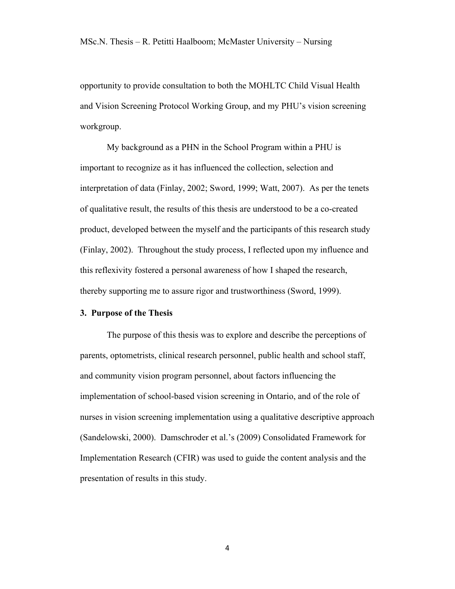opportunity to provide consultation to both the MOHLTC Child Visual Health and Vision Screening Protocol Working Group, and my PHU's vision screening workgroup.

My background as a PHN in the School Program within a PHU is important to recognize as it has influenced the collection, selection and interpretation of data (Finlay, 2002; Sword, 1999; Watt, 2007). As per the tenets of qualitative result, the results of this thesis are understood to be a co-created product, developed between the myself and the participants of this research study (Finlay, 2002). Throughout the study process, I reflected upon my influence and this reflexivity fostered a personal awareness of how I shaped the research, thereby supporting me to assure rigor and trustworthiness (Sword, 1999).

#### **3. Purpose of the Thesis**

The purpose of this thesis was to explore and describe the perceptions of parents, optometrists, clinical research personnel, public health and school staff, and community vision program personnel, about factors influencing the implementation of school-based vision screening in Ontario, and of the role of nurses in vision screening implementation using a qualitative descriptive approach (Sandelowski, 2000). Damschroder et al.'s (2009) Consolidated Framework for Implementation Research (CFIR) was used to guide the content analysis and the presentation of results in this study.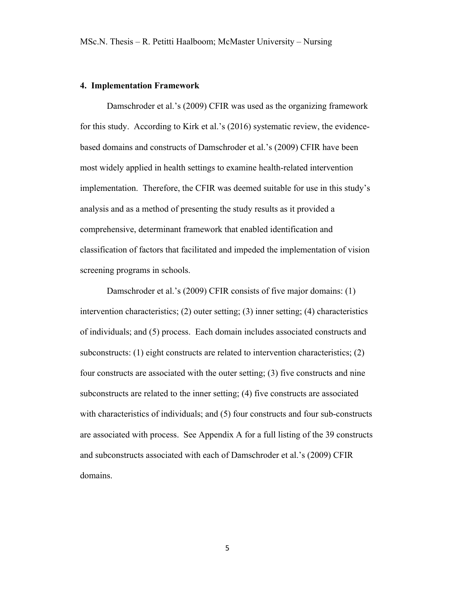#### **4. Implementation Framework**

Damschroder et al.'s (2009) CFIR was used as the organizing framework for this study. According to Kirk et al.'s (2016) systematic review, the evidencebased domains and constructs of Damschroder et al.'s (2009) CFIR have been most widely applied in health settings to examine health-related intervention implementation. Therefore, the CFIR was deemed suitable for use in this study's analysis and as a method of presenting the study results as it provided a comprehensive, determinant framework that enabled identification and classification of factors that facilitated and impeded the implementation of vision screening programs in schools.

Damschroder et al.'s (2009) CFIR consists of five major domains: (1) intervention characteristics; (2) outer setting; (3) inner setting; (4) characteristics of individuals; and (5) process. Each domain includes associated constructs and subconstructs: (1) eight constructs are related to intervention characteristics; (2) four constructs are associated with the outer setting; (3) five constructs and nine subconstructs are related to the inner setting; (4) five constructs are associated with characteristics of individuals; and (5) four constructs and four sub-constructs are associated with process. See Appendix A for a full listing of the 39 constructs and subconstructs associated with each of Damschroder et al.'s (2009) CFIR domains.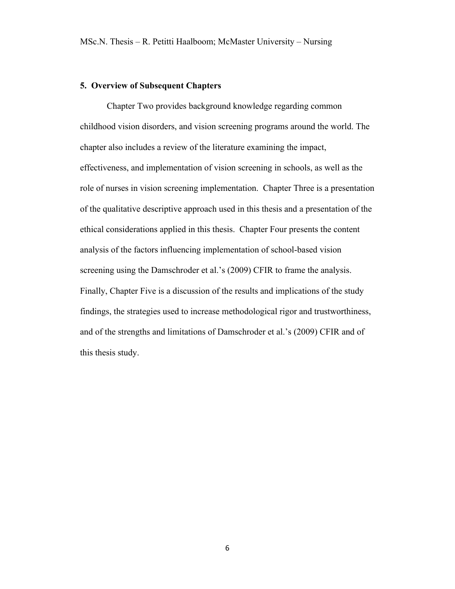### **5. Overview of Subsequent Chapters**

Chapter Two provides background knowledge regarding common childhood vision disorders, and vision screening programs around the world. The chapter also includes a review of the literature examining the impact, effectiveness, and implementation of vision screening in schools, as well as the role of nurses in vision screening implementation. Chapter Three is a presentation of the qualitative descriptive approach used in this thesis and a presentation of the ethical considerations applied in this thesis. Chapter Four presents the content analysis of the factors influencing implementation of school-based vision screening using the Damschroder et al.'s (2009) CFIR to frame the analysis. Finally, Chapter Five is a discussion of the results and implications of the study findings, the strategies used to increase methodological rigor and trustworthiness, and of the strengths and limitations of Damschroder et al.'s (2009) CFIR and of this thesis study.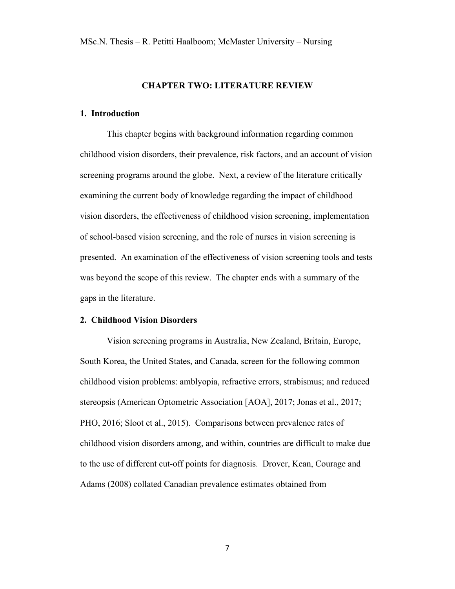## **CHAPTER TWO: LITERATURE REVIEW**

#### **1. Introduction**

This chapter begins with background information regarding common childhood vision disorders, their prevalence, risk factors, and an account of vision screening programs around the globe. Next, a review of the literature critically examining the current body of knowledge regarding the impact of childhood vision disorders, the effectiveness of childhood vision screening, implementation of school-based vision screening, and the role of nurses in vision screening is presented. An examination of the effectiveness of vision screening tools and tests was beyond the scope of this review. The chapter ends with a summary of the gaps in the literature.

#### **2. Childhood Vision Disorders**

Vision screening programs in Australia, New Zealand, Britain, Europe, South Korea, the United States, and Canada, screen for the following common childhood vision problems: amblyopia, refractive errors, strabismus; and reduced stereopsis (American Optometric Association [AOA], 2017; Jonas et al., 2017; PHO, 2016; Sloot et al., 2015). Comparisons between prevalence rates of childhood vision disorders among, and within, countries are difficult to make due to the use of different cut-off points for diagnosis. Drover, Kean, Courage and Adams (2008) collated Canadian prevalence estimates obtained from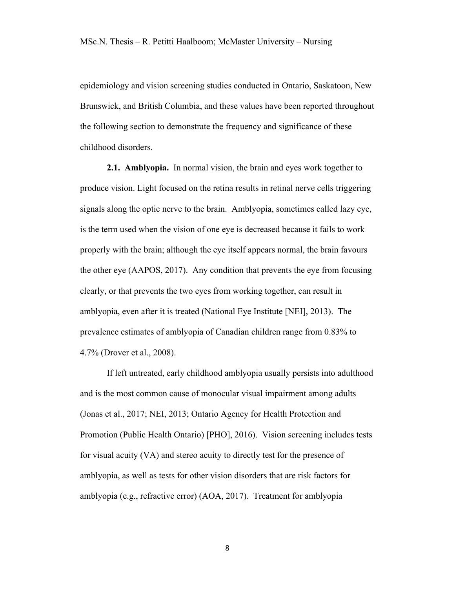epidemiology and vision screening studies conducted in Ontario, Saskatoon, New Brunswick, and British Columbia, and these values have been reported throughout the following section to demonstrate the frequency and significance of these childhood disorders.

**2.1. Amblyopia.** In normal vision, the brain and eyes work together to produce vision. Light focused on the retina results in retinal nerve cells triggering signals along the optic nerve to the brain. Amblyopia, sometimes called lazy eye, is the term used when the vision of one eye is decreased because it fails to work properly with the brain; although the eye itself appears normal, the brain favours the other eye (AAPOS, 2017). Any condition that prevents the eye from focusing clearly, or that prevents the two eyes from working together, can result in amblyopia, even after it is treated (National Eye Institute [NEI], 2013). The prevalence estimates of amblyopia of Canadian children range from 0.83% to 4.7% (Drover et al., 2008).

If left untreated, early childhood amblyopia usually persists into adulthood and is the most common cause of monocular visual impairment among adults (Jonas et al., 2017; NEI, 2013; Ontario Agency for Health Protection and Promotion (Public Health Ontario) [PHO], 2016). Vision screening includes tests for visual acuity (VA) and stereo acuity to directly test for the presence of amblyopia, as well as tests for other vision disorders that are risk factors for amblyopia (e.g., refractive error) (AOA, 2017). Treatment for amblyopia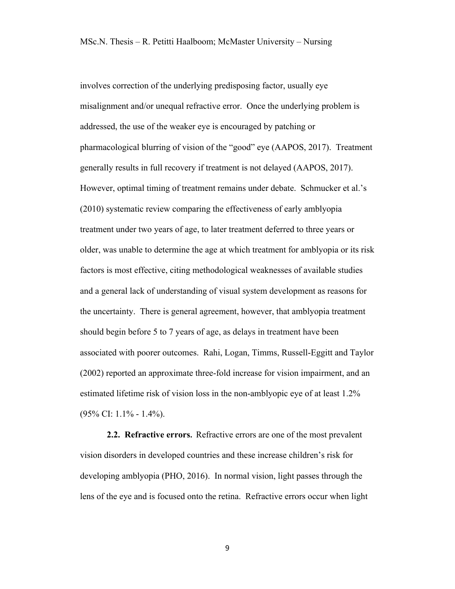involves correction of the underlying predisposing factor, usually eye misalignment and/or unequal refractive error. Once the underlying problem is addressed, the use of the weaker eye is encouraged by patching or pharmacological blurring of vision of the "good" eye (AAPOS, 2017). Treatment generally results in full recovery if treatment is not delayed (AAPOS, 2017). However, optimal timing of treatment remains under debate. Schmucker et al.'s (2010) systematic review comparing the effectiveness of early amblyopia treatment under two years of age, to later treatment deferred to three years or older, was unable to determine the age at which treatment for amblyopia or its risk factors is most effective, citing methodological weaknesses of available studies and a general lack of understanding of visual system development as reasons for the uncertainty. There is general agreement, however, that amblyopia treatment should begin before 5 to 7 years of age, as delays in treatment have been associated with poorer outcomes. Rahi, Logan, Timms, Russell-Eggitt and Taylor (2002) reported an approximate three-fold increase for vision impairment, and an estimated lifetime risk of vision loss in the non-amblyopic eye of at least 1.2% (95% CI: 1.1% - 1.4%).

**2.2. Refractive errors.** Refractive errors are one of the most prevalent vision disorders in developed countries and these increase children's risk for developing amblyopia (PHO, 2016). In normal vision, light passes through the lens of the eye and is focused onto the retina. Refractive errors occur when light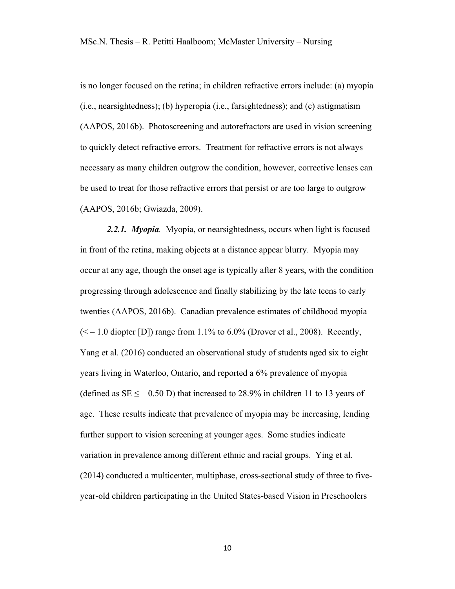is no longer focused on the retina; in children refractive errors include: (a) myopia (i.e., nearsightedness); (b) hyperopia (i.e., farsightedness); and (c) astigmatism (AAPOS, 2016b). Photoscreening and autorefractors are used in vision screening to quickly detect refractive errors. Treatment for refractive errors is not always necessary as many children outgrow the condition, however, corrective lenses can be used to treat for those refractive errors that persist or are too large to outgrow (AAPOS, 2016b; Gwiazda, 2009).

*2.2.1. Myopia.* Myopia, or nearsightedness, occurs when light is focused in front of the retina, making objects at a distance appear blurry. Myopia may occur at any age, though the onset age is typically after 8 years, with the condition progressing through adolescence and finally stabilizing by the late teens to early twenties (AAPOS, 2016b). Canadian prevalence estimates of childhood myopia  $(< -1.0$  diopter [D]) range from 1.1% to 6.0% (Drover et al., 2008). Recently, Yang et al. (2016) conducted an observational study of students aged six to eight years living in Waterloo, Ontario, and reported a 6% prevalence of myopia (defined as  $SE \le -0.50$  D) that increased to 28.9% in children 11 to 13 years of age. These results indicate that prevalence of myopia may be increasing, lending further support to vision screening at younger ages. Some studies indicate variation in prevalence among different ethnic and racial groups. Ying et al. (2014) conducted a multicenter, multiphase, cross-sectional study of three to fiveyear-old children participating in the United States-based Vision in Preschoolers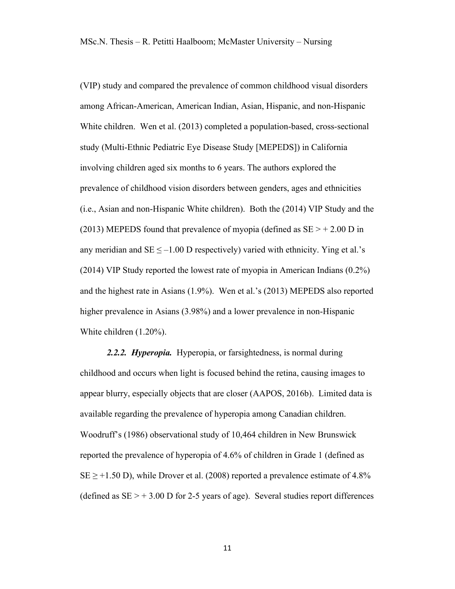(VIP) study and compared the prevalence of common childhood visual disorders among African-American, American Indian, Asian, Hispanic, and non-Hispanic White children. Wen et al. (2013) completed a population-based, cross-sectional study (Multi-Ethnic Pediatric Eye Disease Study [MEPEDS]) in California involving children aged six months to 6 years. The authors explored the prevalence of childhood vision disorders between genders, ages and ethnicities (i.e., Asian and non-Hispanic White children). Both the (2014) VIP Study and the (2013) MEPEDS found that prevalence of myopia (defined as  $SE > + 2.00$  D in any meridian and  $SE \le -1.00$  D respectively) varied with ethnicity. Ying et al.'s (2014) VIP Study reported the lowest rate of myopia in American Indians (0.2%) and the highest rate in Asians (1.9%). Wen et al.'s (2013) MEPEDS also reported higher prevalence in Asians (3.98%) and a lower prevalence in non-Hispanic White children (1.20%).

*2.2.2. Hyperopia.* Hyperopia, or farsightedness, is normal during childhood and occurs when light is focused behind the retina, causing images to appear blurry, especially objects that are closer (AAPOS, 2016b). Limited data is available regarding the prevalence of hyperopia among Canadian children. Woodruff's (1986) observational study of 10,464 children in New Brunswick reported the prevalence of hyperopia of 4.6% of children in Grade 1 (defined as  $SE \geq +1.50$  D), while Drover et al. (2008) reported a prevalence estimate of 4.8% (defined as  $SE$  > + 3.00 D for 2-5 years of age). Several studies report differences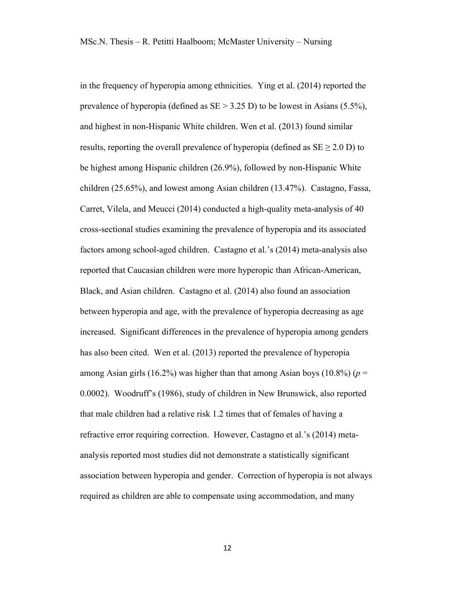in the frequency of hyperopia among ethnicities. Ying et al. (2014) reported the prevalence of hyperopia (defined as SE > 3.25 D) to be lowest in Asians (5.5%), and highest in non-Hispanic White children. Wen et al. (2013) found similar results, reporting the overall prevalence of hyperopia (defined as  $SE \geq 2.0$  D) to be highest among Hispanic children (26.9%), followed by non-Hispanic White children (25.65%), and lowest among Asian children (13.47%). Castagno, Fassa, Carret, Vilela, and Meucci (2014) conducted a high-quality meta-analysis of 40 cross-sectional studies examining the prevalence of hyperopia and its associated factors among school-aged children. Castagno et al.'s (2014) meta-analysis also reported that Caucasian children were more hyperopic than African-American, Black, and Asian children. Castagno et al. (2014) also found an association between hyperopia and age, with the prevalence of hyperopia decreasing as age increased. Significant differences in the prevalence of hyperopia among genders has also been cited. Wen et al. (2013) reported the prevalence of hyperopia among Asian girls (16.2%) was higher than that among Asian boys (10.8%) ( $p =$ 0.0002). Woodruff's (1986), study of children in New Brunswick, also reported that male children had a relative risk 1.2 times that of females of having a refractive error requiring correction. However, Castagno et al.'s (2014) metaanalysis reported most studies did not demonstrate a statistically significant association between hyperopia and gender. Correction of hyperopia is not always required as children are able to compensate using accommodation, and many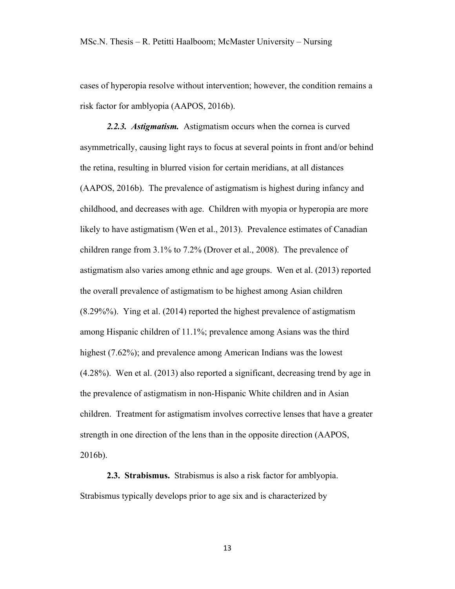cases of hyperopia resolve without intervention; however, the condition remains a risk factor for amblyopia (AAPOS, 2016b).

*2.2.3. Astigmatism.* Astigmatism occurs when the cornea is curved asymmetrically, causing light rays to focus at several points in front and/or behind the retina, resulting in blurred vision for certain meridians, at all distances (AAPOS, 2016b). The prevalence of astigmatism is highest during infancy and childhood, and decreases with age. Children with myopia or hyperopia are more likely to have astigmatism (Wen et al., 2013). Prevalence estimates of Canadian children range from 3.1% to 7.2% (Drover et al., 2008). The prevalence of astigmatism also varies among ethnic and age groups. Wen et al. (2013) reported the overall prevalence of astigmatism to be highest among Asian children (8.29%%). Ying et al. (2014) reported the highest prevalence of astigmatism among Hispanic children of 11.1%; prevalence among Asians was the third highest (7.62%); and prevalence among American Indians was the lowest (4.28%). Wen et al. (2013) also reported a significant, decreasing trend by age in the prevalence of astigmatism in non-Hispanic White children and in Asian children. Treatment for astigmatism involves corrective lenses that have a greater strength in one direction of the lens than in the opposite direction (AAPOS, 2016b).

**2.3. Strabismus.** Strabismus is also a risk factor for amblyopia. Strabismus typically develops prior to age six and is characterized by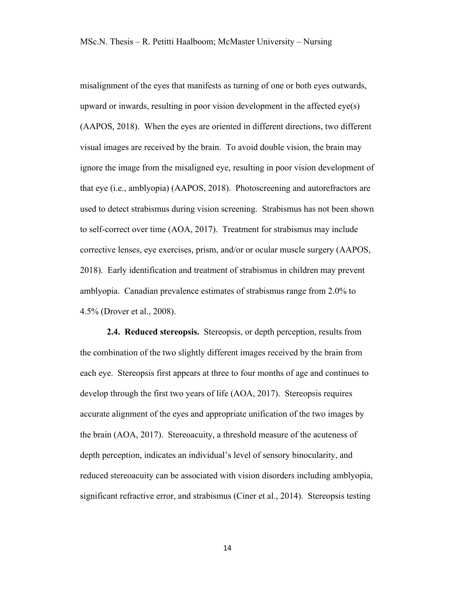misalignment of the eyes that manifests as turning of one or both eyes outwards, upward or inwards, resulting in poor vision development in the affected eye(s) (AAPOS, 2018). When the eyes are oriented in different directions, two different visual images are received by the brain. To avoid double vision, the brain may ignore the image from the misaligned eye, resulting in poor vision development of that eye (i.e., amblyopia) (AAPOS, 2018). Photoscreening and autorefractors are used to detect strabismus during vision screening. Strabismus has not been shown to self-correct over time (AOA, 2017). Treatment for strabismus may include corrective lenses, eye exercises, prism, and/or or ocular muscle surgery (AAPOS, 2018). Early identification and treatment of strabismus in children may prevent amblyopia. Canadian prevalence estimates of strabismus range from 2.0% to 4.5% (Drover et al., 2008).

**2.4. Reduced stereopsis.** Stereopsis, or depth perception, results from the combination of the two slightly different images received by the brain from each eye. Stereopsis first appears at three to four months of age and continues to develop through the first two years of life (AOA, 2017). Stereopsis requires accurate alignment of the eyes and appropriate unification of the two images by the brain (AOA, 2017). Stereoacuity, a threshold measure of the acuteness of depth perception, indicates an individual's level of sensory binocularity, and reduced stereoacuity can be associated with vision disorders including amblyopia, significant refractive error, and strabismus (Ciner et al., 2014). Stereopsis testing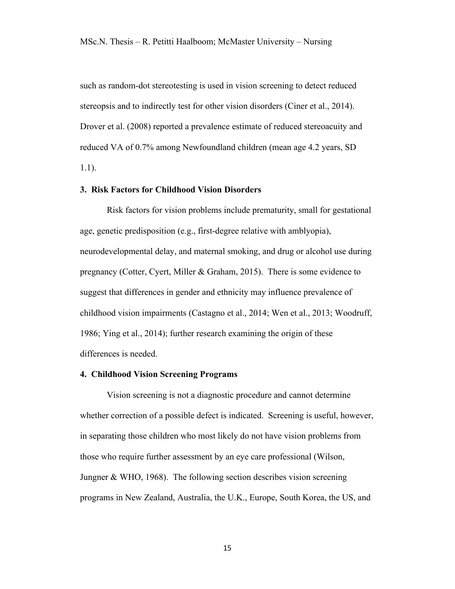such as random-dot stereotesting is used in vision screening to detect reduced stereopsis and to indirectly test for other vision disorders (Ciner et al., 2014). Drover et al. (2008) reported a prevalence estimate of reduced stereoacuity and reduced VA of 0.7% among Newfoundland children (mean age 4.2 years, SD 1.1).

#### **3. Risk Factors for Childhood Vision Disorders**

Risk factors for vision problems include prematurity, small for gestational age, genetic predisposition (e.g., first-degree relative with amblyopia), neurodevelopmental delay, and maternal smoking, and drug or alcohol use during pregnancy (Cotter, Cyert, Miller & Graham, 2015). There is some evidence to suggest that differences in gender and ethnicity may influence prevalence of childhood vision impairments (Castagno et al., 2014; Wen et al., 2013; Woodruff, 1986; Ying et al., 2014); further research examining the origin of these differences is needed.

#### **4. Childhood Vision Screening Programs**

Vision screening is not a diagnostic procedure and cannot determine whether correction of a possible defect is indicated. Screening is useful, however, in separating those children who most likely do not have vision problems from those who require further assessment by an eye care professional (Wilson, Jungner & WHO, 1968). The following section describes vision screening programs in New Zealand, Australia, the U.K., Europe, South Korea, the US, and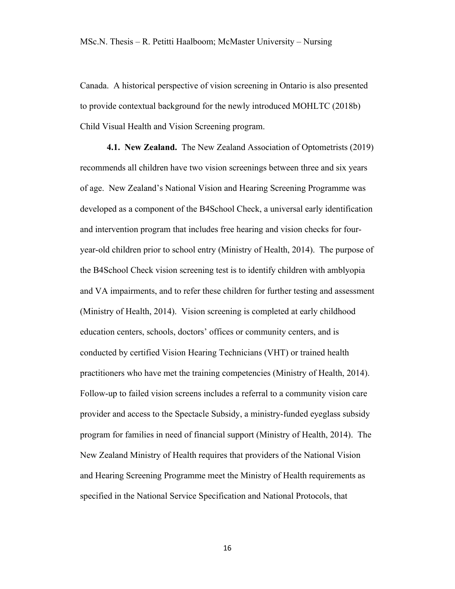Canada. A historical perspective of vision screening in Ontario is also presented to provide contextual background for the newly introduced MOHLTC (2018b) Child Visual Health and Vision Screening program.

**4.1. New Zealand.** The New Zealand Association of Optometrists (2019) recommends all children have two vision screenings between three and six years of age. New Zealand's National Vision and Hearing Screening Programme was developed as a component of the B4School Check, a universal early identification and intervention program that includes free hearing and vision checks for fouryear-old children prior to school entry (Ministry of Health, 2014). The purpose of the B4School Check vision screening test is to identify children with amblyopia and VA impairments, and to refer these children for further testing and assessment (Ministry of Health, 2014). Vision screening is completed at early childhood education centers, schools, doctors' offices or community centers, and is conducted by certified Vision Hearing Technicians (VHT) or trained health practitioners who have met the training competencies (Ministry of Health, 2014). Follow-up to failed vision screens includes a referral to a community vision care provider and access to the Spectacle Subsidy, a ministry-funded eyeglass subsidy program for families in need of financial support (Ministry of Health, 2014). The New Zealand Ministry of Health requires that providers of the National Vision and Hearing Screening Programme meet the Ministry of Health requirements as specified in the National Service Specification and National Protocols, that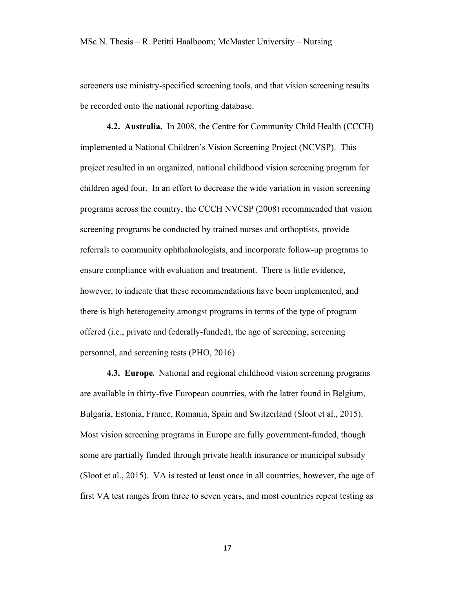screeners use ministry-specified screening tools, and that vision screening results be recorded onto the national reporting database.

**4.2. Australia.** In 2008, the Centre for Community Child Health (CCCH) implemented a National Children's Vision Screening Project (NCVSP). This project resulted in an organized, national childhood vision screening program for children aged four. In an effort to decrease the wide variation in vision screening programs across the country, the CCCH NVCSP (2008) recommended that vision screening programs be conducted by trained nurses and orthoptists, provide referrals to community ophthalmologists, and incorporate follow-up programs to ensure compliance with evaluation and treatment. There is little evidence, however, to indicate that these recommendations have been implemented, and there is high heterogeneity amongst programs in terms of the type of program offered (i.e., private and federally-funded), the age of screening, screening personnel, and screening tests (PHO, 2016)

**4.3. Europe***.* National and regional childhood vision screening programs are available in thirty-five European countries, with the latter found in Belgium, Bulgaria, Estonia, France, Romania, Spain and Switzerland (Sloot et al., 2015). Most vision screening programs in Europe are fully government-funded, though some are partially funded through private health insurance or municipal subsidy (Sloot et al., 2015). VA is tested at least once in all countries, however, the age of first VA test ranges from three to seven years, and most countries repeat testing as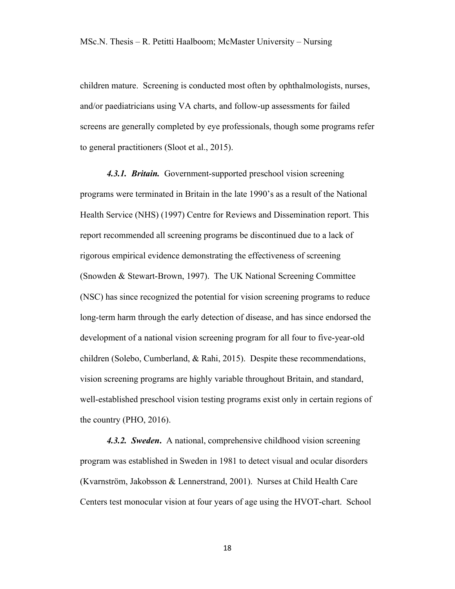children mature. Screening is conducted most often by ophthalmologists, nurses, and/or paediatricians using VA charts, and follow-up assessments for failed screens are generally completed by eye professionals, though some programs refer to general practitioners (Sloot et al., 2015).

*4.3.1. Britain.* Government-supported preschool vision screening programs were terminated in Britain in the late 1990's as a result of the National Health Service (NHS) (1997) Centre for Reviews and Dissemination report. This report recommended all screening programs be discontinued due to a lack of rigorous empirical evidence demonstrating the effectiveness of screening (Snowden & Stewart-Brown, 1997). The UK National Screening Committee (NSC) has since recognized the potential for vision screening programs to reduce long-term harm through the early detection of disease, and has since endorsed the development of a national vision screening program for all four to five-year-old children (Solebo, Cumberland, & Rahi, 2015). Despite these recommendations, vision screening programs are highly variable throughout Britain, and standard, well-established preschool vision testing programs exist only in certain regions of the country (PHO, 2016).

*4.3.2. Sweden***.** A national, comprehensive childhood vision screening program was established in Sweden in 1981 to detect visual and ocular disorders (Kvarnström, Jakobsson & Lennerstrand, 2001). Nurses at Child Health Care Centers test monocular vision at four years of age using the HVOT-chart. School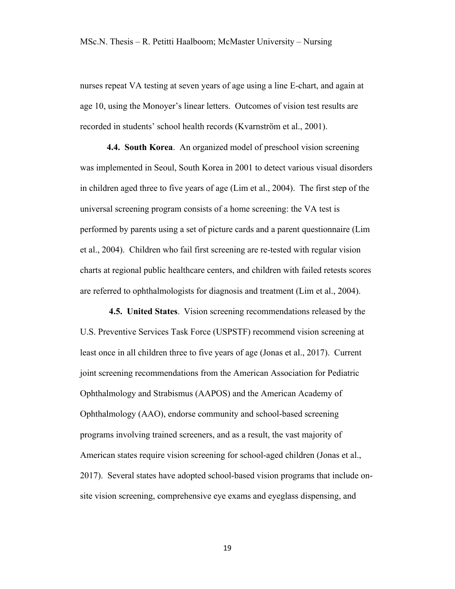nurses repeat VA testing at seven years of age using a line E-chart, and again at age 10, using the Monoyer's linear letters. Outcomes of vision test results are recorded in students' school health records (Kvarnström et al., 2001).

**4.4. South Korea**. An organized model of preschool vision screening was implemented in Seoul, South Korea in 2001 to detect various visual disorders in children aged three to five years of age (Lim et al., 2004). The first step of the universal screening program consists of a home screening: the VA test is performed by parents using a set of picture cards and a parent questionnaire (Lim et al., 2004). Children who fail first screening are re-tested with regular vision charts at regional public healthcare centers, and children with failed retests scores are referred to ophthalmologists for diagnosis and treatment (Lim et al., 2004).

**4.5. United States**. Vision screening recommendations released by the U.S. Preventive Services Task Force (USPSTF) recommend vision screening at least once in all children three to five years of age (Jonas et al., 2017). Current joint screening recommendations from the American Association for Pediatric Ophthalmology and Strabismus (AAPOS) and the American Academy of Ophthalmology (AAO), endorse community and school-based screening programs involving trained screeners, and as a result, the vast majority of American states require vision screening for school-aged children (Jonas et al., 2017). Several states have adopted school-based vision programs that include onsite vision screening, comprehensive eye exams and eyeglass dispensing, and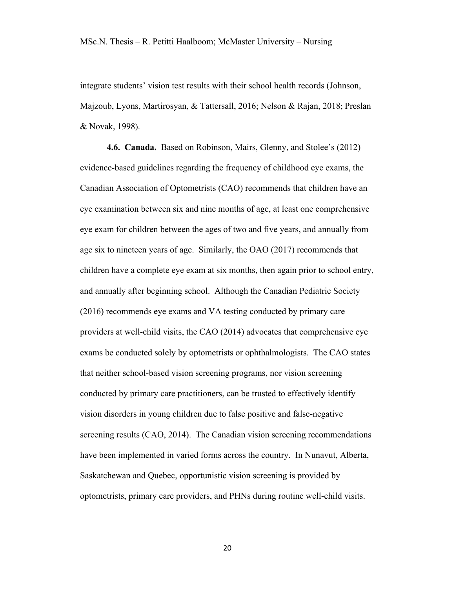integrate students' vision test results with their school health records (Johnson, Majzoub, Lyons, Martirosyan, & Tattersall, 2016; Nelson & Rajan, 2018; Preslan & Novak, 1998).

**4.6. Canada.** Based on Robinson, Mairs, Glenny, and Stolee's (2012) evidence-based guidelines regarding the frequency of childhood eye exams, the Canadian Association of Optometrists (CAO) recommends that children have an eye examination between six and nine months of age, at least one comprehensive eye exam for children between the ages of two and five years, and annually from age six to nineteen years of age. Similarly, the OAO (2017) recommends that children have a complete eye exam at six months, then again prior to school entry, and annually after beginning school. Although the Canadian Pediatric Society (2016) recommends eye exams and VA testing conducted by primary care providers at well-child visits, the CAO (2014) advocates that comprehensive eye exams be conducted solely by optometrists or ophthalmologists. The CAO states that neither school-based vision screening programs, nor vision screening conducted by primary care practitioners, can be trusted to effectively identify vision disorders in young children due to false positive and false-negative screening results (CAO, 2014). The Canadian vision screening recommendations have been implemented in varied forms across the country. In Nunavut, Alberta, Saskatchewan and Quebec, opportunistic vision screening is provided by optometrists, primary care providers, and PHNs during routine well-child visits.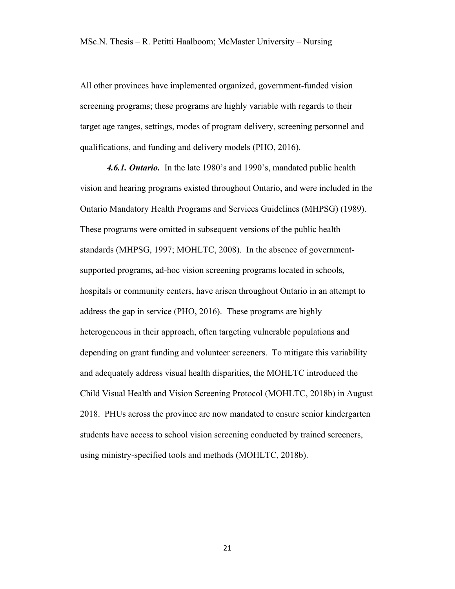All other provinces have implemented organized, government-funded vision screening programs; these programs are highly variable with regards to their target age ranges, settings, modes of program delivery, screening personnel and qualifications, and funding and delivery models (PHO, 2016).

*4.6.1. Ontario.* In the late 1980's and 1990's, mandated public health vision and hearing programs existed throughout Ontario, and were included in the Ontario Mandatory Health Programs and Services Guidelines (MHPSG) (1989). These programs were omitted in subsequent versions of the public health standards (MHPSG, 1997; MOHLTC, 2008). In the absence of governmentsupported programs, ad-hoc vision screening programs located in schools, hospitals or community centers, have arisen throughout Ontario in an attempt to address the gap in service (PHO, 2016). These programs are highly heterogeneous in their approach, often targeting vulnerable populations and depending on grant funding and volunteer screeners. To mitigate this variability and adequately address visual health disparities, the MOHLTC introduced the Child Visual Health and Vision Screening Protocol (MOHLTC, 2018b) in August 2018. PHUs across the province are now mandated to ensure senior kindergarten students have access to school vision screening conducted by trained screeners, using ministry-specified tools and methods (MOHLTC, 2018b).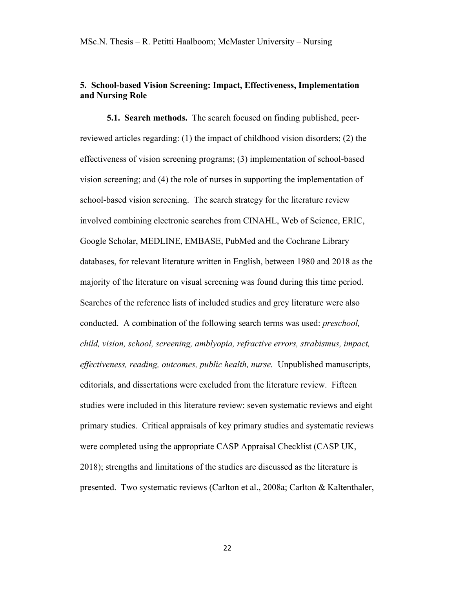## **5. School-based Vision Screening: Impact, Effectiveness, Implementation and Nursing Role**

**5.1. Search methods.** The search focused on finding published, peerreviewed articles regarding: (1) the impact of childhood vision disorders; (2) the effectiveness of vision screening programs; (3) implementation of school-based vision screening; and (4) the role of nurses in supporting the implementation of school-based vision screening. The search strategy for the literature review involved combining electronic searches from CINAHL, Web of Science, ERIC, Google Scholar, MEDLINE, EMBASE, PubMed and the Cochrane Library databases, for relevant literature written in English, between 1980 and 2018 as the majority of the literature on visual screening was found during this time period. Searches of the reference lists of included studies and grey literature were also conducted. A combination of the following search terms was used: *preschool, child, vision, school, screening, amblyopia, refractive errors, strabismus, impact, effectiveness, reading, outcomes, public health, nurse.* Unpublished manuscripts, editorials, and dissertations were excluded from the literature review. Fifteen studies were included in this literature review: seven systematic reviews and eight primary studies. Critical appraisals of key primary studies and systematic reviews were completed using the appropriate CASP Appraisal Checklist (CASP UK, 2018); strengths and limitations of the studies are discussed as the literature is presented. Two systematic reviews (Carlton et al., 2008a; Carlton & Kaltenthaler,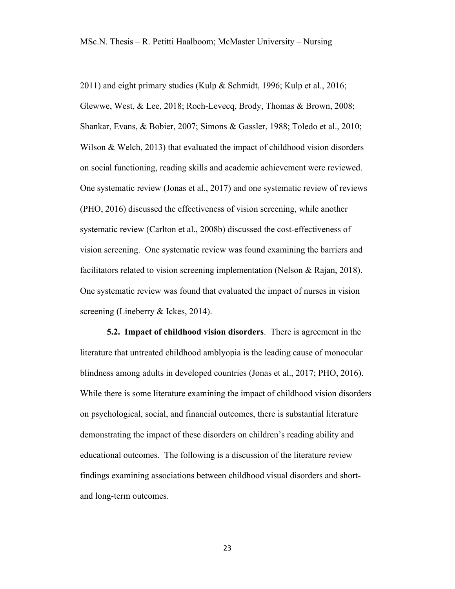2011) and eight primary studies (Kulp & Schmidt, 1996; Kulp et al., 2016; Glewwe, West, & Lee, 2018; Roch-Levecq, Brody, Thomas & Brown, 2008; Shankar, Evans, & Bobier, 2007; Simons & Gassler, 1988; Toledo et al., 2010; Wilson & Welch, 2013) that evaluated the impact of childhood vision disorders on social functioning, reading skills and academic achievement were reviewed. One systematic review (Jonas et al., 2017) and one systematic review of reviews (PHO, 2016) discussed the effectiveness of vision screening, while another systematic review (Carlton et al., 2008b) discussed the cost-effectiveness of vision screening. One systematic review was found examining the barriers and facilitators related to vision screening implementation (Nelson & Rajan, 2018). One systematic review was found that evaluated the impact of nurses in vision screening (Lineberry & Ickes, 2014).

**5.2. Impact of childhood vision disorders**. There is agreement in the literature that untreated childhood amblyopia is the leading cause of monocular blindness among adults in developed countries (Jonas et al., 2017; PHO, 2016). While there is some literature examining the impact of childhood vision disorders on psychological, social, and financial outcomes, there is substantial literature demonstrating the impact of these disorders on children's reading ability and educational outcomes. The following is a discussion of the literature review findings examining associations between childhood visual disorders and shortand long-term outcomes.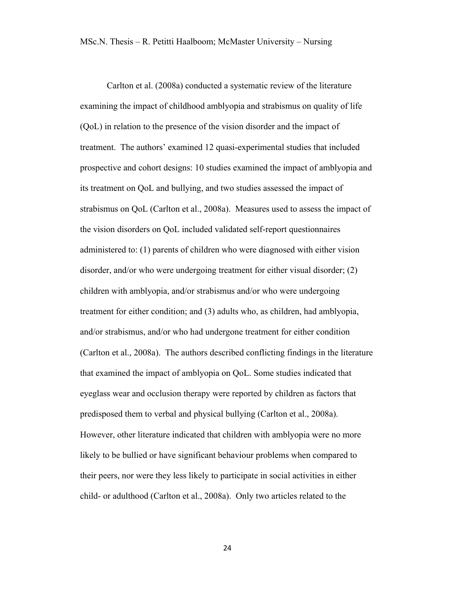Carlton et al. (2008a) conducted a systematic review of the literature examining the impact of childhood amblyopia and strabismus on quality of life (QoL) in relation to the presence of the vision disorder and the impact of treatment. The authors' examined 12 quasi-experimental studies that included prospective and cohort designs: 10 studies examined the impact of amblyopia and its treatment on QoL and bullying, and two studies assessed the impact of strabismus on QoL (Carlton et al., 2008a). Measures used to assess the impact of the vision disorders on QoL included validated self-report questionnaires administered to: (1) parents of children who were diagnosed with either vision disorder, and/or who were undergoing treatment for either visual disorder; (2) children with amblyopia, and/or strabismus and/or who were undergoing treatment for either condition; and (3) adults who, as children, had amblyopia, and/or strabismus, and/or who had undergone treatment for either condition (Carlton et al., 2008a). The authors described conflicting findings in the literature that examined the impact of amblyopia on QoL. Some studies indicated that eyeglass wear and occlusion therapy were reported by children as factors that predisposed them to verbal and physical bullying (Carlton et al., 2008a). However, other literature indicated that children with amblyopia were no more likely to be bullied or have significant behaviour problems when compared to their peers, nor were they less likely to participate in social activities in either child- or adulthood (Carlton et al., 2008a). Only two articles related to the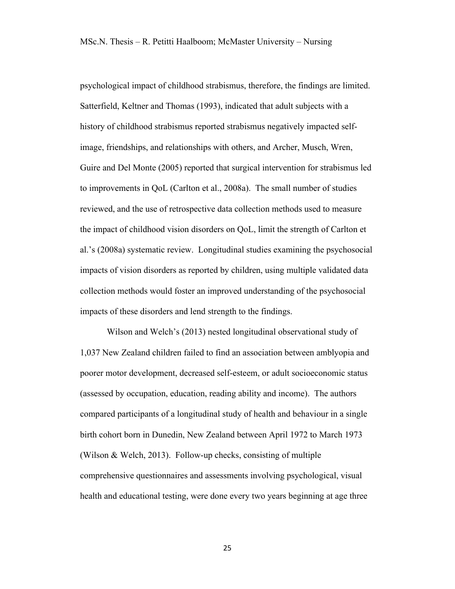psychological impact of childhood strabismus, therefore, the findings are limited. Satterfield, Keltner and Thomas (1993), indicated that adult subjects with a history of childhood strabismus reported strabismus negatively impacted selfimage, friendships, and relationships with others, and Archer, Musch, Wren, Guire and Del Monte (2005) reported that surgical intervention for strabismus led to improvements in QoL (Carlton et al., 2008a). The small number of studies reviewed, and the use of retrospective data collection methods used to measure the impact of childhood vision disorders on QoL, limit the strength of Carlton et al.'s (2008a) systematic review. Longitudinal studies examining the psychosocial impacts of vision disorders as reported by children, using multiple validated data collection methods would foster an improved understanding of the psychosocial impacts of these disorders and lend strength to the findings.

Wilson and Welch's (2013) nested longitudinal observational study of 1,037 New Zealand children failed to find an association between amblyopia and poorer motor development, decreased self-esteem, or adult socioeconomic status (assessed by occupation, education, reading ability and income). The authors compared participants of a longitudinal study of health and behaviour in a single birth cohort born in Dunedin, New Zealand between April 1972 to March 1973 (Wilson & Welch, 2013). Follow-up checks, consisting of multiple comprehensive questionnaires and assessments involving psychological, visual health and educational testing, were done every two years beginning at age three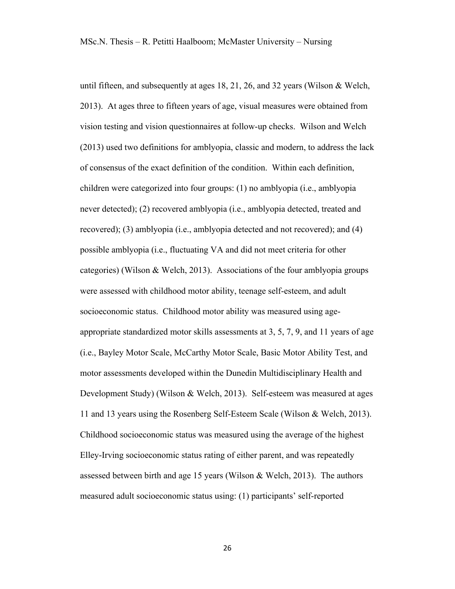until fifteen, and subsequently at ages 18, 21, 26, and 32 years (Wilson & Welch, 2013). At ages three to fifteen years of age, visual measures were obtained from vision testing and vision questionnaires at follow-up checks. Wilson and Welch (2013) used two definitions for amblyopia, classic and modern, to address the lack of consensus of the exact definition of the condition. Within each definition, children were categorized into four groups: (1) no amblyopia (i.e., amblyopia never detected); (2) recovered amblyopia (i.e., amblyopia detected, treated and recovered); (3) amblyopia (i.e., amblyopia detected and not recovered); and (4) possible amblyopia (i.e., fluctuating VA and did not meet criteria for other categories) (Wilson & Welch, 2013). Associations of the four amblyopia groups were assessed with childhood motor ability, teenage self-esteem, and adult socioeconomic status. Childhood motor ability was measured using ageappropriate standardized motor skills assessments at 3, 5, 7, 9, and 11 years of age (i.e., Bayley Motor Scale, McCarthy Motor Scale, Basic Motor Ability Test, and motor assessments developed within the Dunedin Multidisciplinary Health and Development Study) (Wilson & Welch, 2013). Self-esteem was measured at ages 11 and 13 years using the Rosenberg Self-Esteem Scale (Wilson & Welch, 2013). Childhood socioeconomic status was measured using the average of the highest Elley-Irving socioeconomic status rating of either parent, and was repeatedly assessed between birth and age 15 years (Wilson & Welch, 2013). The authors measured adult socioeconomic status using: (1) participants' self-reported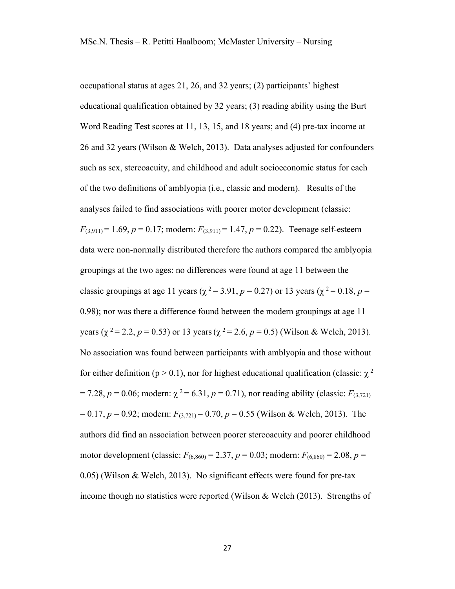occupational status at ages 21, 26, and 32 years; (2) participants' highest educational qualification obtained by 32 years; (3) reading ability using the Burt Word Reading Test scores at 11, 13, 15, and 18 years; and (4) pre-tax income at 26 and 32 years (Wilson & Welch, 2013). Data analyses adjusted for confounders such as sex, stereoacuity, and childhood and adult socioeconomic status for each of the two definitions of amblyopia (i.e., classic and modern). Results of the analyses failed to find associations with poorer motor development (classic:  $F_{(3,911)} = 1.69$ ,  $p = 0.17$ ; modern:  $F_{(3,911)} = 1.47$ ,  $p = 0.22$ ). Teenage self-esteem data were non-normally distributed therefore the authors compared the amblyopia groupings at the two ages: no differences were found at age 11 between the classic groupings at age 11 years ( $\chi^2 = 3.91$ ,  $p = 0.27$ ) or 13 years ( $\chi^2 = 0.18$ ,  $p =$ 0.98); nor was there a difference found between the modern groupings at age 11 years ( $\chi^2$  = 2.2, *p* = 0.53) or 13 years ( $\chi^2$  = 2.6, *p* = 0.5) (Wilson & Welch, 2013). No association was found between participants with amblyopia and those without for either definition (p > 0.1), nor for highest educational qualification (classic:  $\gamma^2$  $= 7.28$ ,  $p = 0.06$ ; modern:  $\chi^2 = 6.31$ ,  $p = 0.71$ ), nor reading ability (classic:  $F_{(3,721)}$ )  $= 0.17$ ,  $p = 0.92$ ; modern:  $F_{(3,721)} = 0.70$ ,  $p = 0.55$  (Wilson & Welch, 2013). The authors did find an association between poorer stereoacuity and poorer childhood motor development (classic:  $F_{(6,860)} = 2.37$ ,  $p = 0.03$ ; modern:  $F_{(6,860)} = 2.08$ ,  $p =$ 0.05) (Wilson & Welch, 2013). No significant effects were found for pre-tax income though no statistics were reported (Wilson & Welch (2013). Strengths of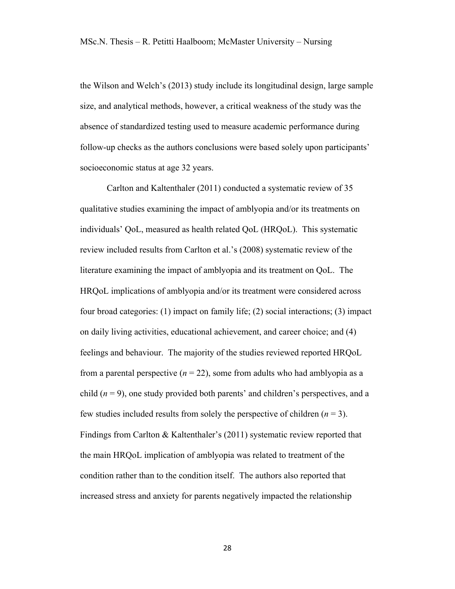the Wilson and Welch's (2013) study include its longitudinal design, large sample size, and analytical methods, however, a critical weakness of the study was the absence of standardized testing used to measure academic performance during follow-up checks as the authors conclusions were based solely upon participants' socioeconomic status at age 32 years.

Carlton and Kaltenthaler (2011) conducted a systematic review of 35 qualitative studies examining the impact of amblyopia and/or its treatments on individuals' QoL, measured as health related QoL (HRQoL). This systematic review included results from Carlton et al.'s (2008) systematic review of the literature examining the impact of amblyopia and its treatment on QoL. The HRQoL implications of amblyopia and/or its treatment were considered across four broad categories: (1) impact on family life; (2) social interactions; (3) impact on daily living activities, educational achievement, and career choice; and (4) feelings and behaviour. The majority of the studies reviewed reported HRQoL from a parental perspective  $(n = 22)$ , some from adults who had amblyopia as a child  $(n = 9)$ , one study provided both parents' and children's perspectives, and a few studies included results from solely the perspective of children  $(n = 3)$ . Findings from Carlton & Kaltenthaler's (2011) systematic review reported that the main HRQoL implication of amblyopia was related to treatment of the condition rather than to the condition itself. The authors also reported that increased stress and anxiety for parents negatively impacted the relationship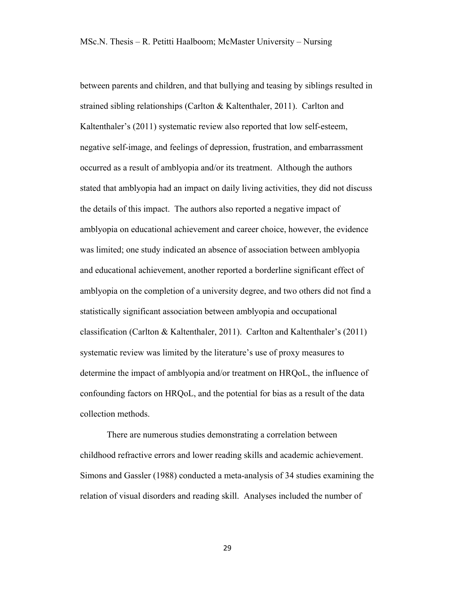between parents and children, and that bullying and teasing by siblings resulted in strained sibling relationships (Carlton & Kaltenthaler, 2011). Carlton and Kaltenthaler's (2011) systematic review also reported that low self-esteem, negative self-image, and feelings of depression, frustration, and embarrassment occurred as a result of amblyopia and/or its treatment. Although the authors stated that amblyopia had an impact on daily living activities, they did not discuss the details of this impact. The authors also reported a negative impact of amblyopia on educational achievement and career choice, however, the evidence was limited; one study indicated an absence of association between amblyopia and educational achievement, another reported a borderline significant effect of amblyopia on the completion of a university degree, and two others did not find a statistically significant association between amblyopia and occupational classification (Carlton & Kaltenthaler, 2011). Carlton and Kaltenthaler's (2011) systematic review was limited by the literature's use of proxy measures to determine the impact of amblyopia and/or treatment on HRQoL, the influence of confounding factors on HRQoL, and the potential for bias as a result of the data collection methods.

There are numerous studies demonstrating a correlation between childhood refractive errors and lower reading skills and academic achievement. Simons and Gassler (1988) conducted a meta-analysis of 34 studies examining the relation of visual disorders and reading skill. Analyses included the number of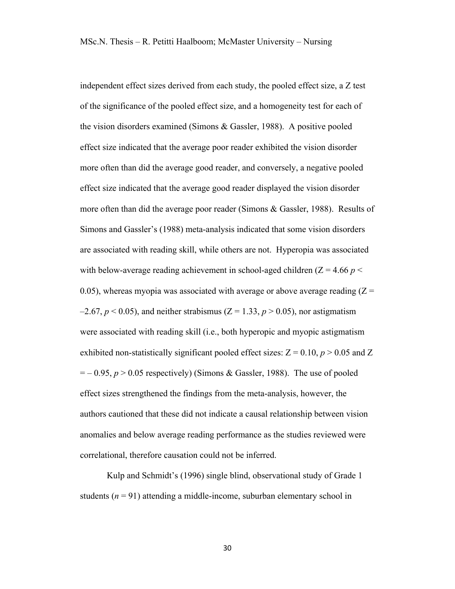independent effect sizes derived from each study, the pooled effect size, a Z test of the significance of the pooled effect size, and a homogeneity test for each of the vision disorders examined (Simons & Gassler, 1988). A positive pooled effect size indicated that the average poor reader exhibited the vision disorder more often than did the average good reader, and conversely, a negative pooled effect size indicated that the average good reader displayed the vision disorder more often than did the average poor reader (Simons & Gassler, 1988). Results of Simons and Gassler's (1988) meta-analysis indicated that some vision disorders are associated with reading skill, while others are not. Hyperopia was associated with below-average reading achievement in school-aged children  $(Z = 4.66 p <$ 0.05), whereas myopia was associated with average or above average reading  $(Z =$  $-2.67$ ,  $p < 0.05$ ), and neither strabismus (Z = 1.33,  $p > 0.05$ ), nor astigmatism were associated with reading skill (i.e., both hyperopic and myopic astigmatism exhibited non-statistically significant pooled effect sizes:  $Z = 0.10$ ,  $p > 0.05$  and Z  $=$   $-$  0.95,  $p > 0.05$  respectively) (Simons & Gassler, 1988). The use of pooled effect sizes strengthened the findings from the meta-analysis, however, the authors cautioned that these did not indicate a causal relationship between vision anomalies and below average reading performance as the studies reviewed were correlational, therefore causation could not be inferred.

Kulp and Schmidt's (1996) single blind, observational study of Grade 1 students  $(n = 91)$  attending a middle-income, suburban elementary school in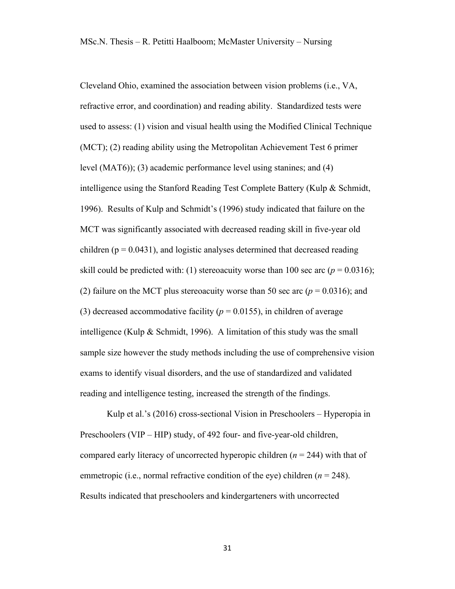Cleveland Ohio, examined the association between vision problems (i.e., VA, refractive error, and coordination) and reading ability. Standardized tests were used to assess: (1) vision and visual health using the Modified Clinical Technique (MCT); (2) reading ability using the Metropolitan Achievement Test 6 primer level (MAT6)); (3) academic performance level using stanines; and (4) intelligence using the Stanford Reading Test Complete Battery (Kulp & Schmidt, 1996). Results of Kulp and Schmidt's (1996) study indicated that failure on the MCT was significantly associated with decreased reading skill in five-year old children ( $p = 0.0431$ ), and logistic analyses determined that decreased reading skill could be predicted with: (1) stereoacuity worse than 100 sec arc  $(p = 0.0316)$ ; (2) failure on the MCT plus stereoacuity worse than 50 sec arc ( $p = 0.0316$ ); and (3) decreased accommodative facility ( $p = 0.0155$ ), in children of average intelligence (Kulp & Schmidt, 1996). A limitation of this study was the small sample size however the study methods including the use of comprehensive vision exams to identify visual disorders, and the use of standardized and validated reading and intelligence testing, increased the strength of the findings.

Kulp et al.'s (2016) cross-sectional Vision in Preschoolers – Hyperopia in Preschoolers (VIP – HIP) study, of 492 four- and five-year-old children, compared early literacy of uncorrected hyperopic children (*n* = 244) with that of emmetropic (i.e., normal refractive condition of the eye) children (*n* = 248). Results indicated that preschoolers and kindergarteners with uncorrected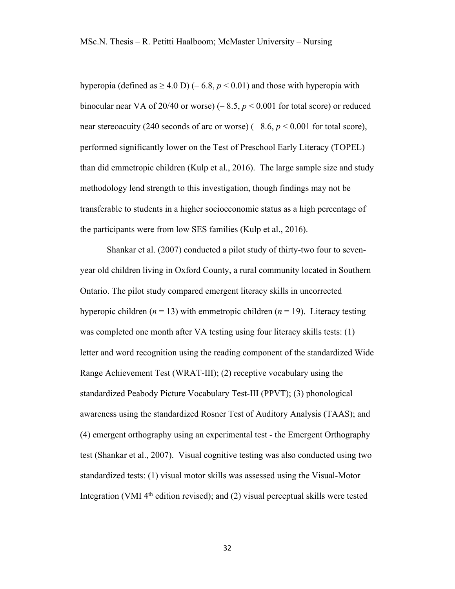hyperopia (defined as  $\geq$  4.0 D) (– 6.8,  $p$  < 0.01) and those with hyperopia with binocular near VA of 20/40 or worse)  $(-8.5, p < 0.001$  for total score) or reduced near stereoacuity (240 seconds of arc or worse) (– 8.6, *p* < 0.001 for total score), performed significantly lower on the Test of Preschool Early Literacy (TOPEL) than did emmetropic children (Kulp et al., 2016). The large sample size and study methodology lend strength to this investigation, though findings may not be transferable to students in a higher socioeconomic status as a high percentage of the participants were from low SES families (Kulp et al., 2016).

Shankar et al. (2007) conducted a pilot study of thirty-two four to sevenyear old children living in Oxford County, a rural community located in Southern Ontario. The pilot study compared emergent literacy skills in uncorrected hyperopic children  $(n = 13)$  with emmetropic children  $(n = 19)$ . Literacy testing was completed one month after VA testing using four literacy skills tests: (1) letter and word recognition using the reading component of the standardized Wide Range Achievement Test (WRAT-III); (2) receptive vocabulary using the standardized Peabody Picture Vocabulary Test-III (PPVT); (3) phonological awareness using the standardized Rosner Test of Auditory Analysis (TAAS); and (4) emergent orthography using an experimental test - the Emergent Orthography test (Shankar et al., 2007). Visual cognitive testing was also conducted using two standardized tests: (1) visual motor skills was assessed using the Visual-Motor Integration (VMI 4th edition revised); and (2) visual perceptual skills were tested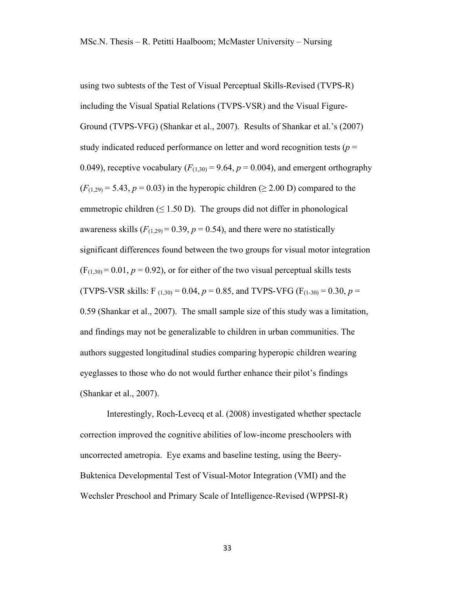using two subtests of the Test of Visual Perceptual Skills-Revised (TVPS-R) including the Visual Spatial Relations (TVPS-VSR) and the Visual Figure-Ground (TVPS-VFG) (Shankar et al., 2007). Results of Shankar et al.'s (2007) study indicated reduced performance on letter and word recognition tests (*p* = 0.049), receptive vocabulary  $(F_{(1,30)} = 9.64, p = 0.004)$ , and emergent orthography  $(F<sub>(1,29)</sub> = 5.43, p = 0.03)$  in the hyperopic children ( $\geq$  2.00 D) compared to the emmetropic children  $(\leq 1.50 \text{ D})$ . The groups did not differ in phonological awareness skills  $(F_{(1,29)} = 0.39, p = 0.54)$ , and there were no statistically significant differences found between the two groups for visual motor integration  $(F<sub>(1,30)</sub> = 0.01, p = 0.92)$ , or for either of the two visual perceptual skills tests (TVPS-VSR skills: F<sub>(1,30)</sub> = 0.04,  $p = 0.85$ , and TVPS-VFG (F<sub>(1-30)</sub> = 0.30,  $p =$ 0.59 (Shankar et al., 2007). The small sample size of this study was a limitation, and findings may not be generalizable to children in urban communities. The authors suggested longitudinal studies comparing hyperopic children wearing eyeglasses to those who do not would further enhance their pilot's findings (Shankar et al., 2007).

Interestingly, Roch-Levecq et al. (2008) investigated whether spectacle correction improved the cognitive abilities of low-income preschoolers with uncorrected ametropia. Eye exams and baseline testing, using the Beery-Buktenica Developmental Test of Visual-Motor Integration (VMI) and the Wechsler Preschool and Primary Scale of Intelligence-Revised (WPPSI-R)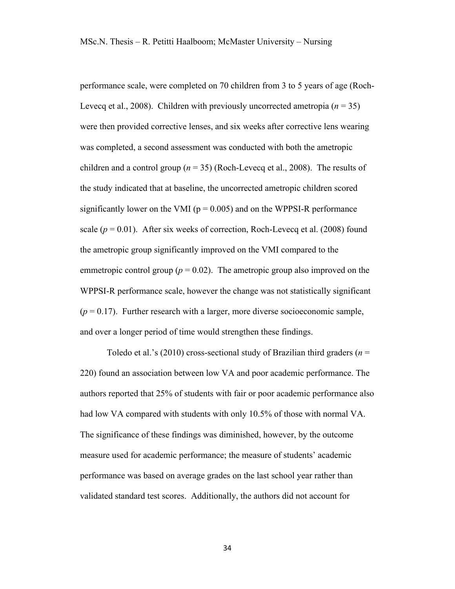performance scale, were completed on 70 children from 3 to 5 years of age (Roch-Levecq et al., 2008). Children with previously uncorrected ametropia  $(n = 35)$ were then provided corrective lenses, and six weeks after corrective lens wearing was completed, a second assessment was conducted with both the ametropic children and a control group ( $n = 35$ ) (Roch-Levecq et al., 2008). The results of the study indicated that at baseline, the uncorrected ametropic children scored significantly lower on the VMI ( $p = 0.005$ ) and on the WPPSI-R performance scale  $(p = 0.01)$ . After six weeks of correction, Roch-Levecq et al. (2008) found the ametropic group significantly improved on the VMI compared to the emmetropic control group ( $p = 0.02$ ). The ametropic group also improved on the WPPSI-R performance scale, however the change was not statistically significant  $(p = 0.17)$ . Further research with a larger, more diverse socioeconomic sample, and over a longer period of time would strengthen these findings.

Toledo et al.'s (2010) cross-sectional study of Brazilian third graders (*n* = 220) found an association between low VA and poor academic performance. The authors reported that 25% of students with fair or poor academic performance also had low VA compared with students with only 10.5% of those with normal VA. The significance of these findings was diminished, however, by the outcome measure used for academic performance; the measure of students' academic performance was based on average grades on the last school year rather than validated standard test scores. Additionally, the authors did not account for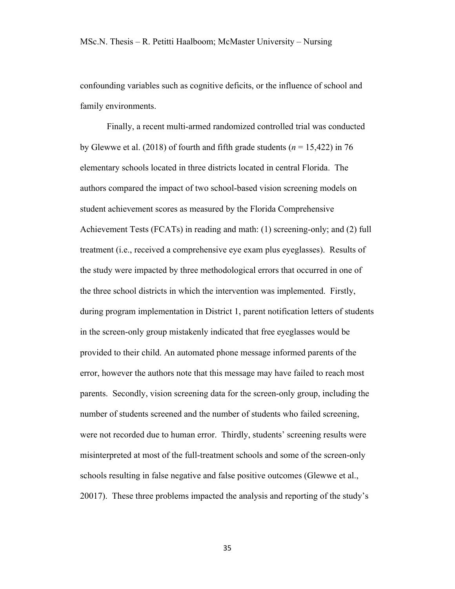confounding variables such as cognitive deficits, or the influence of school and family environments.

Finally, a recent multi-armed randomized controlled trial was conducted by Glewwe et al. (2018) of fourth and fifth grade students ( $n = 15,422$ ) in 76 elementary schools located in three districts located in central Florida. The authors compared the impact of two school-based vision screening models on student achievement scores as measured by the Florida Comprehensive Achievement Tests (FCATs) in reading and math: (1) screening-only; and (2) full treatment (i.e., received a comprehensive eye exam plus eyeglasses). Results of the study were impacted by three methodological errors that occurred in one of the three school districts in which the intervention was implemented. Firstly, during program implementation in District 1, parent notification letters of students in the screen-only group mistakenly indicated that free eyeglasses would be provided to their child. An automated phone message informed parents of the error, however the authors note that this message may have failed to reach most parents. Secondly, vision screening data for the screen-only group, including the number of students screened and the number of students who failed screening, were not recorded due to human error. Thirdly, students' screening results were misinterpreted at most of the full-treatment schools and some of the screen-only schools resulting in false negative and false positive outcomes (Glewwe et al., 20017). These three problems impacted the analysis and reporting of the study's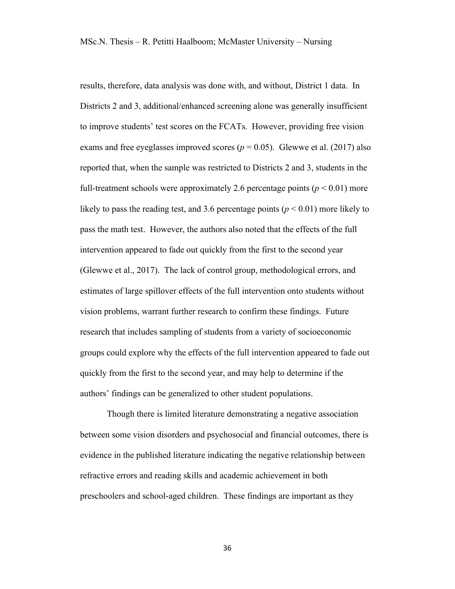results, therefore, data analysis was done with, and without, District 1 data. In Districts 2 and 3, additional/enhanced screening alone was generally insufficient to improve students' test scores on the FCATs. However, providing free vision exams and free eyeglasses improved scores ( $p = 0.05$ ). Glewwe et al. (2017) also reported that, when the sample was restricted to Districts 2 and 3, students in the full-treatment schools were approximately 2.6 percentage points  $(p < 0.01)$  more likely to pass the reading test, and 3.6 percentage points ( $p < 0.01$ ) more likely to pass the math test. However, the authors also noted that the effects of the full intervention appeared to fade out quickly from the first to the second year (Glewwe et al., 2017). The lack of control group, methodological errors, and estimates of large spillover effects of the full intervention onto students without vision problems, warrant further research to confirm these findings. Future research that includes sampling of students from a variety of socioeconomic groups could explore why the effects of the full intervention appeared to fade out quickly from the first to the second year, and may help to determine if the authors' findings can be generalized to other student populations.

Though there is limited literature demonstrating a negative association between some vision disorders and psychosocial and financial outcomes, there is evidence in the published literature indicating the negative relationship between refractive errors and reading skills and academic achievement in both preschoolers and school-aged children. These findings are important as they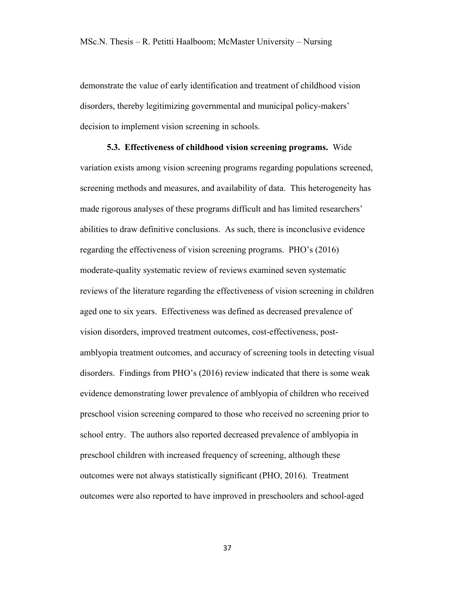demonstrate the value of early identification and treatment of childhood vision disorders, thereby legitimizing governmental and municipal policy-makers' decision to implement vision screening in schools.

**5.3. Effectiveness of childhood vision screening programs.** Wide variation exists among vision screening programs regarding populations screened, screening methods and measures, and availability of data. This heterogeneity has made rigorous analyses of these programs difficult and has limited researchers' abilities to draw definitive conclusions. As such, there is inconclusive evidence regarding the effectiveness of vision screening programs. PHO's (2016) moderate-quality systematic review of reviews examined seven systematic reviews of the literature regarding the effectiveness of vision screening in children aged one to six years. Effectiveness was defined as decreased prevalence of vision disorders, improved treatment outcomes, cost-effectiveness, postamblyopia treatment outcomes, and accuracy of screening tools in detecting visual disorders. Findings from PHO's (2016) review indicated that there is some weak evidence demonstrating lower prevalence of amblyopia of children who received preschool vision screening compared to those who received no screening prior to school entry. The authors also reported decreased prevalence of amblyopia in preschool children with increased frequency of screening, although these outcomes were not always statistically significant (PHO, 2016). Treatment outcomes were also reported to have improved in preschoolers and school-aged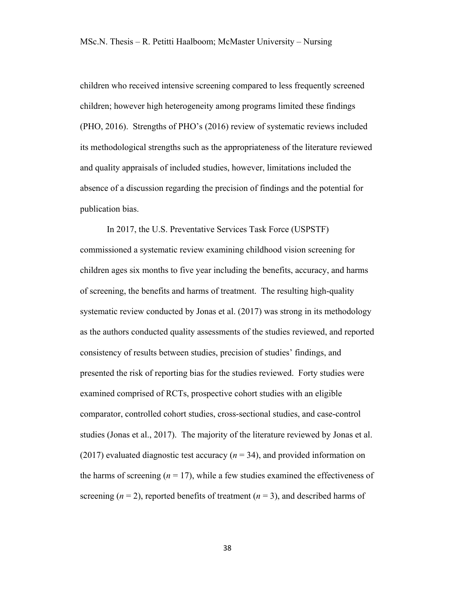children who received intensive screening compared to less frequently screened children; however high heterogeneity among programs limited these findings (PHO, 2016). Strengths of PHO's (2016) review of systematic reviews included its methodological strengths such as the appropriateness of the literature reviewed and quality appraisals of included studies, however, limitations included the absence of a discussion regarding the precision of findings and the potential for publication bias.

In 2017, the U.S. Preventative Services Task Force (USPSTF) commissioned a systematic review examining childhood vision screening for children ages six months to five year including the benefits, accuracy, and harms of screening, the benefits and harms of treatment. The resulting high-quality systematic review conducted by Jonas et al. (2017) was strong in its methodology as the authors conducted quality assessments of the studies reviewed, and reported consistency of results between studies, precision of studies' findings, and presented the risk of reporting bias for the studies reviewed. Forty studies were examined comprised of RCTs, prospective cohort studies with an eligible comparator, controlled cohort studies, cross-sectional studies, and case-control studies (Jonas et al., 2017). The majority of the literature reviewed by Jonas et al. (2017) evaluated diagnostic test accuracy ( $n = 34$ ), and provided information on the harms of screening  $(n = 17)$ , while a few studies examined the effectiveness of screening  $(n = 2)$ , reported benefits of treatment  $(n = 3)$ , and described harms of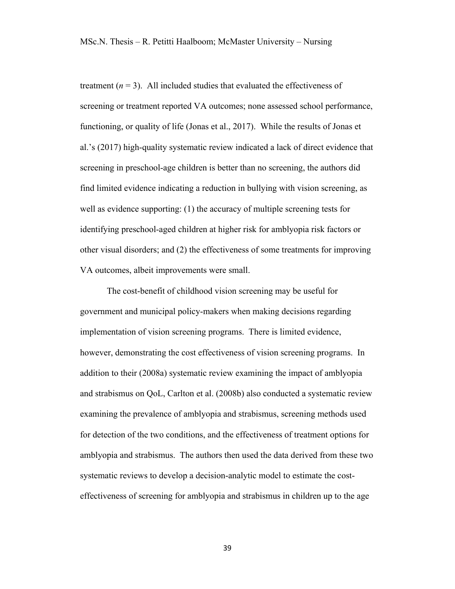treatment  $(n = 3)$ . All included studies that evaluated the effectiveness of screening or treatment reported VA outcomes; none assessed school performance, functioning, or quality of life (Jonas et al., 2017). While the results of Jonas et al.'s (2017) high-quality systematic review indicated a lack of direct evidence that screening in preschool-age children is better than no screening, the authors did find limited evidence indicating a reduction in bullying with vision screening, as well as evidence supporting: (1) the accuracy of multiple screening tests for identifying preschool-aged children at higher risk for amblyopia risk factors or other visual disorders; and (2) the effectiveness of some treatments for improving VA outcomes, albeit improvements were small.

The cost-benefit of childhood vision screening may be useful for government and municipal policy-makers when making decisions regarding implementation of vision screening programs. There is limited evidence, however, demonstrating the cost effectiveness of vision screening programs. In addition to their (2008a) systematic review examining the impact of amblyopia and strabismus on QoL, Carlton et al. (2008b) also conducted a systematic review examining the prevalence of amblyopia and strabismus, screening methods used for detection of the two conditions, and the effectiveness of treatment options for amblyopia and strabismus. The authors then used the data derived from these two systematic reviews to develop a decision-analytic model to estimate the costeffectiveness of screening for amblyopia and strabismus in children up to the age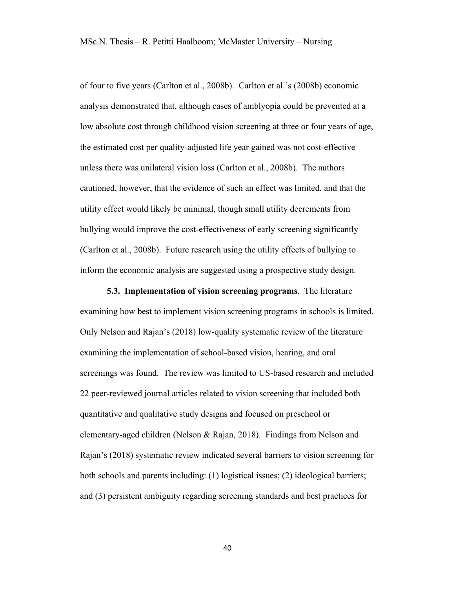of four to five years (Carlton et al., 2008b). Carlton et al.'s (2008b) economic analysis demonstrated that, although cases of amblyopia could be prevented at a low absolute cost through childhood vision screening at three or four years of age, the estimated cost per quality-adjusted life year gained was not cost-effective unless there was unilateral vision loss (Carlton et al., 2008b). The authors cautioned, however, that the evidence of such an effect was limited, and that the utility effect would likely be minimal, though small utility decrements from bullying would improve the cost-effectiveness of early screening significantly (Carlton et al., 2008b). Future research using the utility effects of bullying to inform the economic analysis are suggested using a prospective study design.

**5.3. Implementation of vision screening programs**. The literature examining how best to implement vision screening programs in schools is limited. Only Nelson and Rajan's (2018) low-quality systematic review of the literature examining the implementation of school-based vision, hearing, and oral screenings was found. The review was limited to US-based research and included 22 peer-reviewed journal articles related to vision screening that included both quantitative and qualitative study designs and focused on preschool or elementary-aged children (Nelson & Rajan, 2018). Findings from Nelson and Rajan's (2018) systematic review indicated several barriers to vision screening for both schools and parents including: (1) logistical issues; (2) ideological barriers; and (3) persistent ambiguity regarding screening standards and best practices for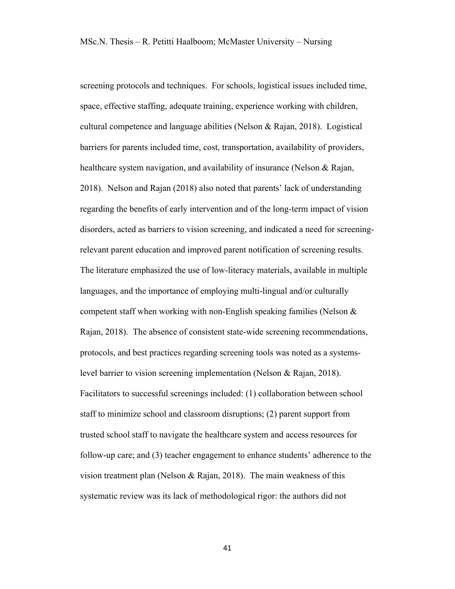screening protocols and techniques. For schools, logistical issues included time, space, effective staffing, adequate training, experience working with children, cultural competence and language abilities (Nelson & Rajan, 2018). Logistical barriers for parents included time, cost, transportation, availability of providers, healthcare system navigation, and availability of insurance (Nelson & Rajan, 2018). Nelson and Rajan (2018) also noted that parents' lack of understanding regarding the benefits of early intervention and of the long-term impact of vision disorders, acted as barriers to vision screening, and indicated a need for screeningrelevant parent education and improved parent notification of screening results. The literature emphasized the use of low-literacy materials, available in multiple languages, and the importance of employing multi-lingual and/or culturally competent staff when working with non-English speaking families (Nelson  $\&$ Rajan, 2018). The absence of consistent state-wide screening recommendations, protocols, and best practices regarding screening tools was noted as a systemslevel barrier to vision screening implementation (Nelson & Rajan, 2018). Facilitators to successful screenings included: (1) collaboration between school staff to minimize school and classroom disruptions; (2) parent support from trusted school staff to navigate the healthcare system and access resources for follow-up care; and (3) teacher engagement to enhance students' adherence to the vision treatment plan (Nelson & Rajan, 2018). The main weakness of this systematic review was its lack of methodological rigor: the authors did not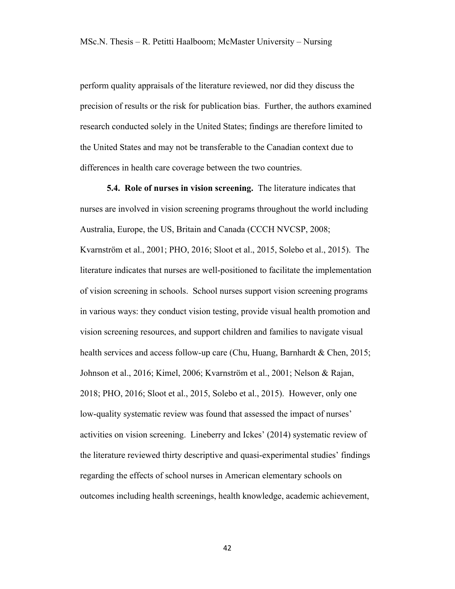perform quality appraisals of the literature reviewed, nor did they discuss the precision of results or the risk for publication bias. Further, the authors examined research conducted solely in the United States; findings are therefore limited to the United States and may not be transferable to the Canadian context due to differences in health care coverage between the two countries.

**5.4. Role of nurses in vision screening.** The literature indicates that nurses are involved in vision screening programs throughout the world including Australia, Europe, the US, Britain and Canada (CCCH NVCSP, 2008; Kvarnström et al., 2001; PHO, 2016; Sloot et al., 2015, Solebo et al., 2015). The literature indicates that nurses are well-positioned to facilitate the implementation of vision screening in schools. School nurses support vision screening programs in various ways: they conduct vision testing, provide visual health promotion and vision screening resources, and support children and families to navigate visual health services and access follow-up care (Chu, Huang, Barnhardt & Chen, 2015; Johnson et al., 2016; Kimel, 2006; Kvarnström et al., 2001; Nelson & Rajan, 2018; PHO, 2016; Sloot et al., 2015, Solebo et al., 2015). However, only one low-quality systematic review was found that assessed the impact of nurses' activities on vision screening. Lineberry and Ickes' (2014) systematic review of the literature reviewed thirty descriptive and quasi-experimental studies' findings regarding the effects of school nurses in American elementary schools on outcomes including health screenings, health knowledge, academic achievement,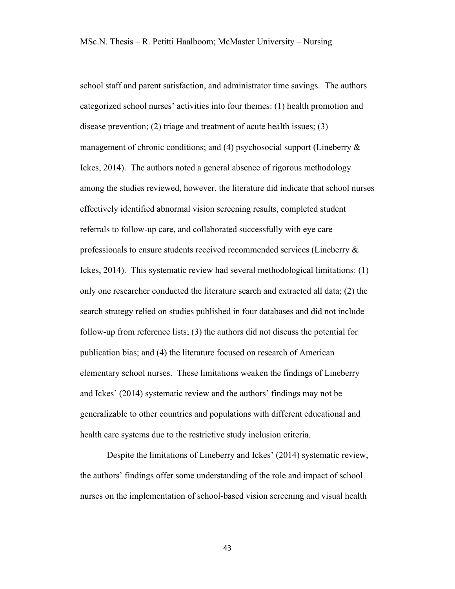school staff and parent satisfaction, and administrator time savings. The authors categorized school nurses' activities into four themes: (1) health promotion and disease prevention; (2) triage and treatment of acute health issues; (3) management of chronic conditions; and (4) psychosocial support (Lineberry  $\&$ Ickes, 2014). The authors noted a general absence of rigorous methodology among the studies reviewed, however, the literature did indicate that school nurses effectively identified abnormal vision screening results, completed student referrals to follow-up care, and collaborated successfully with eye care professionals to ensure students received recommended services (Lineberry & Ickes, 2014). This systematic review had several methodological limitations: (1) only one researcher conducted the literature search and extracted all data; (2) the search strategy relied on studies published in four databases and did not include follow-up from reference lists; (3) the authors did not discuss the potential for publication bias; and (4) the literature focused on research of American elementary school nurses. These limitations weaken the findings of Lineberry and Ickes' (2014) systematic review and the authors' findings may not be generalizable to other countries and populations with different educational and health care systems due to the restrictive study inclusion criteria.

Despite the limitations of Lineberry and Ickes' (2014) systematic review, the authors' findings offer some understanding of the role and impact of school nurses on the implementation of school-based vision screening and visual health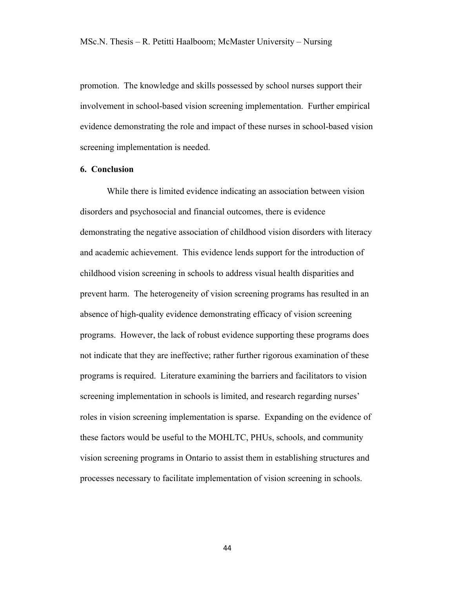promotion. The knowledge and skills possessed by school nurses support their involvement in school-based vision screening implementation. Further empirical evidence demonstrating the role and impact of these nurses in school-based vision screening implementation is needed.

#### **6. Conclusion**

While there is limited evidence indicating an association between vision disorders and psychosocial and financial outcomes, there is evidence demonstrating the negative association of childhood vision disorders with literacy and academic achievement. This evidence lends support for the introduction of childhood vision screening in schools to address visual health disparities and prevent harm. The heterogeneity of vision screening programs has resulted in an absence of high-quality evidence demonstrating efficacy of vision screening programs. However, the lack of robust evidence supporting these programs does not indicate that they are ineffective; rather further rigorous examination of these programs is required. Literature examining the barriers and facilitators to vision screening implementation in schools is limited, and research regarding nurses' roles in vision screening implementation is sparse. Expanding on the evidence of these factors would be useful to the MOHLTC, PHUs, schools, and community vision screening programs in Ontario to assist them in establishing structures and processes necessary to facilitate implementation of vision screening in schools.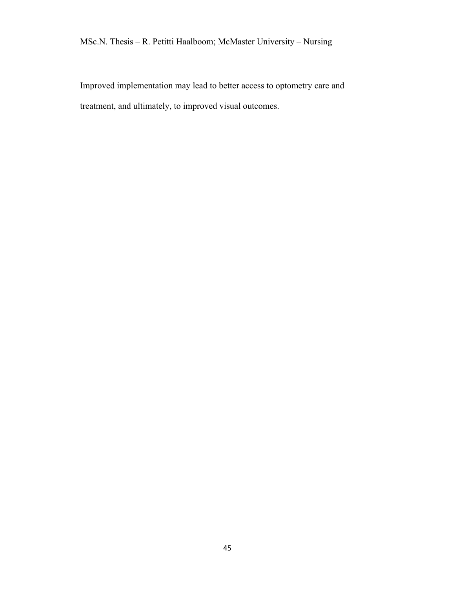# MSc.N. Thesis – R. Petitti Haalboom; McMaster University – Nursing

Improved implementation may lead to better access to optometry care and treatment, and ultimately, to improved visual outcomes.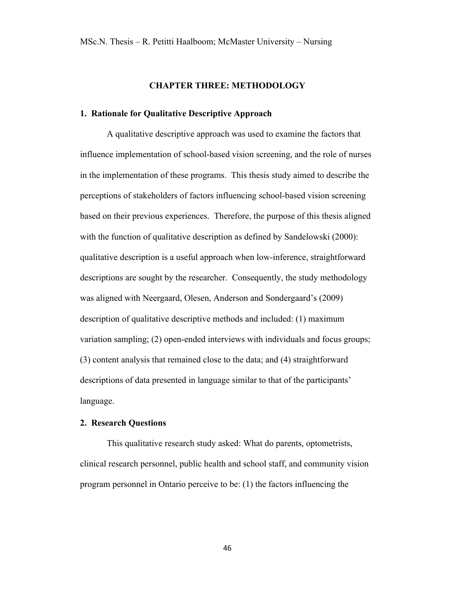# **CHAPTER THREE: METHODOLOGY**

## **1. Rationale for Qualitative Descriptive Approach**

A qualitative descriptive approach was used to examine the factors that influence implementation of school-based vision screening, and the role of nurses in the implementation of these programs. This thesis study aimed to describe the perceptions of stakeholders of factors influencing school-based vision screening based on their previous experiences. Therefore, the purpose of this thesis aligned with the function of qualitative description as defined by Sandelowski (2000): qualitative description is a useful approach when low-inference, straightforward descriptions are sought by the researcher. Consequently, the study methodology was aligned with Neergaard, Olesen, Anderson and Sondergaard's (2009) description of qualitative descriptive methods and included: (1) maximum variation sampling; (2) open-ended interviews with individuals and focus groups; (3) content analysis that remained close to the data; and (4) straightforward descriptions of data presented in language similar to that of the participants' language.

#### **2. Research Questions**

This qualitative research study asked: What do parents, optometrists, clinical research personnel, public health and school staff, and community vision program personnel in Ontario perceive to be: (1) the factors influencing the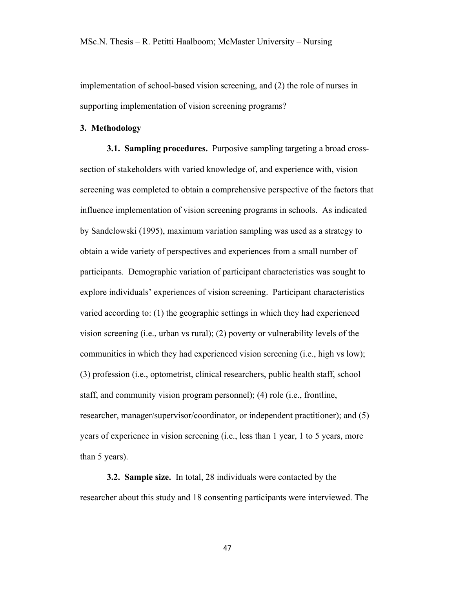implementation of school-based vision screening, and (2) the role of nurses in supporting implementation of vision screening programs?

## **3. Methodology**

**3.1. Sampling procedures.** Purposive sampling targeting a broad crosssection of stakeholders with varied knowledge of, and experience with, vision screening was completed to obtain a comprehensive perspective of the factors that influence implementation of vision screening programs in schools. As indicated by Sandelowski (1995), maximum variation sampling was used as a strategy to obtain a wide variety of perspectives and experiences from a small number of participants. Demographic variation of participant characteristics was sought to explore individuals' experiences of vision screening. Participant characteristics varied according to: (1) the geographic settings in which they had experienced vision screening (i.e., urban vs rural); (2) poverty or vulnerability levels of the communities in which they had experienced vision screening (i.e., high vs low); (3) profession (i.e., optometrist, clinical researchers, public health staff, school staff, and community vision program personnel); (4) role (i.e., frontline, researcher, manager/supervisor/coordinator, or independent practitioner); and (5) years of experience in vision screening (i.e., less than 1 year, 1 to 5 years, more than 5 years).

**3.2. Sample size.** In total, 28 individuals were contacted by the researcher about this study and 18 consenting participants were interviewed. The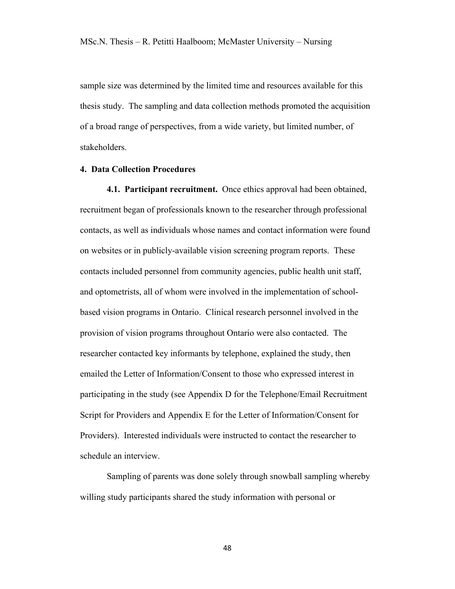sample size was determined by the limited time and resources available for this thesis study. The sampling and data collection methods promoted the acquisition of a broad range of perspectives, from a wide variety, but limited number, of stakeholders.

### **4. Data Collection Procedures**

**4.1. Participant recruitment.** Once ethics approval had been obtained, recruitment began of professionals known to the researcher through professional contacts, as well as individuals whose names and contact information were found on websites or in publicly-available vision screening program reports. These contacts included personnel from community agencies, public health unit staff, and optometrists, all of whom were involved in the implementation of schoolbased vision programs in Ontario. Clinical research personnel involved in the provision of vision programs throughout Ontario were also contacted. The researcher contacted key informants by telephone, explained the study, then emailed the Letter of Information/Consent to those who expressed interest in participating in the study (see Appendix D for the Telephone/Email Recruitment Script for Providers and Appendix E for the Letter of Information/Consent for Providers). Interested individuals were instructed to contact the researcher to schedule an interview.

Sampling of parents was done solely through snowball sampling whereby willing study participants shared the study information with personal or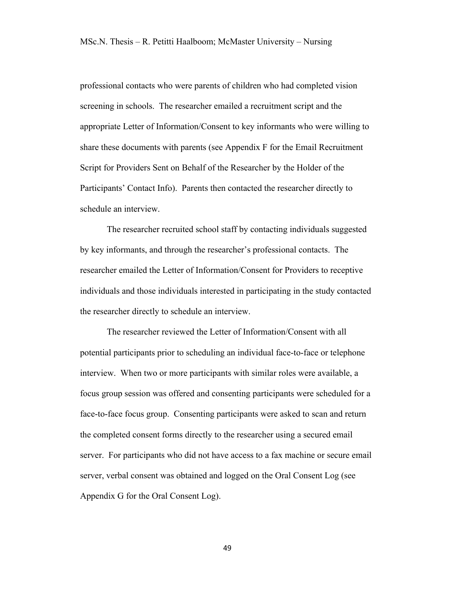professional contacts who were parents of children who had completed vision screening in schools. The researcher emailed a recruitment script and the appropriate Letter of Information/Consent to key informants who were willing to share these documents with parents (see Appendix F for the Email Recruitment Script for Providers Sent on Behalf of the Researcher by the Holder of the Participants' Contact Info). Parents then contacted the researcher directly to schedule an interview.

The researcher recruited school staff by contacting individuals suggested by key informants, and through the researcher's professional contacts. The researcher emailed the Letter of Information/Consent for Providers to receptive individuals and those individuals interested in participating in the study contacted the researcher directly to schedule an interview.

The researcher reviewed the Letter of Information/Consent with all potential participants prior to scheduling an individual face-to-face or telephone interview. When two or more participants with similar roles were available, a focus group session was offered and consenting participants were scheduled for a face-to-face focus group. Consenting participants were asked to scan and return the completed consent forms directly to the researcher using a secured email server. For participants who did not have access to a fax machine or secure email server, verbal consent was obtained and logged on the Oral Consent Log (see Appendix G for the Oral Consent Log).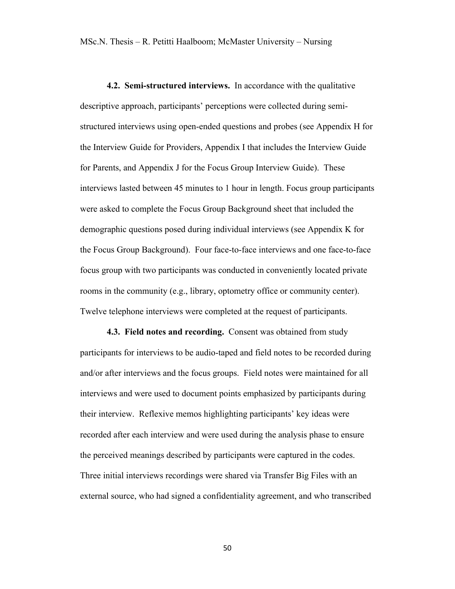**4.2. Semi-structured interviews.** In accordance with the qualitative descriptive approach, participants' perceptions were collected during semistructured interviews using open-ended questions and probes (see Appendix H for the Interview Guide for Providers, Appendix I that includes the Interview Guide for Parents, and Appendix J for the Focus Group Interview Guide). These interviews lasted between 45 minutes to 1 hour in length. Focus group participants were asked to complete the Focus Group Background sheet that included the demographic questions posed during individual interviews (see Appendix K for the Focus Group Background). Four face-to-face interviews and one face-to-face focus group with two participants was conducted in conveniently located private rooms in the community (e.g., library, optometry office or community center). Twelve telephone interviews were completed at the request of participants.

**4.3. Field notes and recording.** Consent was obtained from study participants for interviews to be audio-taped and field notes to be recorded during and/or after interviews and the focus groups. Field notes were maintained for all interviews and were used to document points emphasized by participants during their interview. Reflexive memos highlighting participants' key ideas were recorded after each interview and were used during the analysis phase to ensure the perceived meanings described by participants were captured in the codes. Three initial interviews recordings were shared via Transfer Big Files with an external source, who had signed a confidentiality agreement, and who transcribed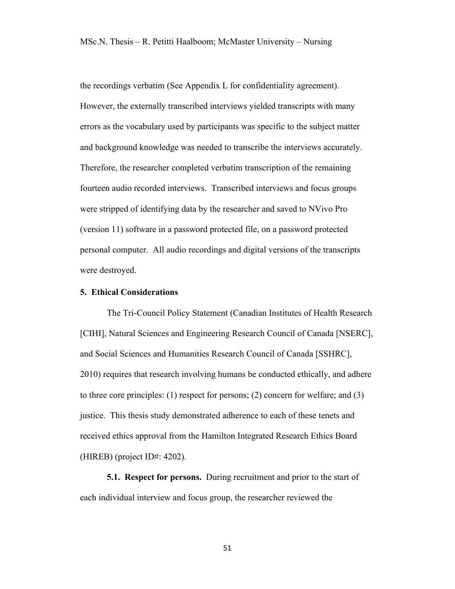the recordings verbatim (See Appendix L for confidentiality agreement). However, the externally transcribed interviews yielded transcripts with many errors as the vocabulary used by participants was specific to the subject matter and background knowledge was needed to transcribe the interviews accurately. Therefore, the researcher completed verbatim transcription of the remaining fourteen audio recorded interviews. Transcribed interviews and focus groups were stripped of identifying data by the researcher and saved to NVivo Pro (version 11) software in a password protected file, on a password protected personal computer. All audio recordings and digital versions of the transcripts were destroyed.

## **5. Ethical Considerations**

The Tri-Council Policy Statement (Canadian Institutes of Health Research [CIHI], Natural Sciences and Engineering Research Council of Canada [NSERC], and Social Sciences and Humanities Research Council of Canada [SSHRC], 2010) requires that research involving humans be conducted ethically, and adhere to three core principles: (1) respect for persons; (2) concern for welfare; and (3) justice. This thesis study demonstrated adherence to each of these tenets and received ethics approval from the Hamilton Integrated Research Ethics Board (HIREB) (project ID#: 4202).

**5.1. Respect for persons.** During recruitment and prior to the start of each individual interview and focus group, the researcher reviewed the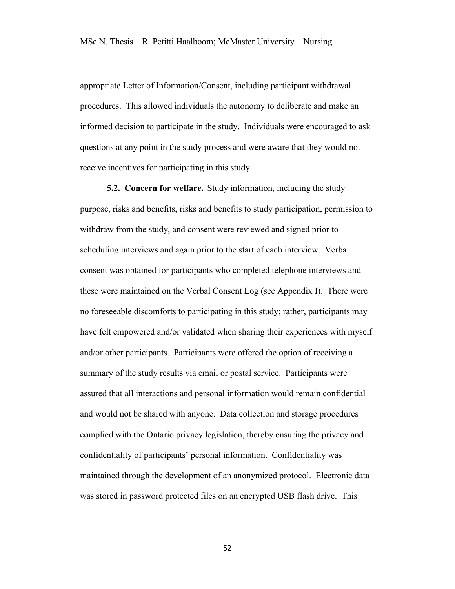appropriate Letter of Information/Consent, including participant withdrawal procedures. This allowed individuals the autonomy to deliberate and make an informed decision to participate in the study. Individuals were encouraged to ask questions at any point in the study process and were aware that they would not receive incentives for participating in this study.

**5.2. Concern for welfare.** Study information, including the study purpose, risks and benefits, risks and benefits to study participation, permission to withdraw from the study, and consent were reviewed and signed prior to scheduling interviews and again prior to the start of each interview. Verbal consent was obtained for participants who completed telephone interviews and these were maintained on the Verbal Consent Log (see Appendix I). There were no foreseeable discomforts to participating in this study; rather, participants may have felt empowered and/or validated when sharing their experiences with myself and/or other participants. Participants were offered the option of receiving a summary of the study results via email or postal service. Participants were assured that all interactions and personal information would remain confidential and would not be shared with anyone. Data collection and storage procedures complied with the Ontario privacy legislation, thereby ensuring the privacy and confidentiality of participants' personal information. Confidentiality was maintained through the development of an anonymized protocol. Electronic data was stored in password protected files on an encrypted USB flash drive. This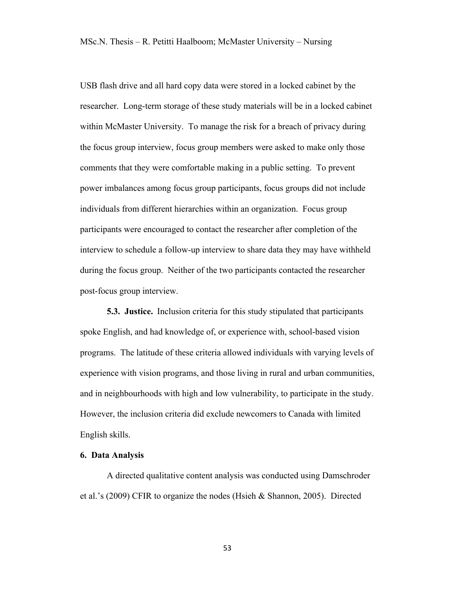USB flash drive and all hard copy data were stored in a locked cabinet by the researcher. Long-term storage of these study materials will be in a locked cabinet within McMaster University. To manage the risk for a breach of privacy during the focus group interview, focus group members were asked to make only those comments that they were comfortable making in a public setting. To prevent power imbalances among focus group participants, focus groups did not include individuals from different hierarchies within an organization. Focus group participants were encouraged to contact the researcher after completion of the interview to schedule a follow-up interview to share data they may have withheld during the focus group. Neither of the two participants contacted the researcher post-focus group interview.

**5.3. Justice.** Inclusion criteria for this study stipulated that participants spoke English, and had knowledge of, or experience with, school-based vision programs. The latitude of these criteria allowed individuals with varying levels of experience with vision programs, and those living in rural and urban communities, and in neighbourhoods with high and low vulnerability, to participate in the study. However, the inclusion criteria did exclude newcomers to Canada with limited English skills.

## **6. Data Analysis**

A directed qualitative content analysis was conducted using Damschroder et al.'s (2009) CFIR to organize the nodes (Hsieh & Shannon, 2005). Directed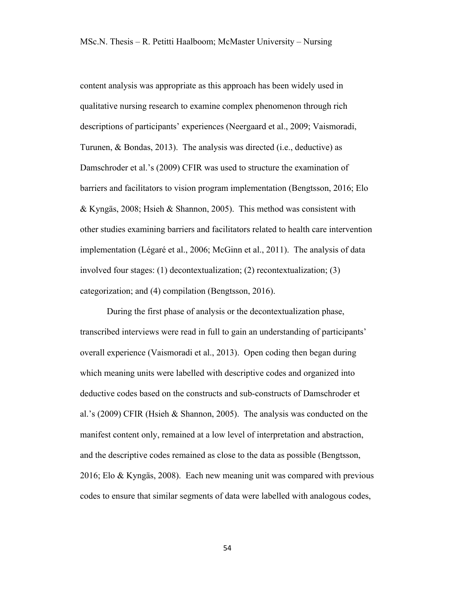content analysis was appropriate as this approach has been widely used in qualitative nursing research to examine complex phenomenon through rich descriptions of participants' experiences (Neergaard et al., 2009; Vaismoradi, Turunen, & Bondas, 2013). The analysis was directed (i.e., deductive) as Damschroder et al.'s (2009) CFIR was used to structure the examination of barriers and facilitators to vision program implementation (Bengtsson, 2016; Elo & Kyngäs, 2008; Hsieh & Shannon, 2005). This method was consistent with other studies examining barriers and facilitators related to health care intervention implementation (Légaré et al., 2006; McGinn et al., 2011). The analysis of data involved four stages: (1) decontextualization; (2) recontextualization; (3) categorization; and (4) compilation (Bengtsson, 2016).

During the first phase of analysis or the decontextualization phase, transcribed interviews were read in full to gain an understanding of participants' overall experience (Vaismoradi et al., 2013). Open coding then began during which meaning units were labelled with descriptive codes and organized into deductive codes based on the constructs and sub-constructs of Damschroder et al.'s (2009) CFIR (Hsieh & Shannon, 2005). The analysis was conducted on the manifest content only, remained at a low level of interpretation and abstraction, and the descriptive codes remained as close to the data as possible (Bengtsson, 2016; Elo & Kyngäs, 2008). Each new meaning unit was compared with previous codes to ensure that similar segments of data were labelled with analogous codes,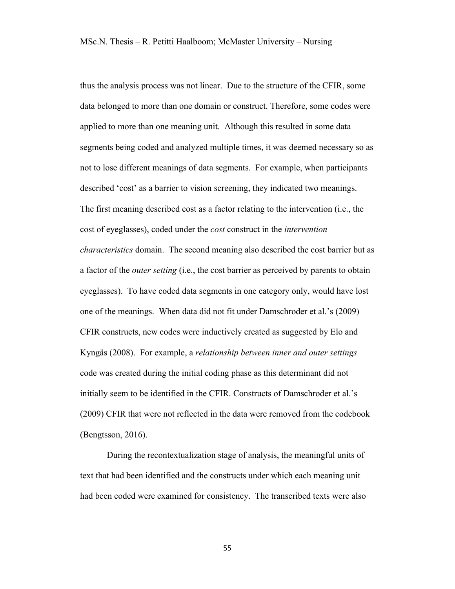thus the analysis process was not linear. Due to the structure of the CFIR, some data belonged to more than one domain or construct. Therefore, some codes were applied to more than one meaning unit. Although this resulted in some data segments being coded and analyzed multiple times, it was deemed necessary so as not to lose different meanings of data segments. For example, when participants described 'cost' as a barrier to vision screening, they indicated two meanings. The first meaning described cost as a factor relating to the intervention (i.e., the cost of eyeglasses), coded under the *cost* construct in the *intervention characteristics* domain. The second meaning also described the cost barrier but as a factor of the *outer setting* (i.e., the cost barrier as perceived by parents to obtain eyeglasses). To have coded data segments in one category only, would have lost one of the meanings. When data did not fit under Damschroder et al.'s (2009) CFIR constructs, new codes were inductively created as suggested by Elo and Kyngäs (2008). For example, a *relationship between inner and outer settings* code was created during the initial coding phase as this determinant did not initially seem to be identified in the CFIR. Constructs of Damschroder et al.'s (2009) CFIR that were not reflected in the data were removed from the codebook (Bengtsson, 2016).

During the recontextualization stage of analysis, the meaningful units of text that had been identified and the constructs under which each meaning unit had been coded were examined for consistency. The transcribed texts were also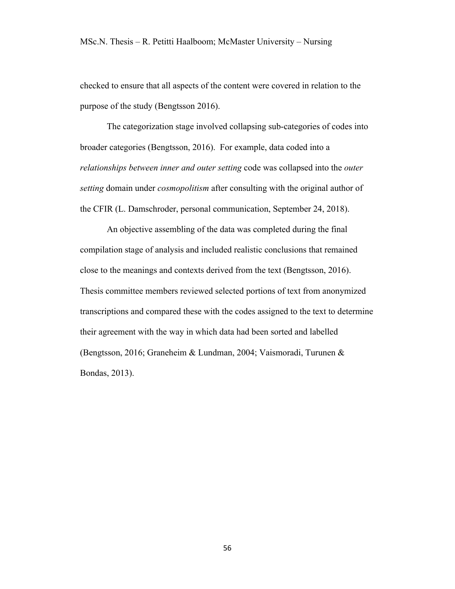checked to ensure that all aspects of the content were covered in relation to the purpose of the study (Bengtsson 2016).

The categorization stage involved collapsing sub-categories of codes into broader categories (Bengtsson, 2016). For example, data coded into a *relationships between inner and outer setting* code was collapsed into the *outer setting* domain under *cosmopolitism* after consulting with the original author of the CFIR (L. Damschroder, personal communication, September 24, 2018).

An objective assembling of the data was completed during the final compilation stage of analysis and included realistic conclusions that remained close to the meanings and contexts derived from the text (Bengtsson, 2016). Thesis committee members reviewed selected portions of text from anonymized transcriptions and compared these with the codes assigned to the text to determine their agreement with the way in which data had been sorted and labelled (Bengtsson, 2016; Graneheim & Lundman, 2004; Vaismoradi, Turunen & Bondas, 2013).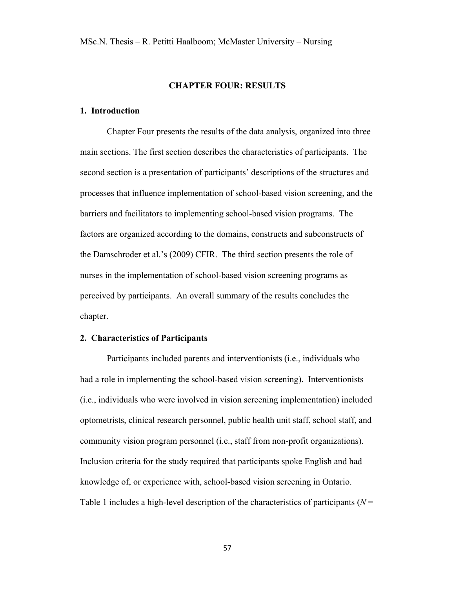#### **CHAPTER FOUR: RESULTS**

# **1. Introduction**

Chapter Four presents the results of the data analysis, organized into three main sections. The first section describes the characteristics of participants. The second section is a presentation of participants' descriptions of the structures and processes that influence implementation of school-based vision screening, and the barriers and facilitators to implementing school-based vision programs. The factors are organized according to the domains, constructs and subconstructs of the Damschroder et al.'s (2009) CFIR. The third section presents the role of nurses in the implementation of school-based vision screening programs as perceived by participants. An overall summary of the results concludes the chapter.

#### **2. Characteristics of Participants**

Participants included parents and interventionists (i.e., individuals who had a role in implementing the school-based vision screening). Interventionists (i.e., individuals who were involved in vision screening implementation) included optometrists, clinical research personnel, public health unit staff, school staff, and community vision program personnel (i.e., staff from non-profit organizations). Inclusion criteria for the study required that participants spoke English and had knowledge of, or experience with, school-based vision screening in Ontario. Table 1 includes a high-level description of the characteristics of participants (*N* =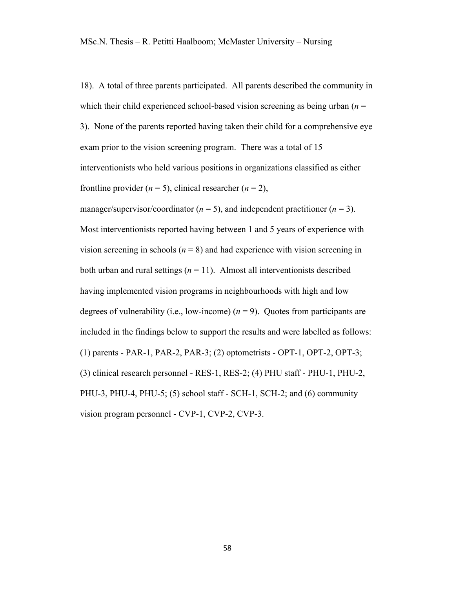18). A total of three parents participated. All parents described the community in which their child experienced school-based vision screening as being urban  $(n =$ 3). None of the parents reported having taken their child for a comprehensive eye exam prior to the vision screening program. There was a total of 15 interventionists who held various positions in organizations classified as either frontline provider  $(n = 5)$ , clinical researcher  $(n = 2)$ ,

manager/supervisor/coordinator ( $n = 5$ ), and independent practitioner ( $n = 3$ ). Most interventionists reported having between 1 and 5 years of experience with vision screening in schools ( $n = 8$ ) and had experience with vision screening in both urban and rural settings  $(n = 11)$ . Almost all interventionists described having implemented vision programs in neighbourhoods with high and low degrees of vulnerability (i.e., low-income)  $(n = 9)$ . Quotes from participants are included in the findings below to support the results and were labelled as follows: (1) parents - PAR-1, PAR-2, PAR-3; (2) optometrists - OPT-1, OPT-2, OPT-3; (3) clinical research personnel - RES-1, RES-2; (4) PHU staff - PHU-1, PHU-2, PHU-3, PHU-4, PHU-5; (5) school staff - SCH-1, SCH-2; and (6) community vision program personnel - CVP-1, CVP-2, CVP-3.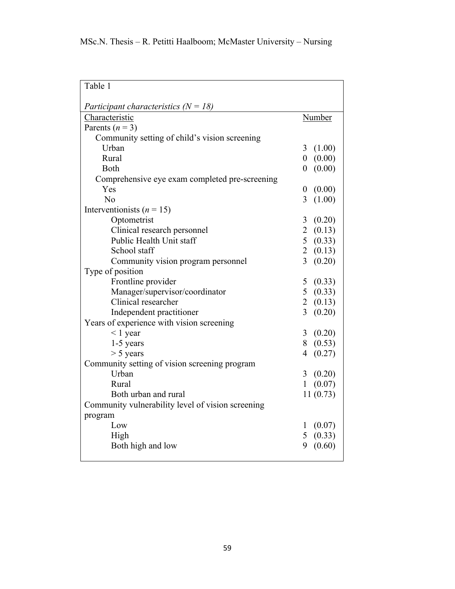| Table 1                                           |                                    |
|---------------------------------------------------|------------------------------------|
| Participant characteristics $(N = 18)$            |                                    |
| Characteristic                                    | Number                             |
| Parents $(n = 3)$                                 |                                    |
| Community setting of child's vision screening     |                                    |
| Urban                                             | (1.00)<br>3                        |
| Rural                                             | (0.00)<br>$\overline{0}$           |
| <b>Both</b>                                       | (0.00)<br>0                        |
| Comprehensive eye exam completed pre-screening    |                                    |
| Yes                                               | (0.00)<br>$\boldsymbol{0}$         |
| No                                                | 3<br>(1.00)                        |
| Interventionists ( $n = 15$ )                     |                                    |
| Optometrist                                       | (0.20)<br>3 <sup>1</sup>           |
| Clinical research personnel                       | 2(0.13)                            |
| Public Health Unit staff                          | 5(0.33)                            |
| School staff                                      | 2(0.13)                            |
| Community vision program personnel                | 3<br>(0.20)                        |
| Type of position                                  |                                    |
| Frontline provider                                | 5<br>(0.33)                        |
| Manager/supervisor/coordinator                    | 5(0.33)                            |
| Clinical researcher                               | 2(0.13)                            |
| Independent practitioner                          | $\overline{\mathcal{E}}$<br>(0.20) |
| Years of experience with vision screening         |                                    |
| $< 1$ year                                        | $\overline{3}$<br>(0.20)           |
| 1-5 years                                         | 8(0.53)                            |
| $> 5$ years                                       | 4<br>(0.27)                        |
| Community setting of vision screening program     |                                    |
| Urban                                             | 3<br>(0.20)                        |
| Rural                                             | (0.07)<br>1                        |
| Both urban and rural                              | 11(0.73)                           |
| Community vulnerability level of vision screening |                                    |
| program                                           |                                    |
| Low                                               | (0.07)<br>$\mathbf{I}$             |
| High                                              | 5<br>(0.33)                        |
| Both high and low                                 | (0.60)<br>9                        |
|                                                   |                                    |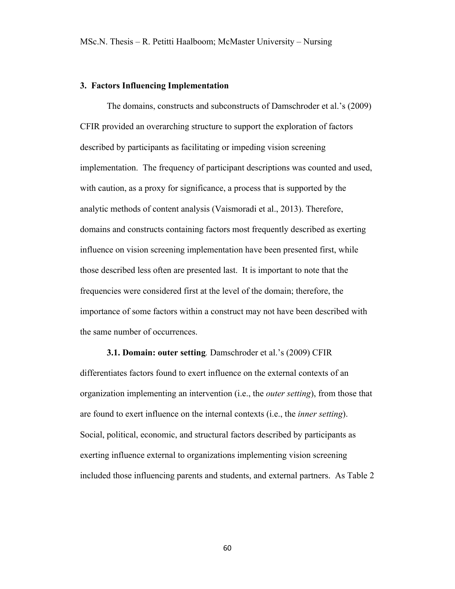#### **3. Factors Influencing Implementation**

The domains, constructs and subconstructs of Damschroder et al.'s (2009) CFIR provided an overarching structure to support the exploration of factors described by participants as facilitating or impeding vision screening implementation. The frequency of participant descriptions was counted and used, with caution, as a proxy for significance, a process that is supported by the analytic methods of content analysis (Vaismoradi et al., 2013). Therefore, domains and constructs containing factors most frequently described as exerting influence on vision screening implementation have been presented first, while those described less often are presented last. It is important to note that the frequencies were considered first at the level of the domain; therefore, the importance of some factors within a construct may not have been described with the same number of occurrences.

# **3.1. Domain: outer setting***.* Damschroder et al.'s (2009) CFIR

differentiates factors found to exert influence on the external contexts of an organization implementing an intervention (i.e., the *outer setting*), from those that are found to exert influence on the internal contexts (i.e., the *inner setting*). Social, political, economic, and structural factors described by participants as exerting influence external to organizations implementing vision screening included those influencing parents and students, and external partners. As Table 2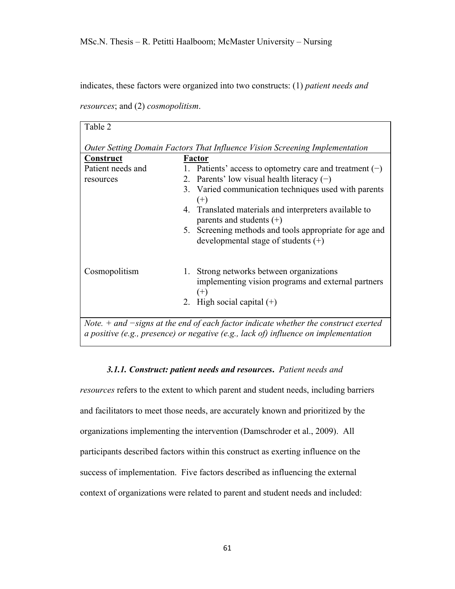indicates, these factors were organized into two constructs: (1) *patient needs and* 

*resources*; and (2) *cosmopolitism*.

| Table 2                                                                                                                                                                        |                                                                                                            |  |
|--------------------------------------------------------------------------------------------------------------------------------------------------------------------------------|------------------------------------------------------------------------------------------------------------|--|
|                                                                                                                                                                                |                                                                                                            |  |
| Outer Setting Domain Factors That Influence Vision Screening Implementation                                                                                                    |                                                                                                            |  |
| <b>Construct</b>                                                                                                                                                               | <b>Factor</b>                                                                                              |  |
| Patient needs and                                                                                                                                                              | 1. Patients' access to optometry care and treatment $(-)$                                                  |  |
| resources                                                                                                                                                                      | 2. Parents' low visual health literacy $(-)$                                                               |  |
|                                                                                                                                                                                | 3. Varied communication techniques used with parents<br>$^{(+)}$                                           |  |
|                                                                                                                                                                                | 4. Translated materials and interpreters available to<br>parents and students $(+)$                        |  |
|                                                                                                                                                                                | 5. Screening methods and tools appropriate for age and<br>developmental stage of students $(+)$            |  |
| Cosmopolitism                                                                                                                                                                  | 1. Strong networks between organizations<br>implementing vision programs and external partners<br>$^{(+)}$ |  |
|                                                                                                                                                                                | 2. High social capital $(+)$                                                                               |  |
| Note. $+$ and $-signs$ at the end of each factor indicate whether the construct exerted<br>a positive (e.g., presence) or negative (e.g., lack of) influence on implementation |                                                                                                            |  |

#### *3.1.1. Construct: patient needs and resources***.** *Patient needs and*

*resources* refers to the extent to which parent and student needs, including barriers and facilitators to meet those needs, are accurately known and prioritized by the organizations implementing the intervention (Damschroder et al., 2009). All participants described factors within this construct as exerting influence on the success of implementation. Five factors described as influencing the external context of organizations were related to parent and student needs and included: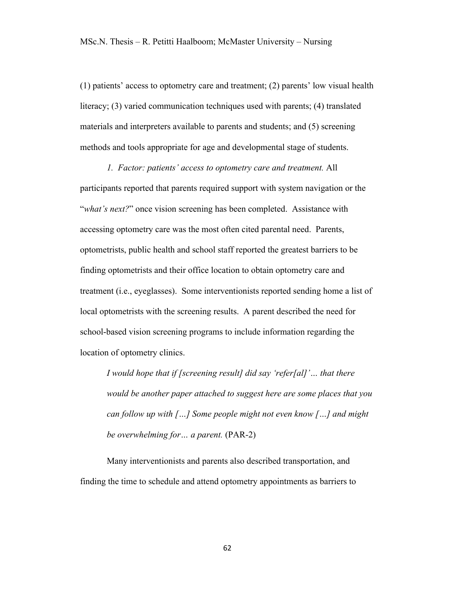(1) patients' access to optometry care and treatment; (2) parents' low visual health literacy; (3) varied communication techniques used with parents; (4) translated materials and interpreters available to parents and students; and (5) screening methods and tools appropriate for age and developmental stage of students.

*1. Factor: patients' access to optometry care and treatment.* All participants reported that parents required support with system navigation or the "*what's next?*" once vision screening has been completed. Assistance with accessing optometry care was the most often cited parental need. Parents, optometrists, public health and school staff reported the greatest barriers to be finding optometrists and their office location to obtain optometry care and treatment (i.e., eyeglasses). Some interventionists reported sending home a list of local optometrists with the screening results. A parent described the need for school-based vision screening programs to include information regarding the location of optometry clinics.

*I would hope that if [screening result] did say 'refer[al]'… that there would be another paper attached to suggest here are some places that you can follow up with […] Some people might not even know […] and might be overwhelming for… a parent.* (PAR-2)

Many interventionists and parents also described transportation, and finding the time to schedule and attend optometry appointments as barriers to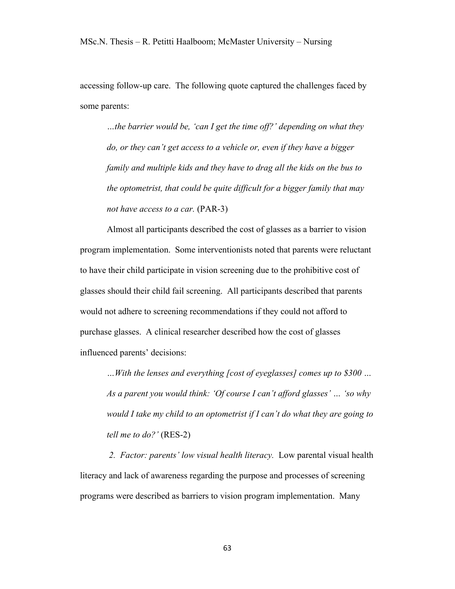accessing follow-up care. The following quote captured the challenges faced by some parents:

*…the barrier would be, 'can I get the time off?' depending on what they do, or they can't get access to a vehicle or, even if they have a bigger family and multiple kids and they have to drag all the kids on the bus to the optometrist, that could be quite difficult for a bigger family that may not have access to a car.* (PAR-3)

Almost all participants described the cost of glasses as a barrier to vision program implementation. Some interventionists noted that parents were reluctant to have their child participate in vision screening due to the prohibitive cost of glasses should their child fail screening. All participants described that parents would not adhere to screening recommendations if they could not afford to purchase glasses. A clinical researcher described how the cost of glasses influenced parents' decisions:

*…With the lenses and everything [cost of eyeglasses] comes up to \$300 … As a parent you would think: 'Of course I can't afford glasses' … 'so why would I take my child to an optometrist if I can't do what they are going to tell me to do?'* (RES-2)

*2. Factor: parents' low visual health literacy.* Low parental visual health literacy and lack of awareness regarding the purpose and processes of screening programs were described as barriers to vision program implementation. Many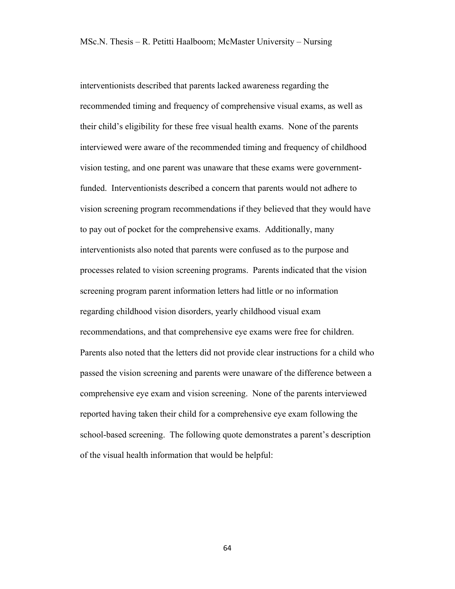interventionists described that parents lacked awareness regarding the recommended timing and frequency of comprehensive visual exams, as well as their child's eligibility for these free visual health exams. None of the parents interviewed were aware of the recommended timing and frequency of childhood vision testing, and one parent was unaware that these exams were governmentfunded. Interventionists described a concern that parents would not adhere to vision screening program recommendations if they believed that they would have to pay out of pocket for the comprehensive exams. Additionally, many interventionists also noted that parents were confused as to the purpose and processes related to vision screening programs. Parents indicated that the vision screening program parent information letters had little or no information regarding childhood vision disorders, yearly childhood visual exam recommendations, and that comprehensive eye exams were free for children. Parents also noted that the letters did not provide clear instructions for a child who passed the vision screening and parents were unaware of the difference between a comprehensive eye exam and vision screening. None of the parents interviewed reported having taken their child for a comprehensive eye exam following the school-based screening. The following quote demonstrates a parent's description of the visual health information that would be helpful: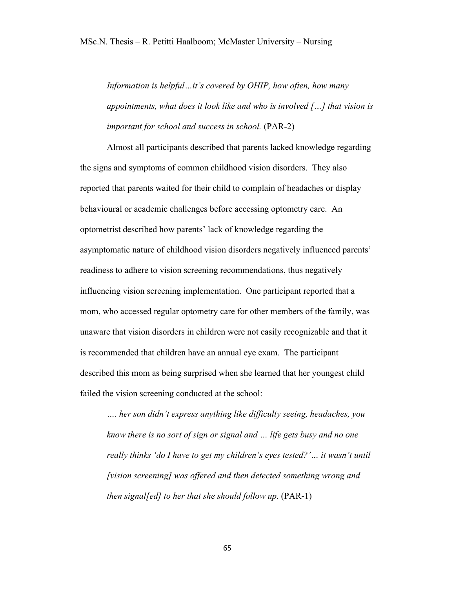*Information is helpful…it's covered by OHIP, how often, how many appointments, what does it look like and who is involved […] that vision is important for school and success in school.* (PAR-2)

Almost all participants described that parents lacked knowledge regarding the signs and symptoms of common childhood vision disorders. They also reported that parents waited for their child to complain of headaches or display behavioural or academic challenges before accessing optometry care. An optometrist described how parents' lack of knowledge regarding the asymptomatic nature of childhood vision disorders negatively influenced parents' readiness to adhere to vision screening recommendations, thus negatively influencing vision screening implementation. One participant reported that a mom, who accessed regular optometry care for other members of the family, was unaware that vision disorders in children were not easily recognizable and that it is recommended that children have an annual eye exam. The participant described this mom as being surprised when she learned that her youngest child failed the vision screening conducted at the school:

*…. her son didn't express anything like difficulty seeing, headaches, you know there is no sort of sign or signal and … life gets busy and no one really thinks 'do I have to get my children's eyes tested?'… it wasn't until [vision screening] was offered and then detected something wrong and then signal[ed] to her that she should follow up.* (PAR-1)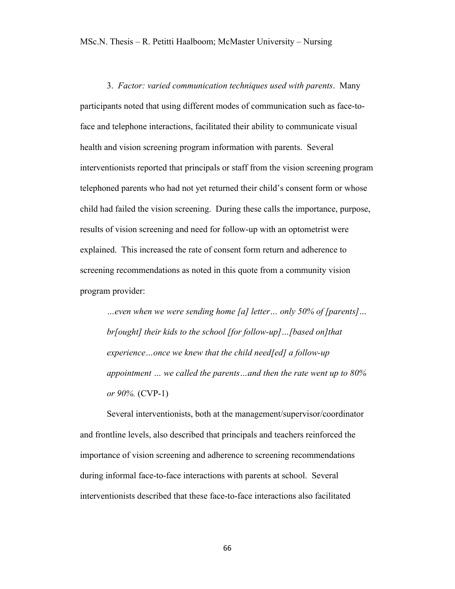3. *Factor: varied communication techniques used with parents*. Many participants noted that using different modes of communication such as face-toface and telephone interactions, facilitated their ability to communicate visual health and vision screening program information with parents. Several interventionists reported that principals or staff from the vision screening program telephoned parents who had not yet returned their child's consent form or whose child had failed the vision screening. During these calls the importance, purpose, results of vision screening and need for follow-up with an optometrist were explained. This increased the rate of consent form return and adherence to screening recommendations as noted in this quote from a community vision program provider:

*…even when we were sending home [a] letter… only 50% of [parents]… br[ought] their kids to the school [for follow-up]…[based on]that experience…once we knew that the child need[ed] a follow-up appointment … we called the parents…and then the rate went up to 80% or 90%.* (CVP-1)

Several interventionists, both at the management/supervisor/coordinator and frontline levels, also described that principals and teachers reinforced the importance of vision screening and adherence to screening recommendations during informal face-to-face interactions with parents at school. Several interventionists described that these face-to-face interactions also facilitated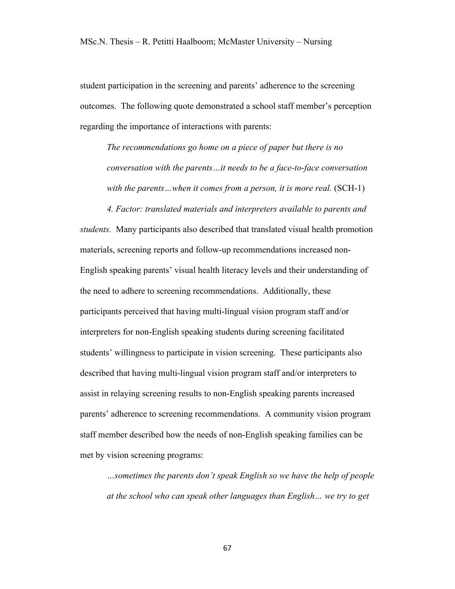student participation in the screening and parents' adherence to the screening outcomes. The following quote demonstrated a school staff member's perception regarding the importance of interactions with parents:

*The recommendations go home on a piece of paper but there is no conversation with the parents…it needs to be a face-to-face conversation* with the parents...when it comes from a person, it is more real. (SCH-1)

*4. Factor: translated materials and interpreters available to parents and students.* Many participants also described that translated visual health promotion materials, screening reports and follow-up recommendations increased non-English speaking parents' visual health literacy levels and their understanding of the need to adhere to screening recommendations. Additionally, these participants perceived that having multi-lingual vision program staff and/or interpreters for non-English speaking students during screening facilitated students' willingness to participate in vision screening. These participants also described that having multi-lingual vision program staff and/or interpreters to assist in relaying screening results to non-English speaking parents increased parents' adherence to screening recommendations. A community vision program staff member described how the needs of non-English speaking families can be met by vision screening programs:

*…sometimes the parents don't speak English so we have the help of people at the school who can speak other languages than English… we try to get*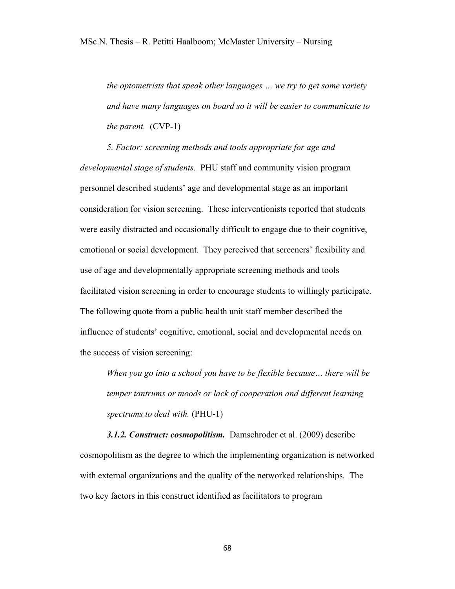*the optometrists that speak other languages … we try to get some variety and have many languages on board so it will be easier to communicate to the parent.* (CVP-1)

*5. Factor: screening methods and tools appropriate for age and developmental stage of students.* PHU staff and community vision program personnel described students' age and developmental stage as an important consideration for vision screening. These interventionists reported that students were easily distracted and occasionally difficult to engage due to their cognitive, emotional or social development. They perceived that screeners' flexibility and use of age and developmentally appropriate screening methods and tools facilitated vision screening in order to encourage students to willingly participate. The following quote from a public health unit staff member described the influence of students' cognitive, emotional, social and developmental needs on the success of vision screening:

*When you go into a school you have to be flexible because… there will be temper tantrums or moods or lack of cooperation and different learning spectrums to deal with.* (PHU-1)

*3.1.2. Construct: cosmopolitism.* Damschroder et al. (2009) describe cosmopolitism as the degree to which the implementing organization is networked with external organizations and the quality of the networked relationships. The two key factors in this construct identified as facilitators to program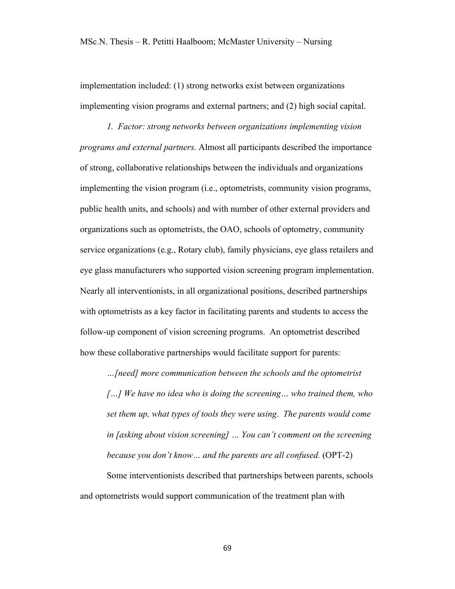implementation included: (1) strong networks exist between organizations implementing vision programs and external partners; and (2) high social capital.

*1. Factor: strong networks between organizations implementing vision programs and external partners.* Almost all participants described the importance of strong, collaborative relationships between the individuals and organizations implementing the vision program (i.e., optometrists, community vision programs, public health units, and schools) and with number of other external providers and organizations such as optometrists, the OAO, schools of optometry, community service organizations (e.g., Rotary club), family physicians, eye glass retailers and eye glass manufacturers who supported vision screening program implementation. Nearly all interventionists, in all organizational positions, described partnerships with optometrists as a key factor in facilitating parents and students to access the follow-up component of vision screening programs. An optometrist described how these collaborative partnerships would facilitate support for parents:

*…[need] more communication between the schools and the optometrist*

*[…] We have no idea who is doing the screening… who trained them, who set them up, what types of tools they were using. The parents would come in [asking about vision screening] … You can't comment on the screening because you don't know… and the parents are all confused.* (OPT-2)

Some interventionists described that partnerships between parents, schools and optometrists would support communication of the treatment plan with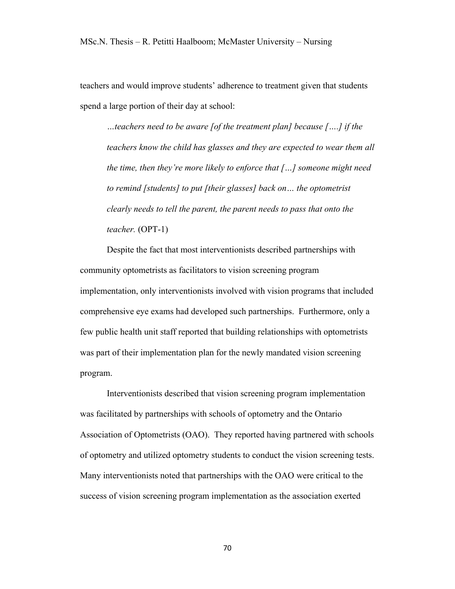teachers and would improve students' adherence to treatment given that students spend a large portion of their day at school:

*…teachers need to be aware [of the treatment plan] because [….] if the teachers know the child has glasses and they are expected to wear them all the time, then they're more likely to enforce that […] someone might need to remind [students] to put [their glasses] back on… the optometrist clearly needs to tell the parent, the parent needs to pass that onto the teacher.* (OPT-1)

Despite the fact that most interventionists described partnerships with community optometrists as facilitators to vision screening program implementation, only interventionists involved with vision programs that included comprehensive eye exams had developed such partnerships. Furthermore, only a few public health unit staff reported that building relationships with optometrists was part of their implementation plan for the newly mandated vision screening program.

Interventionists described that vision screening program implementation was facilitated by partnerships with schools of optometry and the Ontario Association of Optometrists (OAO). They reported having partnered with schools of optometry and utilized optometry students to conduct the vision screening tests. Many interventionists noted that partnerships with the OAO were critical to the success of vision screening program implementation as the association exerted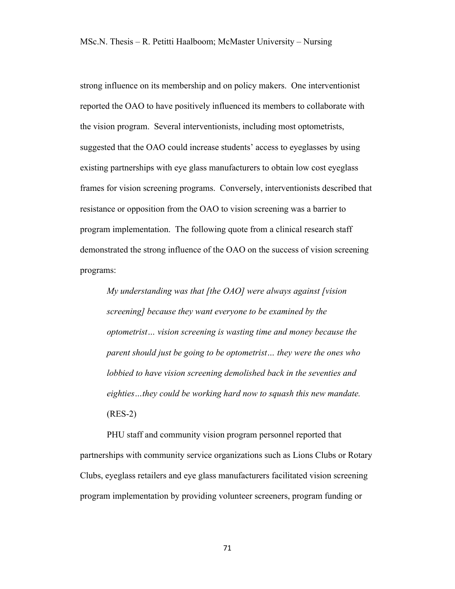strong influence on its membership and on policy makers. One interventionist reported the OAO to have positively influenced its members to collaborate with the vision program. Several interventionists, including most optometrists, suggested that the OAO could increase students' access to eyeglasses by using existing partnerships with eye glass manufacturers to obtain low cost eyeglass frames for vision screening programs. Conversely, interventionists described that resistance or opposition from the OAO to vision screening was a barrier to program implementation. The following quote from a clinical research staff demonstrated the strong influence of the OAO on the success of vision screening programs:

*My understanding was that [the OAO] were always against [vision screening] because they want everyone to be examined by the optometrist… vision screening is wasting time and money because the parent should just be going to be optometrist… they were the ones who lobbied to have vision screening demolished back in the seventies and eighties…they could be working hard now to squash this new mandate.* (RES-2)

PHU staff and community vision program personnel reported that partnerships with community service organizations such as Lions Clubs or Rotary Clubs, eyeglass retailers and eye glass manufacturers facilitated vision screening program implementation by providing volunteer screeners, program funding or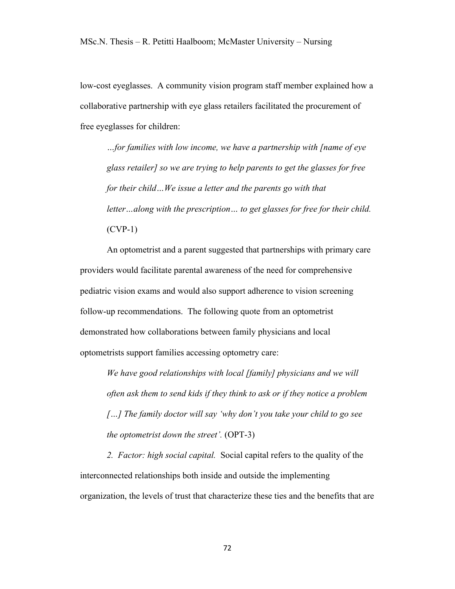low-cost eyeglasses. A community vision program staff member explained how a collaborative partnership with eye glass retailers facilitated the procurement of free eyeglasses for children:

*…for families with low income, we have a partnership with [name of eye glass retailer] so we are trying to help parents to get the glasses for free for their child…We issue a letter and the parents go with that letter…along with the prescription… to get glasses for free for their child.* (CVP-1)

An optometrist and a parent suggested that partnerships with primary care providers would facilitate parental awareness of the need for comprehensive pediatric vision exams and would also support adherence to vision screening follow-up recommendations. The following quote from an optometrist demonstrated how collaborations between family physicians and local optometrists support families accessing optometry care:

*We have good relationships with local [family] physicians and we will often ask them to send kids if they think to ask or if they notice a problem […] The family doctor will say 'why don't you take your child to go see the optometrist down the street'.* (OPT-3)

*2. Factor: high social capital.* Social capital refers to the quality of the interconnected relationships both inside and outside the implementing organization, the levels of trust that characterize these ties and the benefits that are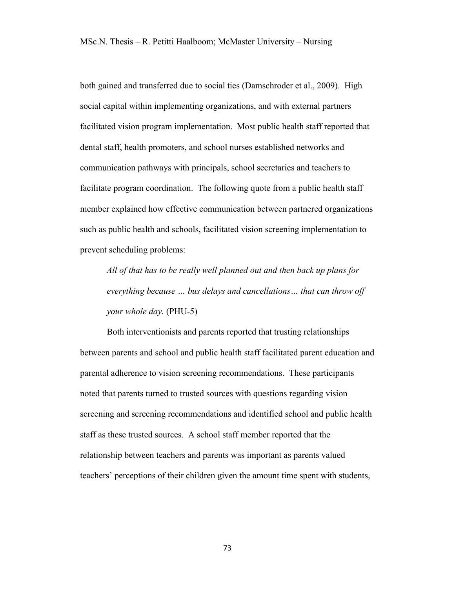both gained and transferred due to social ties (Damschroder et al., 2009). High social capital within implementing organizations, and with external partners facilitated vision program implementation. Most public health staff reported that dental staff, health promoters, and school nurses established networks and communication pathways with principals, school secretaries and teachers to facilitate program coordination. The following quote from a public health staff member explained how effective communication between partnered organizations such as public health and schools, facilitated vision screening implementation to prevent scheduling problems:

*All of that has to be really well planned out and then back up plans for everything because … bus delays and cancellations… that can throw off your whole day.* (PHU-5)

Both interventionists and parents reported that trusting relationships between parents and school and public health staff facilitated parent education and parental adherence to vision screening recommendations. These participants noted that parents turned to trusted sources with questions regarding vision screening and screening recommendations and identified school and public health staff as these trusted sources. A school staff member reported that the relationship between teachers and parents was important as parents valued teachers' perceptions of their children given the amount time spent with students,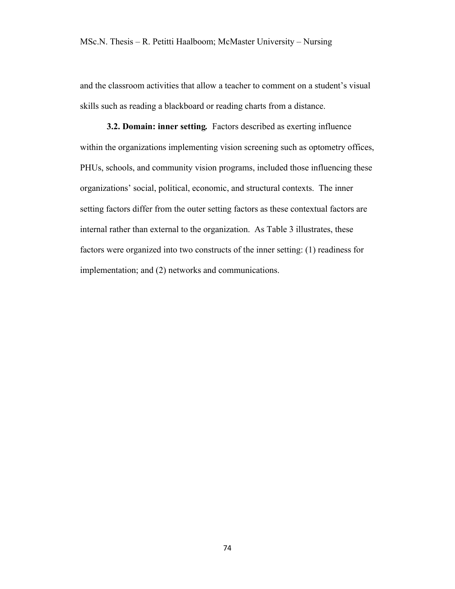and the classroom activities that allow a teacher to comment on a student's visual skills such as reading a blackboard or reading charts from a distance.

**3.2. Domain: inner setting***.* Factors described as exerting influence within the organizations implementing vision screening such as optometry offices, PHUs, schools, and community vision programs, included those influencing these organizations' social, political, economic, and structural contexts. The inner setting factors differ from the outer setting factors as these contextual factors are internal rather than external to the organization. As Table 3 illustrates, these factors were organized into two constructs of the inner setting: (1) readiness for implementation; and (2) networks and communications.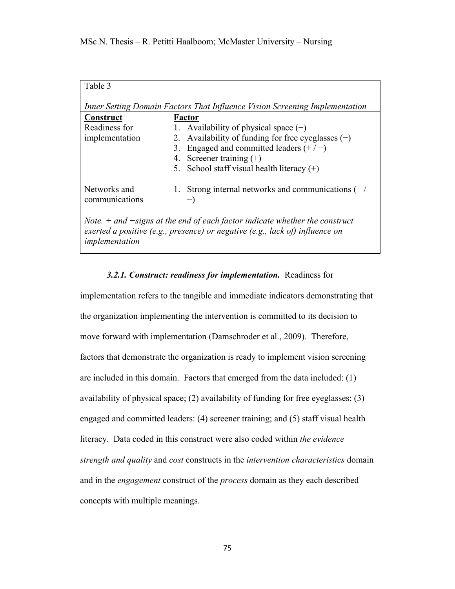| Table 3                                                                                                                                                                           |                                                      |  |
|-----------------------------------------------------------------------------------------------------------------------------------------------------------------------------------|------------------------------------------------------|--|
| Inner Setting Domain Factors That Influence Vision Screening Implementation                                                                                                       |                                                      |  |
| Construct                                                                                                                                                                         | Factor                                               |  |
| Readiness for                                                                                                                                                                     | 1. Availability of physical space $(-)$              |  |
| implementation                                                                                                                                                                    | 2. Availability of funding for free eyeglasses $(-)$ |  |
|                                                                                                                                                                                   | 3. Engaged and committed leaders $(+/-)$             |  |
|                                                                                                                                                                                   | 4. Screener training $(+)$                           |  |
|                                                                                                                                                                                   | 5. School staff visual health literacy $(+)$         |  |
| Networks and<br>communications                                                                                                                                                    | 1. Strong internal networks and communications $(+/$ |  |
| Note. $+$ and $-signs$ at the end of each factor indicate whether the construct<br>exerted a positive (e.g., presence) or negative (e.g., lack of) influence on<br>implementation |                                                      |  |

### *3.2.1. Construct: readiness for implementation.* Readiness for

implementation refers to the tangible and immediate indicators demonstrating that the organization implementing the intervention is committed to its decision to move forward with implementation (Damschroder et al., 2009). Therefore, factors that demonstrate the organization is ready to implement vision screening are included in this domain. Factors that emerged from the data included: (1) availability of physical space; (2) availability of funding for free eyeglasses; (3) engaged and committed leaders: (4) screener training; and (5) staff visual health literacy. Data coded in this construct were also coded within *the evidence strength and quality* and *cost* constructs in the *intervention characteristics* domain and in the *engagement* construct of the *process* domain as they each described concepts with multiple meanings.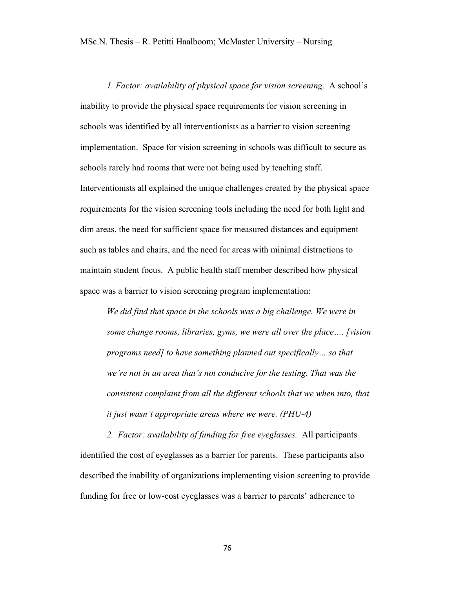*1. Factor: availability of physical space for vision screening.* A school's inability to provide the physical space requirements for vision screening in schools was identified by all interventionists as a barrier to vision screening implementation. Space for vision screening in schools was difficult to secure as schools rarely had rooms that were not being used by teaching staff. Interventionists all explained the unique challenges created by the physical space requirements for the vision screening tools including the need for both light and dim areas, the need for sufficient space for measured distances and equipment such as tables and chairs, and the need for areas with minimal distractions to maintain student focus. A public health staff member described how physical space was a barrier to vision screening program implementation:

*We did find that space in the schools was a big challenge. We were in some change rooms, libraries, gyms, we were all over the place…. [vision programs need] to have something planned out specifically… so that we're not in an area that's not conducive for the testing. That was the consistent complaint from all the different schools that we when into, that it just wasn't appropriate areas where we were. (PHU-4)*

*2. Factor: availability of funding for free eyeglasses.* All participants identified the cost of eyeglasses as a barrier for parents. These participants also described the inability of organizations implementing vision screening to provide funding for free or low-cost eyeglasses was a barrier to parents' adherence to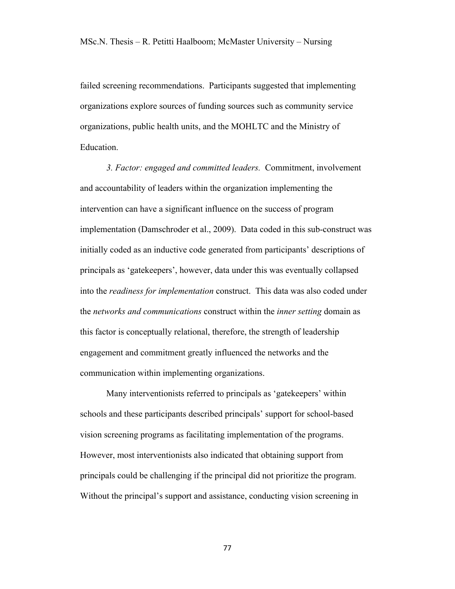failed screening recommendations. Participants suggested that implementing organizations explore sources of funding sources such as community service organizations, public health units, and the MOHLTC and the Ministry of Education.

*3. Factor: engaged and committed leaders.* Commitment, involvement and accountability of leaders within the organization implementing the intervention can have a significant influence on the success of program implementation (Damschroder et al., 2009). Data coded in this sub-construct was initially coded as an inductive code generated from participants' descriptions of principals as 'gatekeepers', however, data under this was eventually collapsed into the *readiness for implementation* construct. This data was also coded under the *networks and communications* construct within the *inner setting* domain as this factor is conceptually relational, therefore, the strength of leadership engagement and commitment greatly influenced the networks and the communication within implementing organizations.

Many interventionists referred to principals as 'gatekeepers' within schools and these participants described principals' support for school-based vision screening programs as facilitating implementation of the programs. However, most interventionists also indicated that obtaining support from principals could be challenging if the principal did not prioritize the program. Without the principal's support and assistance, conducting vision screening in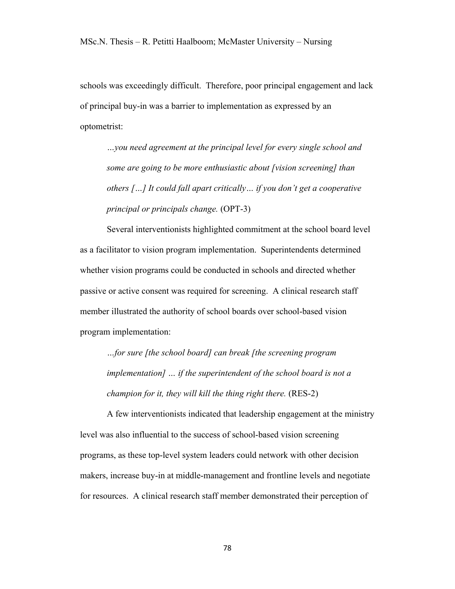schools was exceedingly difficult. Therefore, poor principal engagement and lack of principal buy-in was a barrier to implementation as expressed by an optometrist:

*…you need agreement at the principal level for every single school and some are going to be more enthusiastic about [vision screening] than others […] It could fall apart critically… if you don't get a cooperative principal or principals change.* (OPT-3)

Several interventionists highlighted commitment at the school board level as a facilitator to vision program implementation. Superintendents determined whether vision programs could be conducted in schools and directed whether passive or active consent was required for screening. A clinical research staff member illustrated the authority of school boards over school-based vision program implementation:

*…for sure [the school board] can break [the screening program implementation] … if the superintendent of the school board is not a champion for it, they will kill the thing right there.* (RES-2)

A few interventionists indicated that leadership engagement at the ministry level was also influential to the success of school-based vision screening programs, as these top-level system leaders could network with other decision makers, increase buy-in at middle-management and frontline levels and negotiate for resources. A clinical research staff member demonstrated their perception of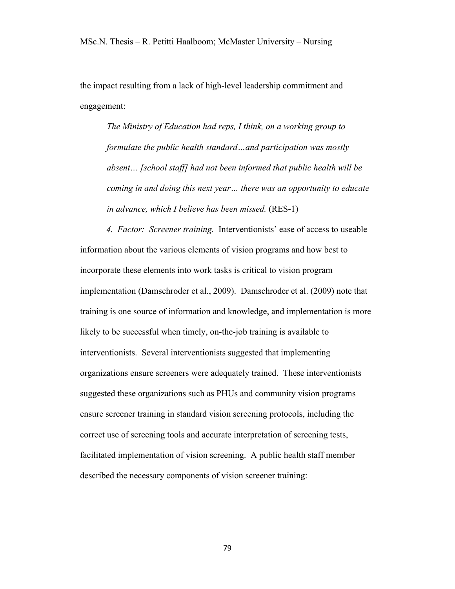the impact resulting from a lack of high-level leadership commitment and engagement:

*The Ministry of Education had reps, I think, on a working group to formulate the public health standard…and participation was mostly absent… [school staff] had not been informed that public health will be coming in and doing this next year… there was an opportunity to educate in advance, which I believe has been missed.* (RES-1)

*4. Factor: Screener training.* Interventionists' ease of access to useable information about the various elements of vision programs and how best to incorporate these elements into work tasks is critical to vision program implementation (Damschroder et al., 2009). Damschroder et al. (2009) note that training is one source of information and knowledge, and implementation is more likely to be successful when timely, on-the-job training is available to interventionists. Several interventionists suggested that implementing organizations ensure screeners were adequately trained. These interventionists suggested these organizations such as PHUs and community vision programs ensure screener training in standard vision screening protocols, including the correct use of screening tools and accurate interpretation of screening tests, facilitated implementation of vision screening. A public health staff member described the necessary components of vision screener training: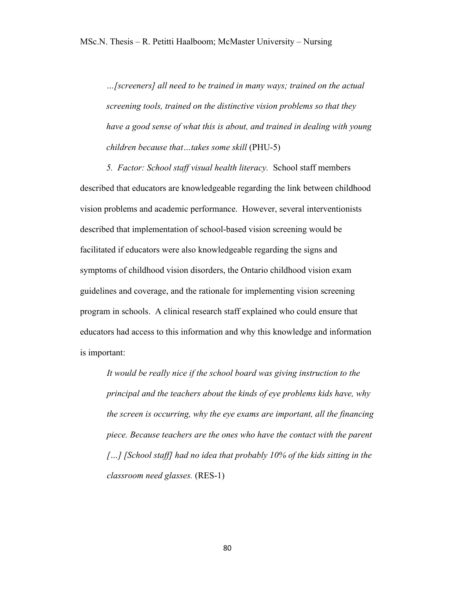*…[screeners] all need to be trained in many ways; trained on the actual screening tools, trained on the distinctive vision problems so that they have a good sense of what this is about, and trained in dealing with young children because that…takes some skill* (PHU-5)

*5. Factor: School staff visual health literacy.* School staff members described that educators are knowledgeable regarding the link between childhood vision problems and academic performance. However, several interventionists described that implementation of school-based vision screening would be facilitated if educators were also knowledgeable regarding the signs and symptoms of childhood vision disorders, the Ontario childhood vision exam guidelines and coverage, and the rationale for implementing vision screening program in schools. A clinical research staff explained who could ensure that educators had access to this information and why this knowledge and information is important:

*It would be really nice if the school board was giving instruction to the principal and the teachers about the kinds of eye problems kids have, why the screen is occurring, why the eye exams are important, all the financing piece. Because teachers are the ones who have the contact with the parent […] [School staff] had no idea that probably 10% of the kids sitting in the classroom need glasses.* (RES-1)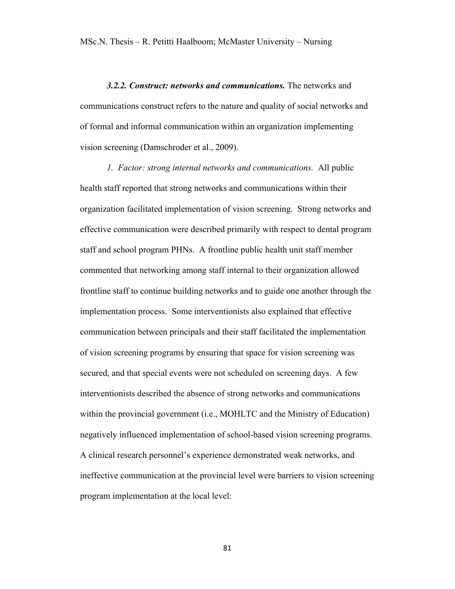*3.2.2. Construct: networks and communications.* The networks and communications construct refers to the nature and quality of social networks and of formal and informal communication within an organization implementing vision screening (Damschroder et al., 2009).

*1. Factor: strong internal networks and communications.* All public health staff reported that strong networks and communications within their organization facilitated implementation of vision screening. Strong networks and effective communication were described primarily with respect to dental program staff and school program PHNs. A frontline public health unit staff member commented that networking among staff internal to their organization allowed frontline staff to continue building networks and to guide one another through the implementation process. Some interventionists also explained that effective communication between principals and their staff facilitated the implementation of vision screening programs by ensuring that space for vision screening was secured, and that special events were not scheduled on screening days. A few interventionists described the absence of strong networks and communications within the provincial government (i.e., MOHLTC and the Ministry of Education) negatively influenced implementation of school-based vision screening programs. A clinical research personnel's experience demonstrated weak networks, and ineffective communication at the provincial level were barriers to vision screening program implementation at the local level: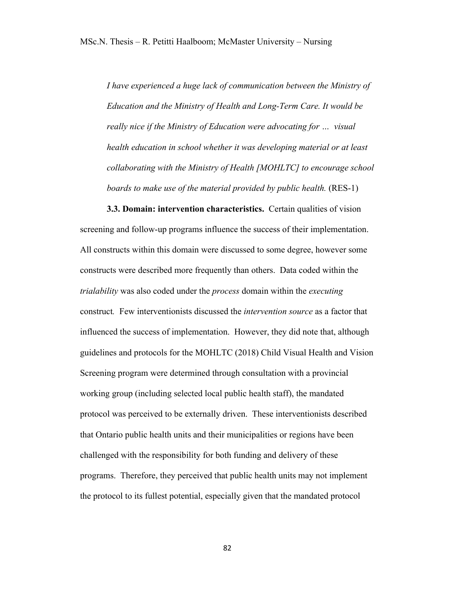*I have experienced a huge lack of communication between the Ministry of Education and the Ministry of Health and Long-Term Care. It would be really nice if the Ministry of Education were advocating for … visual health education in school whether it was developing material or at least collaborating with the Ministry of Health [MOHLTC] to encourage school boards to make use of the material provided by public health.* (RES-1)

**3.3. Domain: intervention characteristics.** Certain qualities of vision screening and follow-up programs influence the success of their implementation. All constructs within this domain were discussed to some degree, however some constructs were described more frequently than others. Data coded within the *trialability* was also coded under the *process* domain within the *executing*  construct*.* Few interventionists discussed the *intervention source* as a factor that influenced the success of implementation. However, they did note that, although guidelines and protocols for the MOHLTC (2018) Child Visual Health and Vision Screening program were determined through consultation with a provincial working group (including selected local public health staff), the mandated protocol was perceived to be externally driven. These interventionists described that Ontario public health units and their municipalities or regions have been challenged with the responsibility for both funding and delivery of these programs. Therefore, they perceived that public health units may not implement the protocol to its fullest potential, especially given that the mandated protocol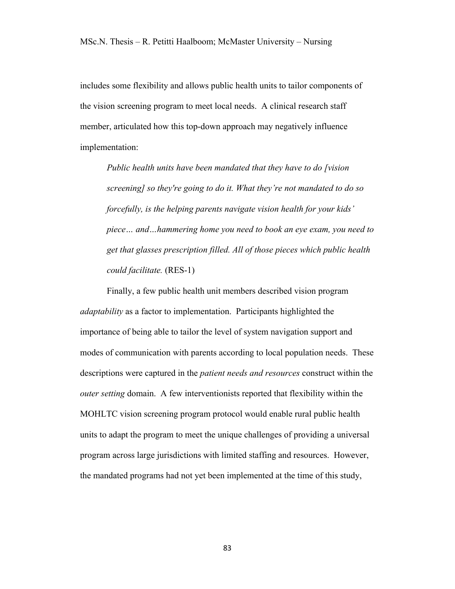includes some flexibility and allows public health units to tailor components of the vision screening program to meet local needs. A clinical research staff member, articulated how this top-down approach may negatively influence implementation:

*Public health units have been mandated that they have to do [vision screening] so they're going to do it. What they're not mandated to do so forcefully, is the helping parents navigate vision health for your kids' piece… and…hammering home you need to book an eye exam, you need to get that glasses prescription filled. All of those pieces which public health could facilitate.* (RES-1)

Finally, a few public health unit members described vision program *adaptability* as a factor to implementation. Participants highlighted the importance of being able to tailor the level of system navigation support and modes of communication with parents according to local population needs. These descriptions were captured in the *patient needs and resources* construct within the *outer setting* domain. A few interventionists reported that flexibility within the MOHLTC vision screening program protocol would enable rural public health units to adapt the program to meet the unique challenges of providing a universal program across large jurisdictions with limited staffing and resources. However, the mandated programs had not yet been implemented at the time of this study,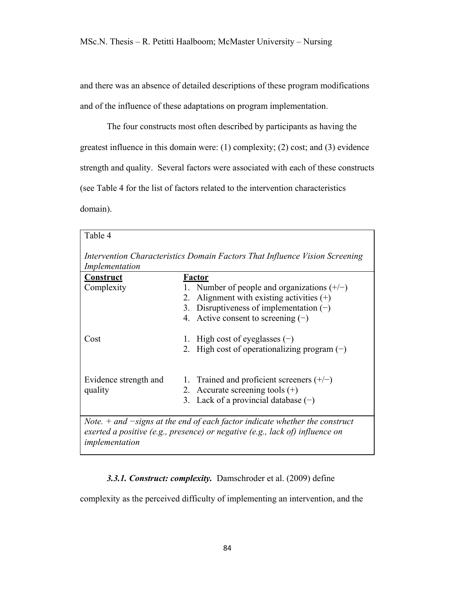and there was an absence of detailed descriptions of these program modifications and of the influence of these adaptations on program implementation.

The four constructs most often described by participants as having the greatest influence in this domain were: (1) complexity; (2) cost; and (3) evidence strength and quality. Several factors were associated with each of these constructs (see Table 4 for the list of factors related to the intervention characteristics domain).

| Table 4                                                                                       |                                                                                                                                                                 |  |
|-----------------------------------------------------------------------------------------------|-----------------------------------------------------------------------------------------------------------------------------------------------------------------|--|
| Intervention Characteristics Domain Factors That Influence Vision Screening<br>Implementation |                                                                                                                                                                 |  |
| Construct                                                                                     | Factor                                                                                                                                                          |  |
| Complexity                                                                                    | 1. Number of people and organizations $(+/-)$                                                                                                                   |  |
|                                                                                               | Alignment with existing activities $(+)$<br>2.                                                                                                                  |  |
|                                                                                               | 3. Disruptiveness of implementation $(-)$                                                                                                                       |  |
|                                                                                               | 4. Active consent to screening $(-)$                                                                                                                            |  |
| Cost                                                                                          | 1. High cost of eyeglasses $(-)$                                                                                                                                |  |
|                                                                                               | 2. High cost of operationalizing program $(-)$                                                                                                                  |  |
|                                                                                               |                                                                                                                                                                 |  |
| Evidence strength and                                                                         | 1. Trained and proficient screeners $(+/-)$                                                                                                                     |  |
| quality                                                                                       | 2. Accurate screening tools $(+)$                                                                                                                               |  |
|                                                                                               | 3. Lack of a provincial database $(-)$                                                                                                                          |  |
|                                                                                               | Note. $+$ and $-signs$ at the end of each factor indicate whether the construct<br>exerted a positive (e.g., presence) or negative (e.g., lack of) influence on |  |

*implementation*

## *3.3.1. Construct: complexity.* Damschroder et al. (2009) define

complexity as the perceived difficulty of implementing an intervention, and the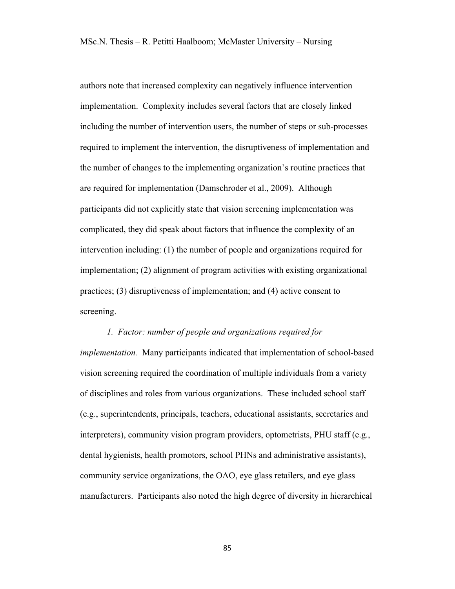authors note that increased complexity can negatively influence intervention implementation. Complexity includes several factors that are closely linked including the number of intervention users, the number of steps or sub-processes required to implement the intervention, the disruptiveness of implementation and the number of changes to the implementing organization's routine practices that are required for implementation (Damschroder et al., 2009). Although participants did not explicitly state that vision screening implementation was complicated, they did speak about factors that influence the complexity of an intervention including: (1) the number of people and organizations required for implementation; (2) alignment of program activities with existing organizational practices; (3) disruptiveness of implementation; and (4) active consent to screening.

### *1. Factor: number of people and organizations required for*

*implementation.* Many participants indicated that implementation of school-based vision screening required the coordination of multiple individuals from a variety of disciplines and roles from various organizations. These included school staff (e.g., superintendents, principals, teachers, educational assistants, secretaries and interpreters), community vision program providers, optometrists, PHU staff (e.g., dental hygienists, health promotors, school PHNs and administrative assistants), community service organizations, the OAO, eye glass retailers, and eye glass manufacturers. Participants also noted the high degree of diversity in hierarchical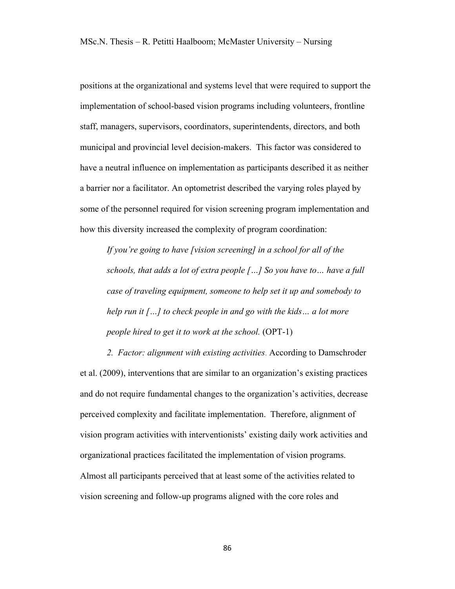positions at the organizational and systems level that were required to support the implementation of school-based vision programs including volunteers, frontline staff, managers, supervisors, coordinators, superintendents, directors, and both municipal and provincial level decision-makers. This factor was considered to have a neutral influence on implementation as participants described it as neither a barrier nor a facilitator. An optometrist described the varying roles played by some of the personnel required for vision screening program implementation and how this diversity increased the complexity of program coordination:

*If you're going to have [vision screening] in a school for all of the schools, that adds a lot of extra people […] So you have to… have a full case of traveling equipment, someone to help set it up and somebody to help run it […] to check people in and go with the kids… a lot more people hired to get it to work at the school.* (OPT-1)

*2. Factor: alignment with existing activities*. According to Damschroder et al. (2009), interventions that are similar to an organization's existing practices and do not require fundamental changes to the organization's activities, decrease perceived complexity and facilitate implementation. Therefore, alignment of vision program activities with interventionists' existing daily work activities and organizational practices facilitated the implementation of vision programs. Almost all participants perceived that at least some of the activities related to vision screening and follow-up programs aligned with the core roles and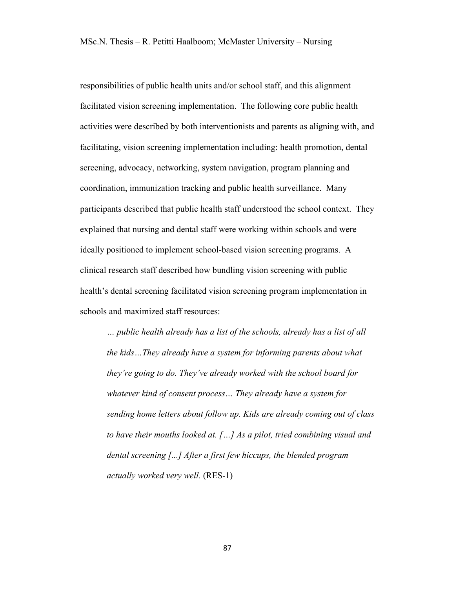responsibilities of public health units and/or school staff, and this alignment facilitated vision screening implementation. The following core public health activities were described by both interventionists and parents as aligning with, and facilitating, vision screening implementation including: health promotion, dental screening, advocacy, networking, system navigation, program planning and coordination, immunization tracking and public health surveillance. Many participants described that public health staff understood the school context. They explained that nursing and dental staff were working within schools and were ideally positioned to implement school-based vision screening programs. A clinical research staff described how bundling vision screening with public health's dental screening facilitated vision screening program implementation in schools and maximized staff resources:

*… public health already has a list of the schools, already has a list of all the kids…They already have a system for informing parents about what they're going to do. They've already worked with the school board for whatever kind of consent process… They already have a system for sending home letters about follow up. Kids are already coming out of class to have their mouths looked at. […] As a pilot, tried combining visual and dental screening [...] After a first few hiccups, the blended program actually worked very well.* (RES-1)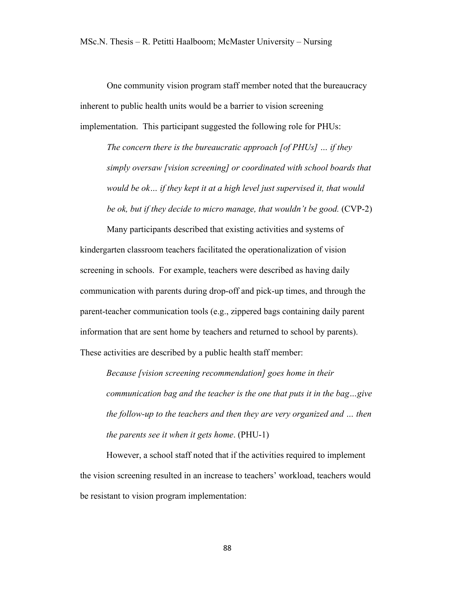One community vision program staff member noted that the bureaucracy inherent to public health units would be a barrier to vision screening implementation. This participant suggested the following role for PHUs:

*The concern there is the bureaucratic approach [of PHUs] … if they simply oversaw [vision screening] or coordinated with school boards that would be ok… if they kept it at a high level just supervised it, that would be ok, but if they decide to micro manage, that wouldn't be good.* (CVP-2)

Many participants described that existing activities and systems of kindergarten classroom teachers facilitated the operationalization of vision screening in schools. For example, teachers were described as having daily communication with parents during drop-off and pick-up times, and through the parent-teacher communication tools (e.g., zippered bags containing daily parent information that are sent home by teachers and returned to school by parents). These activities are described by a public health staff member:

*Because [vision screening recommendation] goes home in their communication bag and the teacher is the one that puts it in the bag…give the follow-up to the teachers and then they are very organized and … then the parents see it when it gets home*. (PHU-1)

However, a school staff noted that if the activities required to implement the vision screening resulted in an increase to teachers' workload, teachers would be resistant to vision program implementation: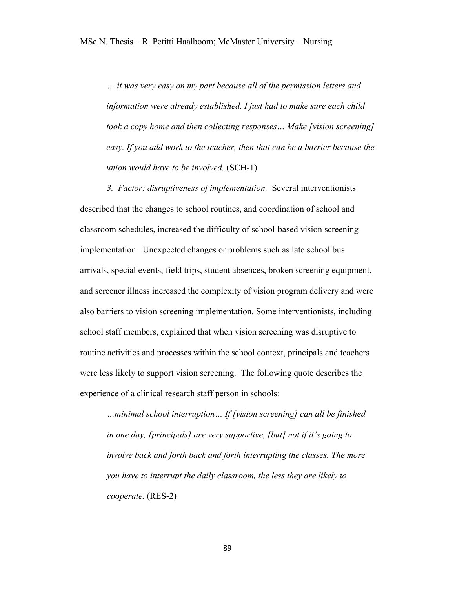*… it was very easy on my part because all of the permission letters and information were already established. I just had to make sure each child took a copy home and then collecting responses… Make [vision screening] easy. If you add work to the teacher, then that can be a barrier because the union would have to be involved.* (SCH-1)

*3. Factor: disruptiveness of implementation.* Several interventionists described that the changes to school routines, and coordination of school and classroom schedules, increased the difficulty of school-based vision screening implementation. Unexpected changes or problems such as late school bus arrivals, special events, field trips, student absences, broken screening equipment, and screener illness increased the complexity of vision program delivery and were also barriers to vision screening implementation. Some interventionists, including school staff members, explained that when vision screening was disruptive to routine activities and processes within the school context, principals and teachers were less likely to support vision screening. The following quote describes the experience of a clinical research staff person in schools:

*…minimal school interruption… If [vision screening] can all be finished in one day, [principals] are very supportive, [but] not if it's going to involve back and forth back and forth interrupting the classes. The more you have to interrupt the daily classroom, the less they are likely to cooperate.* (RES-2)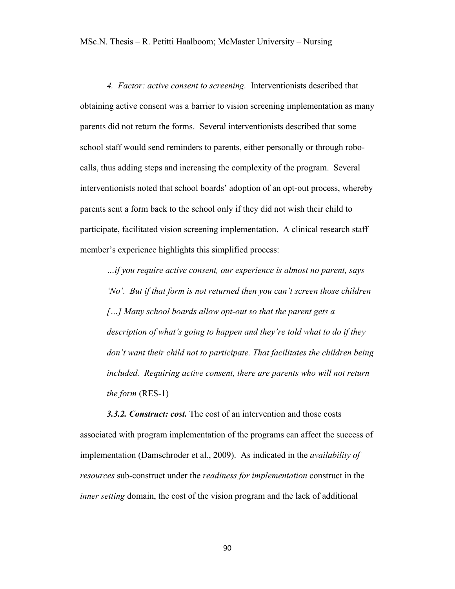*4. Factor: active consent to screening.* Interventionists described that obtaining active consent was a barrier to vision screening implementation as many parents did not return the forms. Several interventionists described that some school staff would send reminders to parents, either personally or through robocalls, thus adding steps and increasing the complexity of the program. Several interventionists noted that school boards' adoption of an opt-out process, whereby parents sent a form back to the school only if they did not wish their child to participate, facilitated vision screening implementation. A clinical research staff member's experience highlights this simplified process:

*…if you require active consent, our experience is almost no parent, says 'No'. But if that form is not returned then you can't screen those children […] Many school boards allow opt-out so that the parent gets a description of what's going to happen and they're told what to do if they don't want their child not to participate. That facilitates the children being included. Requiring active consent, there are parents who will not return the form* (RES-1)

*3.3.2. Construct: cost.* The cost of an intervention and those costs associated with program implementation of the programs can affect the success of implementation (Damschroder et al., 2009). As indicated in the *availability of resources* sub-construct under the *readiness for implementation* construct in the *inner setting* domain, the cost of the vision program and the lack of additional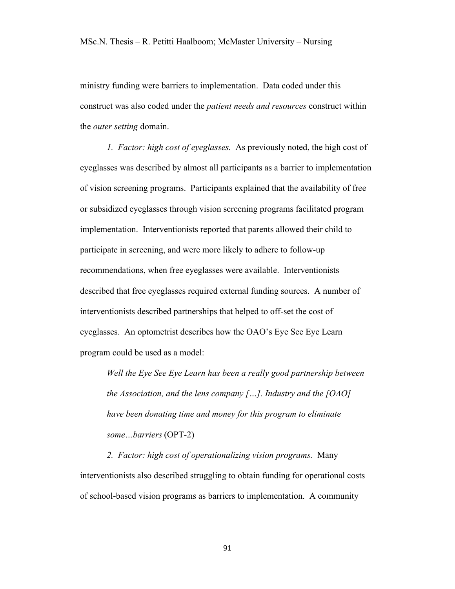ministry funding were barriers to implementation. Data coded under this construct was also coded under the *patient needs and resources* construct within the *outer setting* domain.

*1. Factor: high cost of eyeglasses.* As previously noted, the high cost of eyeglasses was described by almost all participants as a barrier to implementation of vision screening programs. Participants explained that the availability of free or subsidized eyeglasses through vision screening programs facilitated program implementation. Interventionists reported that parents allowed their child to participate in screening, and were more likely to adhere to follow-up recommendations, when free eyeglasses were available. Interventionists described that free eyeglasses required external funding sources. A number of interventionists described partnerships that helped to off-set the cost of eyeglasses. An optometrist describes how the OAO's Eye See Eye Learn program could be used as a model:

*Well the Eye See Eye Learn has been a really good partnership between the Association, and the lens company […]. Industry and the [OAO] have been donating time and money for this program to eliminate some…barriers* (OPT-2)

*2. Factor: high cost of operationalizing vision programs.* Many interventionists also described struggling to obtain funding for operational costs of school-based vision programs as barriers to implementation. A community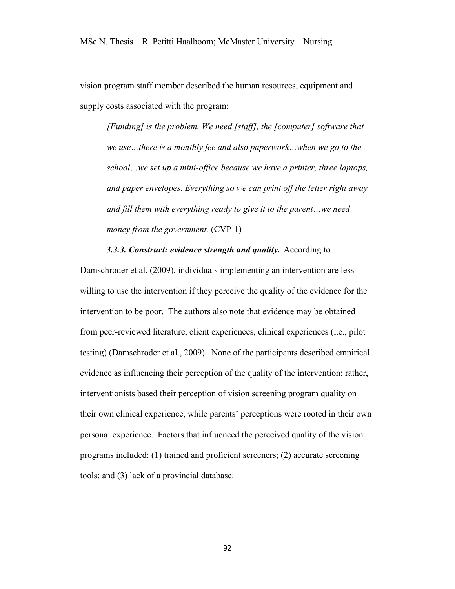vision program staff member described the human resources, equipment and supply costs associated with the program:

*[Funding] is the problem. We need [staff], the [computer] software that we use…there is a monthly fee and also paperwork…when we go to the school…we set up a mini-office because we have a printer, three laptops, and paper envelopes. Everything so we can print off the letter right away and fill them with everything ready to give it to the parent…we need money from the government.* (CVP-1)

*3.3.3. Construct: evidence strength and quality.* According to Damschroder et al. (2009), individuals implementing an intervention are less willing to use the intervention if they perceive the quality of the evidence for the intervention to be poor. The authors also note that evidence may be obtained from peer-reviewed literature, client experiences, clinical experiences (i.e., pilot testing) (Damschroder et al., 2009). None of the participants described empirical evidence as influencing their perception of the quality of the intervention; rather, interventionists based their perception of vision screening program quality on their own clinical experience, while parents' perceptions were rooted in their own personal experience. Factors that influenced the perceived quality of the vision programs included: (1) trained and proficient screeners; (2) accurate screening tools; and (3) lack of a provincial database.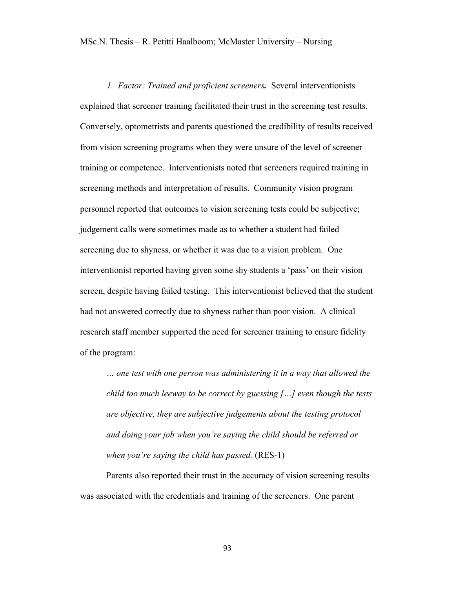*1. Factor: Trained and proficient screeners.* Several interventionists explained that screener training facilitated their trust in the screening test results. Conversely, optometrists and parents questioned the credibility of results received from vision screening programs when they were unsure of the level of screener training or competence. Interventionists noted that screeners required training in screening methods and interpretation of results. Community vision program personnel reported that outcomes to vision screening tests could be subjective; judgement calls were sometimes made as to whether a student had failed screening due to shyness, or whether it was due to a vision problem. One interventionist reported having given some shy students a 'pass' on their vision screen, despite having failed testing. This interventionist believed that the student had not answered correctly due to shyness rather than poor vision. A clinical research staff member supported the need for screener training to ensure fidelity of the program:

*… one test with one person was administering it in a way that allowed the child too much leeway to be correct by guessing […] even though the tests are objective, they are subjective judgements about the testing protocol and doing your job when you're saying the child should be referred or when you're saying the child has passed.* (RES-1)

Parents also reported their trust in the accuracy of vision screening results was associated with the credentials and training of the screeners. One parent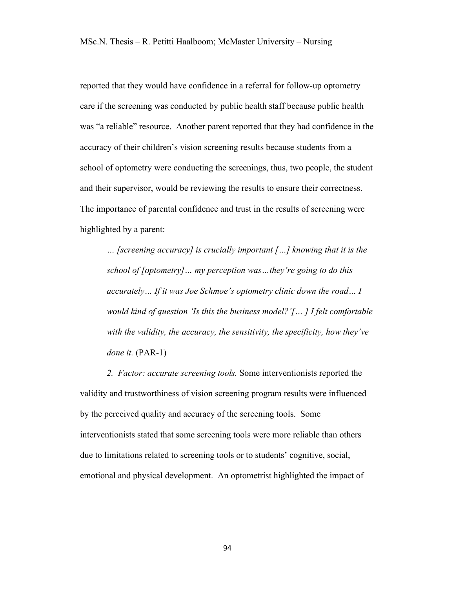reported that they would have confidence in a referral for follow-up optometry care if the screening was conducted by public health staff because public health was "a reliable" resource. Another parent reported that they had confidence in the accuracy of their children's vision screening results because students from a school of optometry were conducting the screenings, thus, two people, the student and their supervisor, would be reviewing the results to ensure their correctness. The importance of parental confidence and trust in the results of screening were highlighted by a parent:

*… [screening accuracy] is crucially important […] knowing that it is the school of [optometry]… my perception was…they're going to do this accurately… If it was Joe Schmoe's optometry clinic down the road… I would kind of question 'Is this the business model?'[… ] I felt comfortable with the validity, the accuracy, the sensitivity, the specificity, how they've done it.* (PAR-1)

*2. Factor: accurate screening tools.* Some interventionists reported the validity and trustworthiness of vision screening program results were influenced by the perceived quality and accuracy of the screening tools. Some interventionists stated that some screening tools were more reliable than others due to limitations related to screening tools or to students' cognitive, social, emotional and physical development. An optometrist highlighted the impact of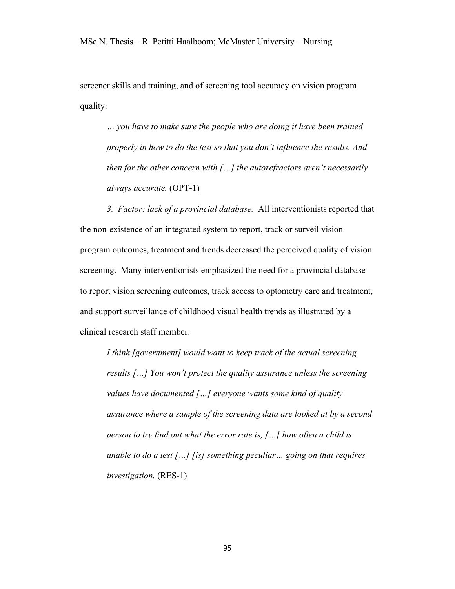screener skills and training, and of screening tool accuracy on vision program quality:

*… you have to make sure the people who are doing it have been trained properly in how to do the test so that you don't influence the results. And then for the other concern with […] the autorefractors aren't necessarily always accurate.* (OPT-1)

*3. Factor: lack of a provincial database.* All interventionists reported that the non-existence of an integrated system to report, track or surveil vision program outcomes, treatment and trends decreased the perceived quality of vision screening. Many interventionists emphasized the need for a provincial database to report vision screening outcomes, track access to optometry care and treatment, and support surveillance of childhood visual health trends as illustrated by a clinical research staff member:

*I think [government] would want to keep track of the actual screening results […] You won't protect the quality assurance unless the screening values have documented […] everyone wants some kind of quality assurance where a sample of the screening data are looked at by a second person to try find out what the error rate is, […] how often a child is unable to do a test […] [is] something peculiar… going on that requires investigation.* (RES-1)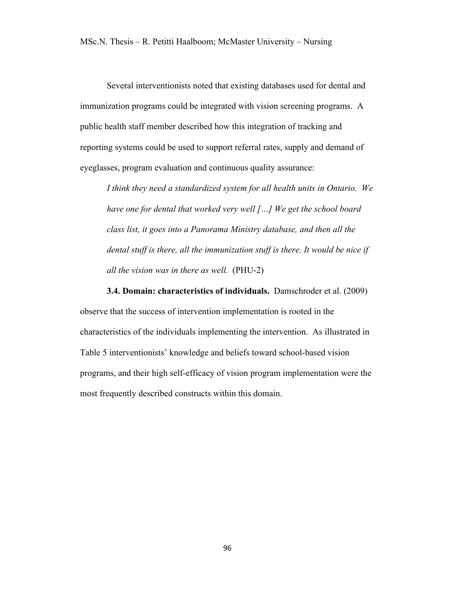Several interventionists noted that existing databases used for dental and immunization programs could be integrated with vision screening programs. A public health staff member described how this integration of tracking and reporting systems could be used to support referral rates, supply and demand of eyeglasses, program evaluation and continuous quality assurance:

*I think they need a standardized system for all health units in Ontario. We have one for dental that worked very well […] We get the school board class list, it goes into a Panorama Ministry database, and then all the dental stuff is there, all the immunization stuff is there. It would be nice if all the vision was in there as well.* (PHU-2)

**3.4. Domain: characteristics of individuals.** Damschroder et al. (2009)

observe that the success of intervention implementation is rooted in the characteristics of the individuals implementing the intervention. As illustrated in Table 5 interventionists' knowledge and beliefs toward school-based vision programs, and their high self-efficacy of vision program implementation were the most frequently described constructs within this domain.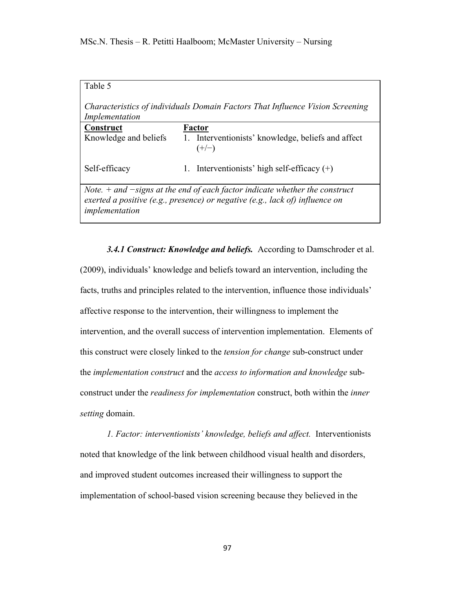| Table 5                                                                                                                                                                           |                                                               |  |  |
|-----------------------------------------------------------------------------------------------------------------------------------------------------------------------------------|---------------------------------------------------------------|--|--|
| Characteristics of individuals Domain Factors That Influence Vision Screening<br>Implementation                                                                                   |                                                               |  |  |
| Construct                                                                                                                                                                         | Factor                                                        |  |  |
| Knowledge and beliefs                                                                                                                                                             | 1. Interventionists' knowledge, beliefs and affect<br>$(+/-)$ |  |  |
| Self-efficacy                                                                                                                                                                     | 1. Interventionists' high self-efficacy $(+)$                 |  |  |
| Note. $+$ and $-signs$ at the end of each factor indicate whether the construct<br>exerted a positive (e.g., presence) or negative (e.g., lack of) influence on<br>implementation |                                                               |  |  |

*3.4.1 Construct: Knowledge and beliefs.* According to Damschroder et al. (2009), individuals' knowledge and beliefs toward an intervention, including the facts, truths and principles related to the intervention, influence those individuals' affective response to the intervention, their willingness to implement the intervention, and the overall success of intervention implementation. Elements of this construct were closely linked to the *tension for change* sub-construct under the *implementation construct* and the *access to information and knowledge* subconstruct under the *readiness for implementation* construct, both within the *inner setting* domain.

*1. Factor: interventionists' knowledge, beliefs and affect.* Interventionists noted that knowledge of the link between childhood visual health and disorders, and improved student outcomes increased their willingness to support the implementation of school-based vision screening because they believed in the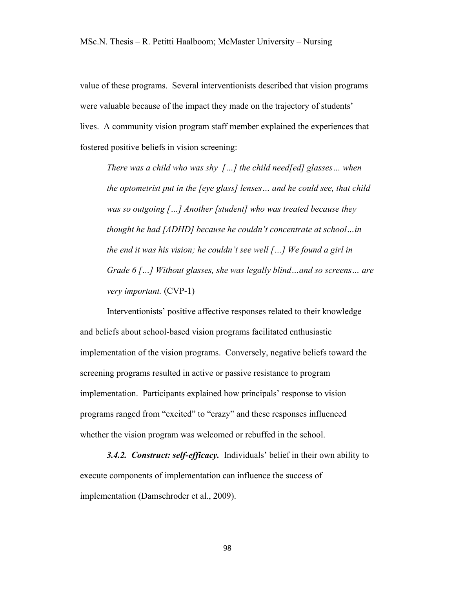value of these programs. Several interventionists described that vision programs were valuable because of the impact they made on the trajectory of students' lives. A community vision program staff member explained the experiences that fostered positive beliefs in vision screening:

*There was a child who was shy […] the child need[ed] glasses… when the optometrist put in the [eye glass] lenses… and he could see, that child was so outgoing […] Another [student] who was treated because they thought he had [ADHD] because he couldn't concentrate at school…in the end it was his vision; he couldn't see well […] We found a girl in Grade 6 […] Without glasses, she was legally blind…and so screens… are very important.* (CVP-1)

Interventionists' positive affective responses related to their knowledge and beliefs about school-based vision programs facilitated enthusiastic implementation of the vision programs. Conversely, negative beliefs toward the screening programs resulted in active or passive resistance to program implementation. Participants explained how principals' response to vision programs ranged from "excited" to "crazy" and these responses influenced whether the vision program was welcomed or rebuffed in the school.

*3.4.2. Construct: self-efficacy.* Individuals' belief in their own ability to execute components of implementation can influence the success of implementation (Damschroder et al., 2009).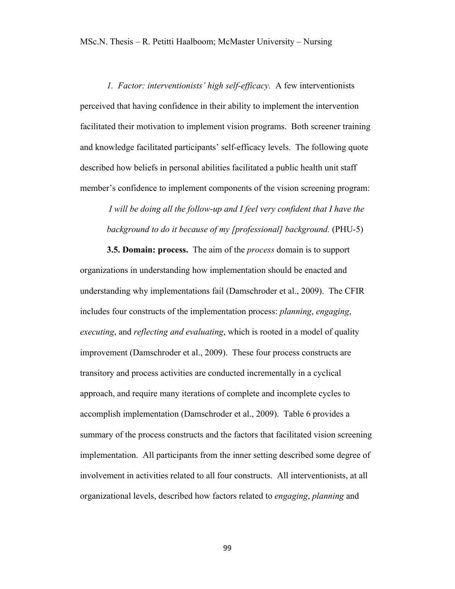*1. Factor: interventionists' high self-efficacy.* A few interventionists perceived that having confidence in their ability to implement the intervention facilitated their motivation to implement vision programs. Both screener training and knowledge facilitated participants' self-efficacy levels. The following quote described how beliefs in personal abilities facilitated a public health unit staff member's confidence to implement components of the vision screening program:

*I* will be doing all the follow-up and *I* feel very confident that *I* have the *background to do it because of my [professional] background.* (PHU-5)

**3.5. Domain: process.** The aim of the *process* domain is to support organizations in understanding how implementation should be enacted and understanding why implementations fail (Damschroder et al., 2009). The CFIR includes four constructs of the implementation process: *planning*, *engaging*, *executing*, and *reflecting and evaluating*, which is rooted in a model of quality improvement (Damschroder et al., 2009). These four process constructs are transitory and process activities are conducted incrementally in a cyclical approach, and require many iterations of complete and incomplete cycles to accomplish implementation (Damschroder et al., 2009). Table 6 provides a summary of the process constructs and the factors that facilitated vision screening implementation. All participants from the inner setting described some degree of involvement in activities related to all four constructs. All interventionists, at all organizational levels, described how factors related to *engaging*, *planning* and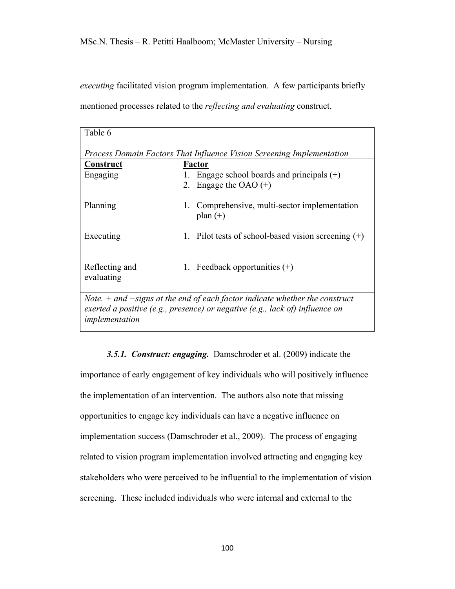*executing* facilitated vision program implementation. A few participants briefly mentioned processes related to the *reflecting and evaluating* construct.

| Table 6                                                                                                                                                                           |  |                                                                      |  |
|-----------------------------------------------------------------------------------------------------------------------------------------------------------------------------------|--|----------------------------------------------------------------------|--|
| Process Domain Factors That Influence Vision Screening Implementation                                                                                                             |  |                                                                      |  |
| <u>Construct</u>                                                                                                                                                                  |  | Factor                                                               |  |
| Engaging                                                                                                                                                                          |  | Engage school boards and principals $(+)$<br>2. Engage the OAO $(+)$ |  |
| Planning                                                                                                                                                                          |  | 1. Comprehensive, multi-sector implementation<br>plan $(+)$          |  |
| Executing                                                                                                                                                                         |  | 1. Pilot tests of school-based vision screening $(+)$                |  |
| Reflecting and<br>evaluating                                                                                                                                                      |  | 1. Feedback opportunities $(+)$                                      |  |
| Note. $+$ and $-signs$ at the end of each factor indicate whether the construct<br>exerted a positive (e.g., presence) or negative (e.g., lack of) influence on<br>implementation |  |                                                                      |  |

*3.5.1. Construct: engaging.* Damschroder et al. (2009) indicate the importance of early engagement of key individuals who will positively influence the implementation of an intervention. The authors also note that missing opportunities to engage key individuals can have a negative influence on implementation success (Damschroder et al., 2009). The process of engaging related to vision program implementation involved attracting and engaging key stakeholders who were perceived to be influential to the implementation of vision screening. These included individuals who were internal and external to the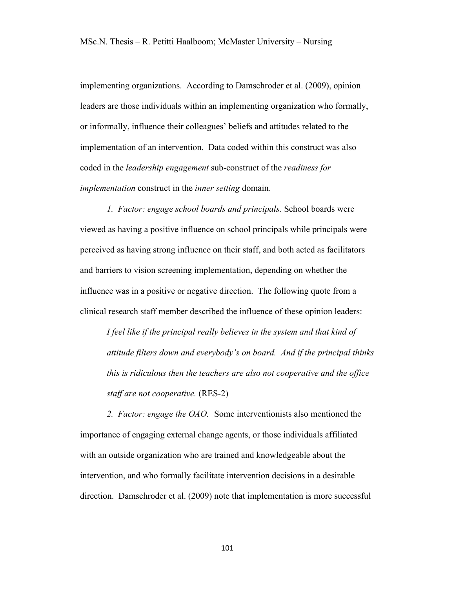implementing organizations. According to Damschroder et al. (2009), opinion leaders are those individuals within an implementing organization who formally, or informally, influence their colleagues' beliefs and attitudes related to the implementation of an intervention. Data coded within this construct was also coded in the *leadership engagement* sub-construct of the *readiness for implementation* construct in the *inner setting* domain.

*1. Factor: engage school boards and principals.* School boards were viewed as having a positive influence on school principals while principals were perceived as having strong influence on their staff, and both acted as facilitators and barriers to vision screening implementation, depending on whether the influence was in a positive or negative direction. The following quote from a clinical research staff member described the influence of these opinion leaders:

*I feel like if the principal really believes in the system and that kind of attitude filters down and everybody's on board. And if the principal thinks this is ridiculous then the teachers are also not cooperative and the office staff are not cooperative.* (RES-2)

*2. Factor: engage the OAO.* Some interventionists also mentioned the importance of engaging external change agents, or those individuals affiliated with an outside organization who are trained and knowledgeable about the intervention, and who formally facilitate intervention decisions in a desirable direction. Damschroder et al. (2009) note that implementation is more successful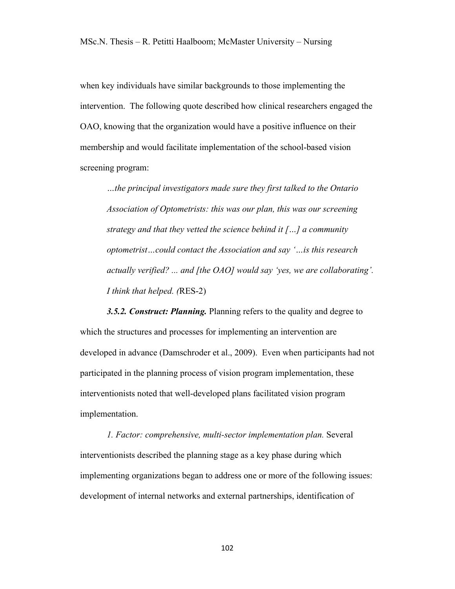when key individuals have similar backgrounds to those implementing the intervention. The following quote described how clinical researchers engaged the OAO, knowing that the organization would have a positive influence on their membership and would facilitate implementation of the school-based vision screening program:

*…the principal investigators made sure they first talked to the Ontario Association of Optometrists: this was our plan, this was our screening strategy and that they vetted the science behind it […] a community optometrist…could contact the Association and say '…is this research actually verified? ... and [the OAO] would say 'yes, we are collaborating'. I think that helped. (*RES-2)

*3.5.2. Construct: Planning.* Planning refers to the quality and degree to which the structures and processes for implementing an intervention are developed in advance (Damschroder et al., 2009). Even when participants had not participated in the planning process of vision program implementation, these interventionists noted that well-developed plans facilitated vision program implementation.

*1. Factor: comprehensive, multi-sector implementation plan.* Several interventionists described the planning stage as a key phase during which implementing organizations began to address one or more of the following issues: development of internal networks and external partnerships, identification of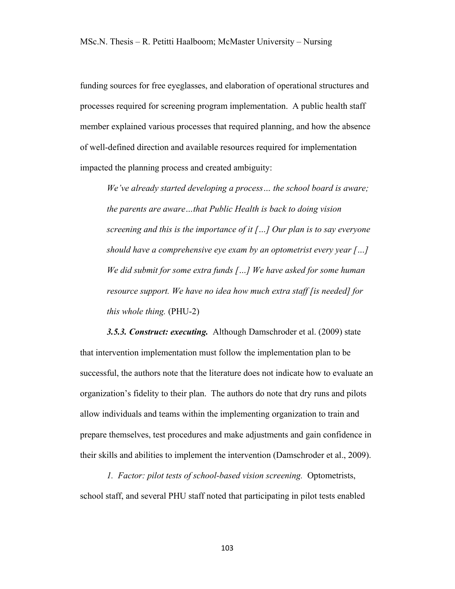funding sources for free eyeglasses, and elaboration of operational structures and processes required for screening program implementation. A public health staff member explained various processes that required planning, and how the absence of well-defined direction and available resources required for implementation impacted the planning process and created ambiguity:

*We've already started developing a process… the school board is aware; the parents are aware…that Public Health is back to doing vision screening and this is the importance of it […] Our plan is to say everyone should have a comprehensive eye exam by an optometrist every year […] We did submit for some extra funds […] We have asked for some human resource support. We have no idea how much extra staff [is needed] for this whole thing.* (PHU-2)

*3.5.3. Construct: executing.* Although Damschroder et al. (2009) state that intervention implementation must follow the implementation plan to be successful, the authors note that the literature does not indicate how to evaluate an organization's fidelity to their plan. The authors do note that dry runs and pilots allow individuals and teams within the implementing organization to train and prepare themselves, test procedures and make adjustments and gain confidence in their skills and abilities to implement the intervention (Damschroder et al., 2009).

*1. Factor: pilot tests of school-based vision screening.* Optometrists, school staff, and several PHU staff noted that participating in pilot tests enabled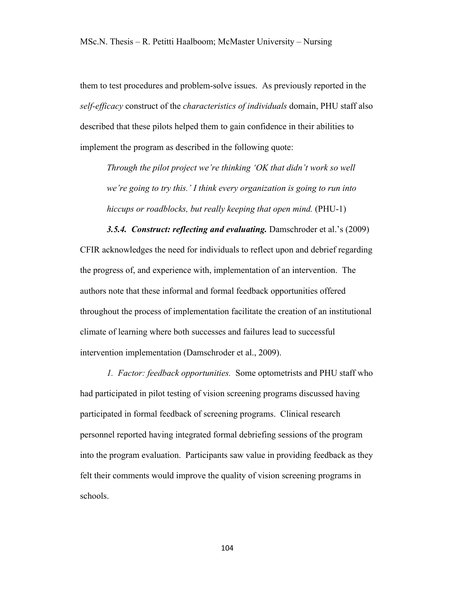them to test procedures and problem-solve issues. As previously reported in the *self-efficacy* construct of the *characteristics of individuals* domain, PHU staff also described that these pilots helped them to gain confidence in their abilities to implement the program as described in the following quote:

*Through the pilot project we're thinking 'OK that didn't work so well we're going to try this.' I think every organization is going to run into hiccups or roadblocks, but really keeping that open mind.* (PHU-1)

*3.5.4. Construct: reflecting and evaluating.* Damschroder et al.'s (2009) CFIR acknowledges the need for individuals to reflect upon and debrief regarding the progress of, and experience with, implementation of an intervention. The authors note that these informal and formal feedback opportunities offered throughout the process of implementation facilitate the creation of an institutional climate of learning where both successes and failures lead to successful intervention implementation (Damschroder et al., 2009).

*1. Factor: feedback opportunities.* Some optometrists and PHU staff who had participated in pilot testing of vision screening programs discussed having participated in formal feedback of screening programs. Clinical research personnel reported having integrated formal debriefing sessions of the program into the program evaluation. Participants saw value in providing feedback as they felt their comments would improve the quality of vision screening programs in schools.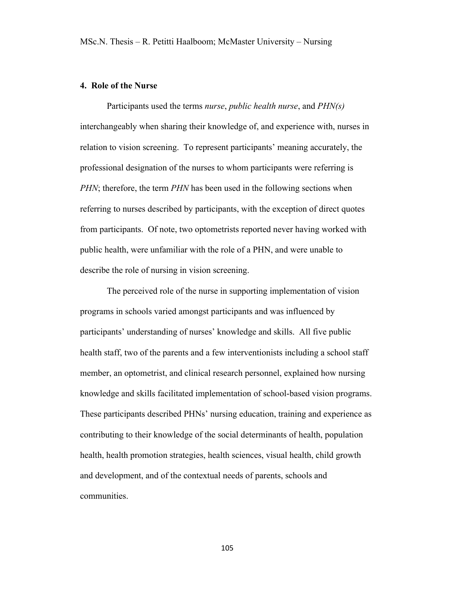## **4. Role of the Nurse**

Participants used the terms *nurse*, *public health nurse*, and *PHN(s)* interchangeably when sharing their knowledge of, and experience with, nurses in relation to vision screening. To represent participants' meaning accurately, the professional designation of the nurses to whom participants were referring is *PHN*; therefore, the term *PHN* has been used in the following sections when referring to nurses described by participants, with the exception of direct quotes from participants. Of note, two optometrists reported never having worked with public health, were unfamiliar with the role of a PHN, and were unable to describe the role of nursing in vision screening.

The perceived role of the nurse in supporting implementation of vision programs in schools varied amongst participants and was influenced by participants' understanding of nurses' knowledge and skills. All five public health staff, two of the parents and a few interventionists including a school staff member, an optometrist, and clinical research personnel, explained how nursing knowledge and skills facilitated implementation of school-based vision programs. These participants described PHNs' nursing education, training and experience as contributing to their knowledge of the social determinants of health, population health, health promotion strategies, health sciences, visual health, child growth and development, and of the contextual needs of parents, schools and communities.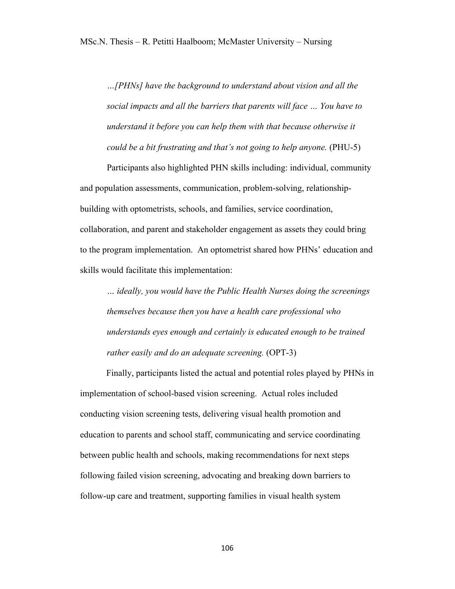*…[PHNs] have the background to understand about vision and all the social impacts and all the barriers that parents will face … You have to understand it before you can help them with that because otherwise it could be a bit frustrating and that's not going to help anyone.* (PHU-5)

Participants also highlighted PHN skills including: individual, community and population assessments, communication, problem-solving, relationshipbuilding with optometrists, schools, and families, service coordination, collaboration, and parent and stakeholder engagement as assets they could bring to the program implementation. An optometrist shared how PHNs' education and skills would facilitate this implementation:

*… ideally, you would have the Public Health Nurses doing the screenings themselves because then you have a health care professional who understands eyes enough and certainly is educated enough to be trained rather easily and do an adequate screening.* (OPT-3)

Finally, participants listed the actual and potential roles played by PHNs in implementation of school-based vision screening. Actual roles included conducting vision screening tests, delivering visual health promotion and education to parents and school staff, communicating and service coordinating between public health and schools, making recommendations for next steps following failed vision screening, advocating and breaking down barriers to follow-up care and treatment, supporting families in visual health system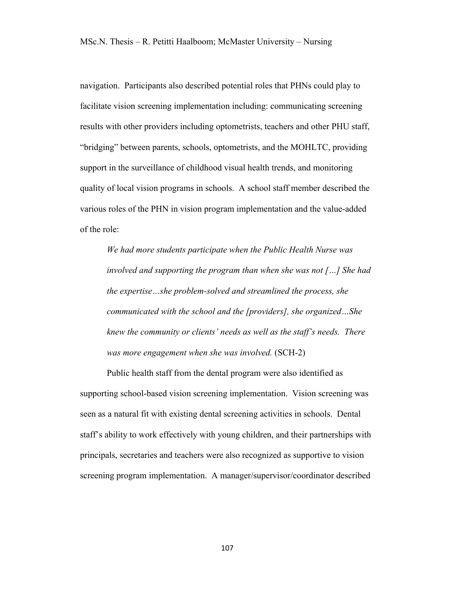navigation. Participants also described potential roles that PHNs could play to facilitate vision screening implementation including: communicating screening results with other providers including optometrists, teachers and other PHU staff, "bridging" between parents, schools, optometrists, and the MOHLTC, providing support in the surveillance of childhood visual health trends, and monitoring quality of local vision programs in schools. A school staff member described the various roles of the PHN in vision program implementation and the value-added of the role:

*We had more students participate when the Public Health Nurse was involved and supporting the program than when she was not […] She had the expertise…she problem-solved and streamlined the process, she communicated with the school and the [providers], she organized…She knew the community or clients' needs as well as the staff's needs. There was more engagement when she was involved.* (SCH-2)

Public health staff from the dental program were also identified as supporting school-based vision screening implementation. Vision screening was seen as a natural fit with existing dental screening activities in schools. Dental staff's ability to work effectively with young children, and their partnerships with principals, secretaries and teachers were also recognized as supportive to vision screening program implementation. A manager/supervisor/coordinator described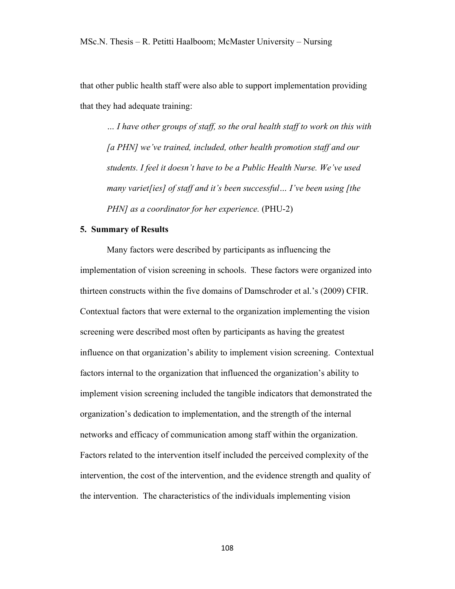that other public health staff were also able to support implementation providing that they had adequate training:

*… I have other groups of staff, so the oral health staff to work on this with [a PHN] we've trained, included, other health promotion staff and our students. I feel it doesn't have to be a Public Health Nurse. We've used many variet[ies] of staff and it's been successful… I've been using [the PHN] as a coordinator for her experience.* (PHU-2)

### **5. Summary of Results**

Many factors were described by participants as influencing the implementation of vision screening in schools. These factors were organized into thirteen constructs within the five domains of Damschroder et al.'s (2009) CFIR. Contextual factors that were external to the organization implementing the vision screening were described most often by participants as having the greatest influence on that organization's ability to implement vision screening. Contextual factors internal to the organization that influenced the organization's ability to implement vision screening included the tangible indicators that demonstrated the organization's dedication to implementation, and the strength of the internal networks and efficacy of communication among staff within the organization. Factors related to the intervention itself included the perceived complexity of the intervention, the cost of the intervention, and the evidence strength and quality of the intervention. The characteristics of the individuals implementing vision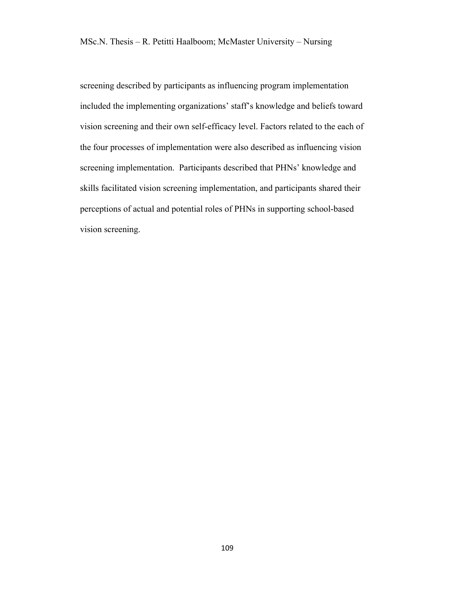screening described by participants as influencing program implementation included the implementing organizations' staff's knowledge and beliefs toward vision screening and their own self-efficacy level. Factors related to the each of the four processes of implementation were also described as influencing vision screening implementation. Participants described that PHNs' knowledge and skills facilitated vision screening implementation, and participants shared their perceptions of actual and potential roles of PHNs in supporting school-based vision screening.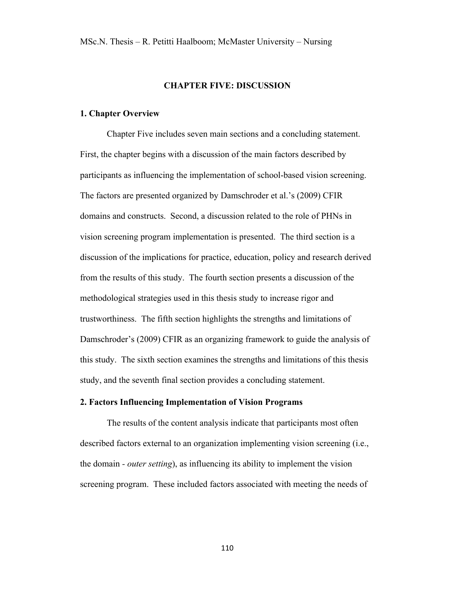### **CHAPTER FIVE: DISCUSSION**

#### **1. Chapter Overview**

Chapter Five includes seven main sections and a concluding statement. First, the chapter begins with a discussion of the main factors described by participants as influencing the implementation of school-based vision screening. The factors are presented organized by Damschroder et al.'s (2009) CFIR domains and constructs. Second, a discussion related to the role of PHNs in vision screening program implementation is presented. The third section is a discussion of the implications for practice, education, policy and research derived from the results of this study. The fourth section presents a discussion of the methodological strategies used in this thesis study to increase rigor and trustworthiness. The fifth section highlights the strengths and limitations of Damschroder's (2009) CFIR as an organizing framework to guide the analysis of this study. The sixth section examines the strengths and limitations of this thesis study, and the seventh final section provides a concluding statement.

### **2. Factors Influencing Implementation of Vision Programs**

The results of the content analysis indicate that participants most often described factors external to an organization implementing vision screening (i.e., the domain *- outer setting*), as influencing its ability to implement the vision screening program. These included factors associated with meeting the needs of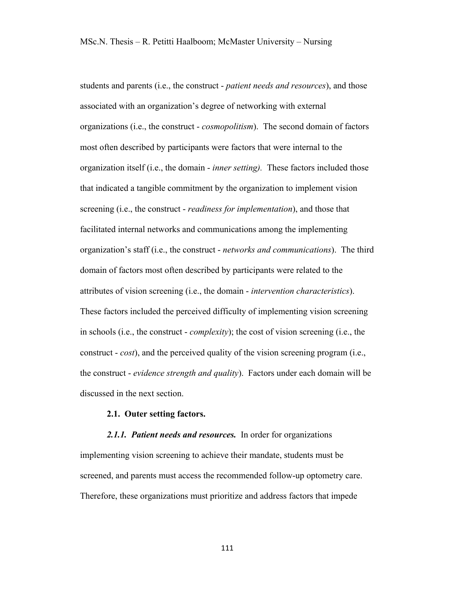students and parents (i.e., the construct - *patient needs and resources*), and those associated with an organization's degree of networking with external organizations (i.e., the construct - *cosmopolitism*). The second domain of factors most often described by participants were factors that were internal to the organization itself (i.e., the domain - *inner setting).* These factors included those that indicated a tangible commitment by the organization to implement vision screening (i.e., the construct - *readiness for implementation*), and those that facilitated internal networks and communications among the implementing organization's staff (i.e., the construct - *networks and communications*). The third domain of factors most often described by participants were related to the attributes of vision screening (i.e., the domain - *intervention characteristics*). These factors included the perceived difficulty of implementing vision screening in schools (i.e., the construct - *complexity*); the cost of vision screening (i.e., the construct - *cost*), and the perceived quality of the vision screening program (i.e., the construct - *evidence strength and quality*). Factors under each domain will be discussed in the next section.

### **2.1. Outer setting factors.**

# *2.1.1. Patient needs and resources.* In order for organizations implementing vision screening to achieve their mandate, students must be screened, and parents must access the recommended follow-up optometry care. Therefore, these organizations must prioritize and address factors that impede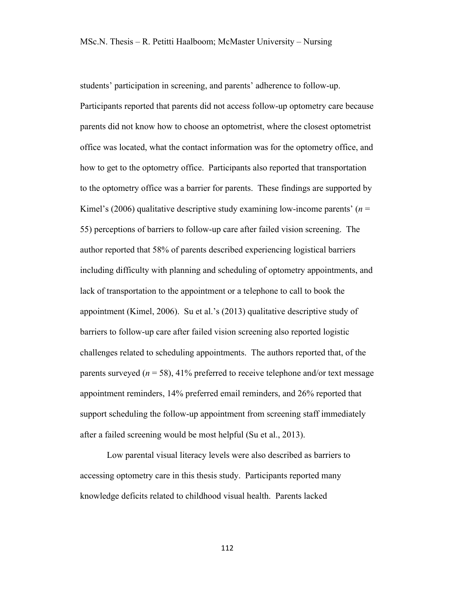students' participation in screening, and parents' adherence to follow-up. Participants reported that parents did not access follow-up optometry care because parents did not know how to choose an optometrist, where the closest optometrist office was located, what the contact information was for the optometry office, and how to get to the optometry office. Participants also reported that transportation to the optometry office was a barrier for parents. These findings are supported by Kimel's (2006) qualitative descriptive study examining low-income parents'  $(n =$ 55) perceptions of barriers to follow-up care after failed vision screening. The author reported that 58% of parents described experiencing logistical barriers including difficulty with planning and scheduling of optometry appointments, and lack of transportation to the appointment or a telephone to call to book the appointment (Kimel, 2006). Su et al.'s (2013) qualitative descriptive study of barriers to follow-up care after failed vision screening also reported logistic challenges related to scheduling appointments. The authors reported that, of the parents surveyed ( $n = 58$ ), 41% preferred to receive telephone and/or text message appointment reminders, 14% preferred email reminders, and 26% reported that support scheduling the follow-up appointment from screening staff immediately after a failed screening would be most helpful (Su et al., 2013).

Low parental visual literacy levels were also described as barriers to accessing optometry care in this thesis study. Participants reported many knowledge deficits related to childhood visual health. Parents lacked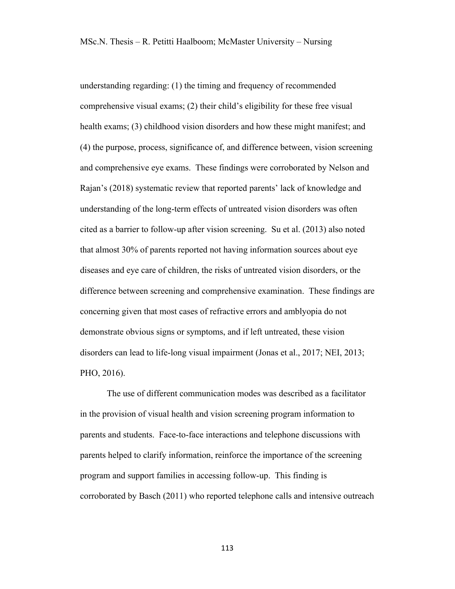understanding regarding: (1) the timing and frequency of recommended comprehensive visual exams; (2) their child's eligibility for these free visual health exams; (3) childhood vision disorders and how these might manifest; and (4) the purpose, process, significance of, and difference between, vision screening and comprehensive eye exams. These findings were corroborated by Nelson and Rajan's (2018) systematic review that reported parents' lack of knowledge and understanding of the long-term effects of untreated vision disorders was often cited as a barrier to follow-up after vision screening. Su et al. (2013) also noted that almost 30% of parents reported not having information sources about eye diseases and eye care of children, the risks of untreated vision disorders, or the difference between screening and comprehensive examination. These findings are concerning given that most cases of refractive errors and amblyopia do not demonstrate obvious signs or symptoms, and if left untreated, these vision disorders can lead to life-long visual impairment (Jonas et al., 2017; NEI, 2013; PHO, 2016).

The use of different communication modes was described as a facilitator in the provision of visual health and vision screening program information to parents and students. Face-to-face interactions and telephone discussions with parents helped to clarify information, reinforce the importance of the screening program and support families in accessing follow-up. This finding is corroborated by Basch (2011) who reported telephone calls and intensive outreach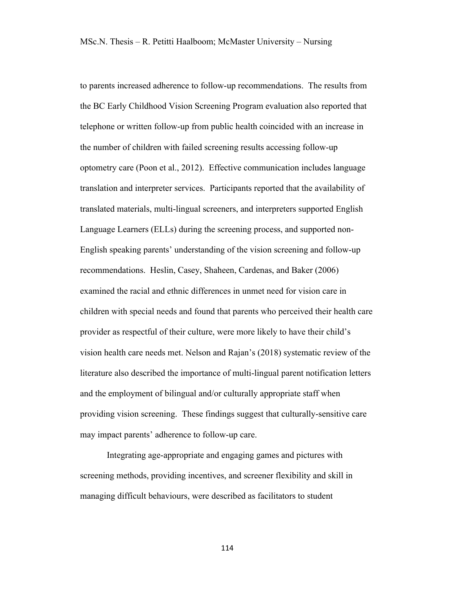to parents increased adherence to follow-up recommendations. The results from the BC Early Childhood Vision Screening Program evaluation also reported that telephone or written follow-up from public health coincided with an increase in the number of children with failed screening results accessing follow-up optometry care (Poon et al., 2012). Effective communication includes language translation and interpreter services. Participants reported that the availability of translated materials, multi-lingual screeners, and interpreters supported English Language Learners (ELLs) during the screening process, and supported non-English speaking parents' understanding of the vision screening and follow-up recommendations. Heslin, Casey, Shaheen, Cardenas, and Baker (2006) examined the racial and ethnic differences in unmet need for vision care in children with special needs and found that parents who perceived their health care provider as respectful of their culture, were more likely to have their child's vision health care needs met. Nelson and Rajan's (2018) systematic review of the literature also described the importance of multi-lingual parent notification letters and the employment of bilingual and/or culturally appropriate staff when providing vision screening. These findings suggest that culturally-sensitive care may impact parents' adherence to follow-up care.

Integrating age-appropriate and engaging games and pictures with screening methods, providing incentives, and screener flexibility and skill in managing difficult behaviours, were described as facilitators to student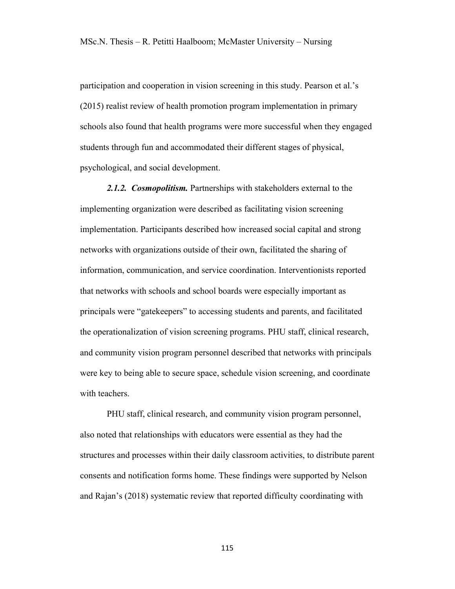participation and cooperation in vision screening in this study. Pearson et al.'s (2015) realist review of health promotion program implementation in primary schools also found that health programs were more successful when they engaged students through fun and accommodated their different stages of physical, psychological, and social development.

*2.1.2. Cosmopolitism.* Partnerships with stakeholders external to the implementing organization were described as facilitating vision screening implementation. Participants described how increased social capital and strong networks with organizations outside of their own, facilitated the sharing of information, communication, and service coordination. Interventionists reported that networks with schools and school boards were especially important as principals were "gatekeepers" to accessing students and parents, and facilitated the operationalization of vision screening programs. PHU staff, clinical research, and community vision program personnel described that networks with principals were key to being able to secure space, schedule vision screening, and coordinate with teachers.

PHU staff, clinical research, and community vision program personnel, also noted that relationships with educators were essential as they had the structures and processes within their daily classroom activities, to distribute parent consents and notification forms home. These findings were supported by Nelson and Rajan's (2018) systematic review that reported difficulty coordinating with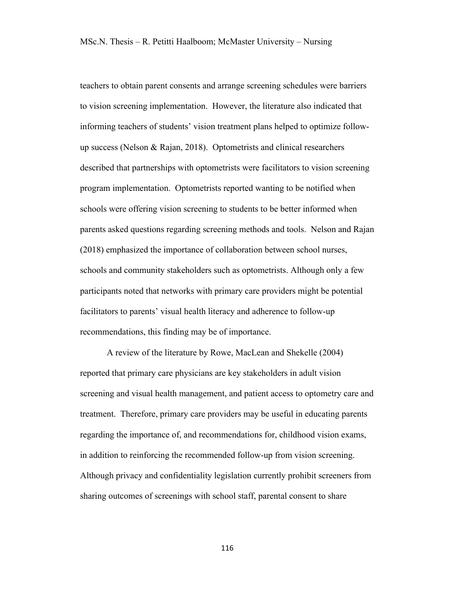teachers to obtain parent consents and arrange screening schedules were barriers to vision screening implementation. However, the literature also indicated that informing teachers of students' vision treatment plans helped to optimize followup success (Nelson & Rajan, 2018). Optometrists and clinical researchers described that partnerships with optometrists were facilitators to vision screening program implementation. Optometrists reported wanting to be notified when schools were offering vision screening to students to be better informed when parents asked questions regarding screening methods and tools. Nelson and Rajan (2018) emphasized the importance of collaboration between school nurses, schools and community stakeholders such as optometrists. Although only a few participants noted that networks with primary care providers might be potential facilitators to parents' visual health literacy and adherence to follow-up recommendations, this finding may be of importance.

A review of the literature by Rowe, MacLean and Shekelle (2004) reported that primary care physicians are key stakeholders in adult vision screening and visual health management, and patient access to optometry care and treatment. Therefore, primary care providers may be useful in educating parents regarding the importance of, and recommendations for, childhood vision exams, in addition to reinforcing the recommended follow-up from vision screening. Although privacy and confidentiality legislation currently prohibit screeners from sharing outcomes of screenings with school staff, parental consent to share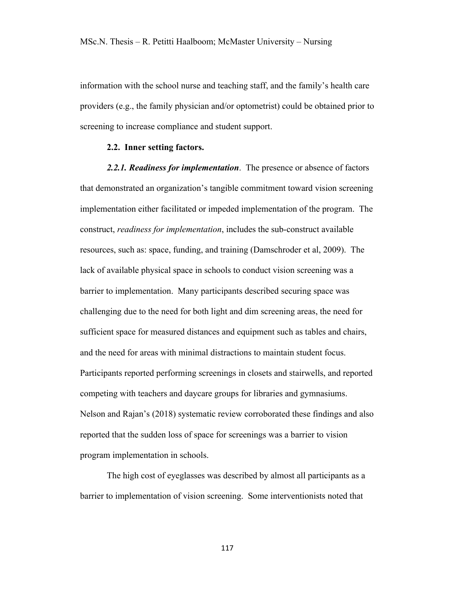information with the school nurse and teaching staff, and the family's health care providers (e.g., the family physician and/or optometrist) could be obtained prior to screening to increase compliance and student support.

### **2.2. Inner setting factors.**

*2.2.1. Readiness for implementation*. The presence or absence of factors that demonstrated an organization's tangible commitment toward vision screening implementation either facilitated or impeded implementation of the program. The construct, *readiness for implementation*, includes the sub-construct available resources, such as: space, funding, and training (Damschroder et al, 2009). The lack of available physical space in schools to conduct vision screening was a barrier to implementation. Many participants described securing space was challenging due to the need for both light and dim screening areas, the need for sufficient space for measured distances and equipment such as tables and chairs, and the need for areas with minimal distractions to maintain student focus. Participants reported performing screenings in closets and stairwells, and reported competing with teachers and daycare groups for libraries and gymnasiums. Nelson and Rajan's (2018) systematic review corroborated these findings and also reported that the sudden loss of space for screenings was a barrier to vision program implementation in schools.

The high cost of eyeglasses was described by almost all participants as a barrier to implementation of vision screening. Some interventionists noted that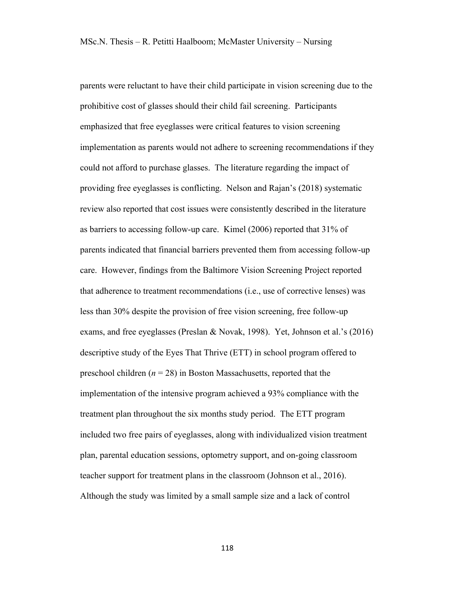parents were reluctant to have their child participate in vision screening due to the prohibitive cost of glasses should their child fail screening. Participants emphasized that free eyeglasses were critical features to vision screening implementation as parents would not adhere to screening recommendations if they could not afford to purchase glasses. The literature regarding the impact of providing free eyeglasses is conflicting. Nelson and Rajan's (2018) systematic review also reported that cost issues were consistently described in the literature as barriers to accessing follow-up care. Kimel (2006) reported that 31% of parents indicated that financial barriers prevented them from accessing follow-up care. However, findings from the Baltimore Vision Screening Project reported that adherence to treatment recommendations (i.e., use of corrective lenses) was less than 30% despite the provision of free vision screening, free follow-up exams, and free eyeglasses (Preslan & Novak, 1998). Yet, Johnson et al.'s (2016) descriptive study of the Eyes That Thrive (ETT) in school program offered to preschool children  $(n = 28)$  in Boston Massachusetts, reported that the implementation of the intensive program achieved a 93% compliance with the treatment plan throughout the six months study period. The ETT program included two free pairs of eyeglasses, along with individualized vision treatment plan, parental education sessions, optometry support, and on-going classroom teacher support for treatment plans in the classroom (Johnson et al., 2016). Although the study was limited by a small sample size and a lack of control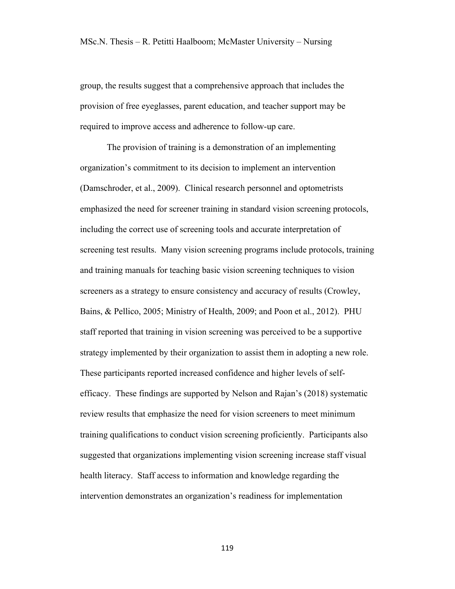group, the results suggest that a comprehensive approach that includes the provision of free eyeglasses, parent education, and teacher support may be required to improve access and adherence to follow-up care.

The provision of training is a demonstration of an implementing organization's commitment to its decision to implement an intervention (Damschroder, et al., 2009). Clinical research personnel and optometrists emphasized the need for screener training in standard vision screening protocols, including the correct use of screening tools and accurate interpretation of screening test results. Many vision screening programs include protocols, training and training manuals for teaching basic vision screening techniques to vision screeners as a strategy to ensure consistency and accuracy of results (Crowley, Bains, & Pellico, 2005; Ministry of Health, 2009; and Poon et al., 2012). PHU staff reported that training in vision screening was perceived to be a supportive strategy implemented by their organization to assist them in adopting a new role. These participants reported increased confidence and higher levels of selfefficacy. These findings are supported by Nelson and Rajan's (2018) systematic review results that emphasize the need for vision screeners to meet minimum training qualifications to conduct vision screening proficiently. Participants also suggested that organizations implementing vision screening increase staff visual health literacy. Staff access to information and knowledge regarding the intervention demonstrates an organization's readiness for implementation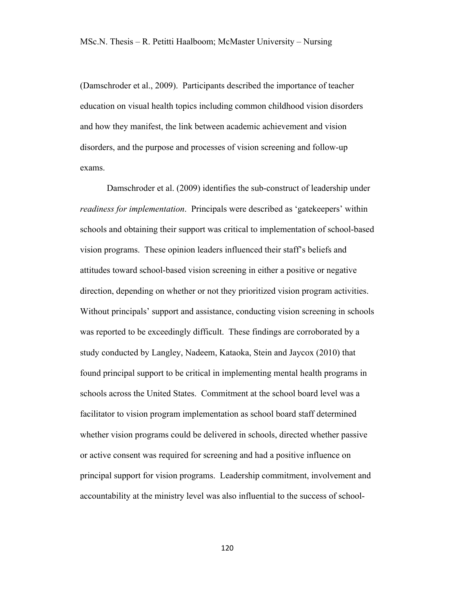(Damschroder et al., 2009). Participants described the importance of teacher education on visual health topics including common childhood vision disorders and how they manifest, the link between academic achievement and vision disorders, and the purpose and processes of vision screening and follow-up exams.

Damschroder et al. (2009) identifies the sub-construct of leadership under *readiness for implementation*. Principals were described as 'gatekeepers' within schools and obtaining their support was critical to implementation of school-based vision programs. These opinion leaders influenced their staff's beliefs and attitudes toward school-based vision screening in either a positive or negative direction, depending on whether or not they prioritized vision program activities. Without principals' support and assistance, conducting vision screening in schools was reported to be exceedingly difficult. These findings are corroborated by a study conducted by Langley, Nadeem, Kataoka, Stein and Jaycox (2010) that found principal support to be critical in implementing mental health programs in schools across the United States. Commitment at the school board level was a facilitator to vision program implementation as school board staff determined whether vision programs could be delivered in schools, directed whether passive or active consent was required for screening and had a positive influence on principal support for vision programs. Leadership commitment, involvement and accountability at the ministry level was also influential to the success of school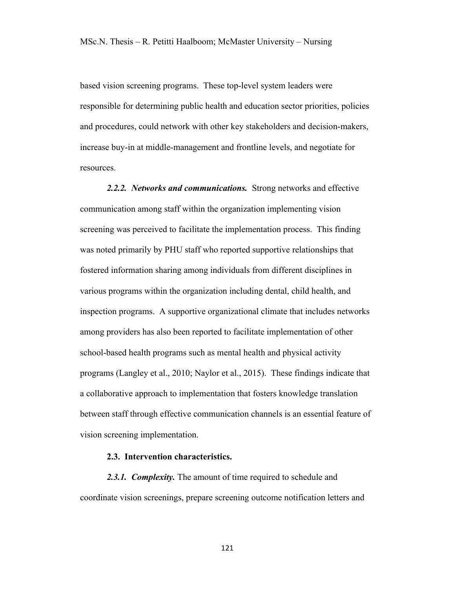based vision screening programs. These top-level system leaders were responsible for determining public health and education sector priorities, policies and procedures, could network with other key stakeholders and decision-makers, increase buy-in at middle-management and frontline levels, and negotiate for resources.

*2.2.2. Networks and communications.* Strong networks and effective communication among staff within the organization implementing vision screening was perceived to facilitate the implementation process. This finding was noted primarily by PHU staff who reported supportive relationships that fostered information sharing among individuals from different disciplines in various programs within the organization including dental, child health, and inspection programs. A supportive organizational climate that includes networks among providers has also been reported to facilitate implementation of other school-based health programs such as mental health and physical activity programs (Langley et al., 2010; Naylor et al., 2015). These findings indicate that a collaborative approach to implementation that fosters knowledge translation between staff through effective communication channels is an essential feature of vision screening implementation.

## **2.3. Intervention characteristics.**

*2.3.1. Complexity.* The amount of time required to schedule and coordinate vision screenings, prepare screening outcome notification letters and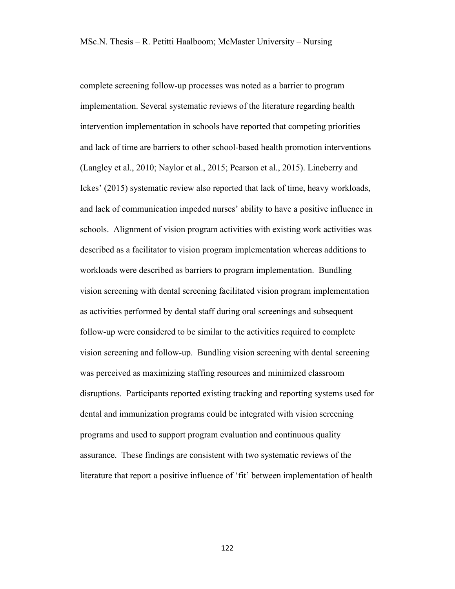complete screening follow-up processes was noted as a barrier to program implementation. Several systematic reviews of the literature regarding health intervention implementation in schools have reported that competing priorities and lack of time are barriers to other school-based health promotion interventions (Langley et al., 2010; Naylor et al., 2015; Pearson et al., 2015). Lineberry and Ickes' (2015) systematic review also reported that lack of time, heavy workloads, and lack of communication impeded nurses' ability to have a positive influence in schools. Alignment of vision program activities with existing work activities was described as a facilitator to vision program implementation whereas additions to workloads were described as barriers to program implementation. Bundling vision screening with dental screening facilitated vision program implementation as activities performed by dental staff during oral screenings and subsequent follow-up were considered to be similar to the activities required to complete vision screening and follow-up. Bundling vision screening with dental screening was perceived as maximizing staffing resources and minimized classroom disruptions. Participants reported existing tracking and reporting systems used for dental and immunization programs could be integrated with vision screening programs and used to support program evaluation and continuous quality assurance. These findings are consistent with two systematic reviews of the literature that report a positive influence of 'fit' between implementation of health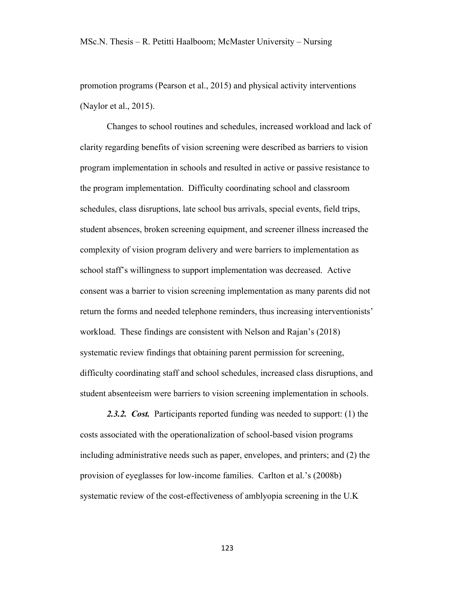promotion programs (Pearson et al., 2015) and physical activity interventions (Naylor et al., 2015).

Changes to school routines and schedules, increased workload and lack of clarity regarding benefits of vision screening were described as barriers to vision program implementation in schools and resulted in active or passive resistance to the program implementation. Difficulty coordinating school and classroom schedules, class disruptions, late school bus arrivals, special events, field trips, student absences, broken screening equipment, and screener illness increased the complexity of vision program delivery and were barriers to implementation as school staff's willingness to support implementation was decreased. Active consent was a barrier to vision screening implementation as many parents did not return the forms and needed telephone reminders, thus increasing interventionists' workload. These findings are consistent with Nelson and Rajan's (2018) systematic review findings that obtaining parent permission for screening, difficulty coordinating staff and school schedules, increased class disruptions, and student absenteeism were barriers to vision screening implementation in schools.

*2.3.2. Cost.* Participants reported funding was needed to support: (1) the costs associated with the operationalization of school-based vision programs including administrative needs such as paper, envelopes, and printers; and (2) the provision of eyeglasses for low-income families. Carlton et al.'s (2008b) systematic review of the cost-effectiveness of amblyopia screening in the U.K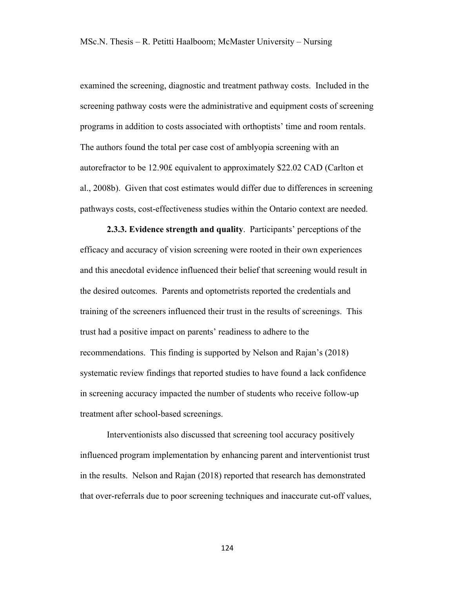examined the screening, diagnostic and treatment pathway costs. Included in the screening pathway costs were the administrative and equipment costs of screening programs in addition to costs associated with orthoptists' time and room rentals. The authors found the total per case cost of amblyopia screening with an autorefractor to be 12.90£ equivalent to approximately \$22.02 CAD (Carlton et al., 2008b). Given that cost estimates would differ due to differences in screening pathways costs, cost-effectiveness studies within the Ontario context are needed.

**2.3.3. Evidence strength and quality**. Participants' perceptions of the efficacy and accuracy of vision screening were rooted in their own experiences and this anecdotal evidence influenced their belief that screening would result in the desired outcomes. Parents and optometrists reported the credentials and training of the screeners influenced their trust in the results of screenings. This trust had a positive impact on parents' readiness to adhere to the recommendations. This finding is supported by Nelson and Rajan's (2018) systematic review findings that reported studies to have found a lack confidence in screening accuracy impacted the number of students who receive follow-up treatment after school-based screenings.

Interventionists also discussed that screening tool accuracy positively influenced program implementation by enhancing parent and interventionist trust in the results. Nelson and Rajan (2018) reported that research has demonstrated that over-referrals due to poor screening techniques and inaccurate cut-off values,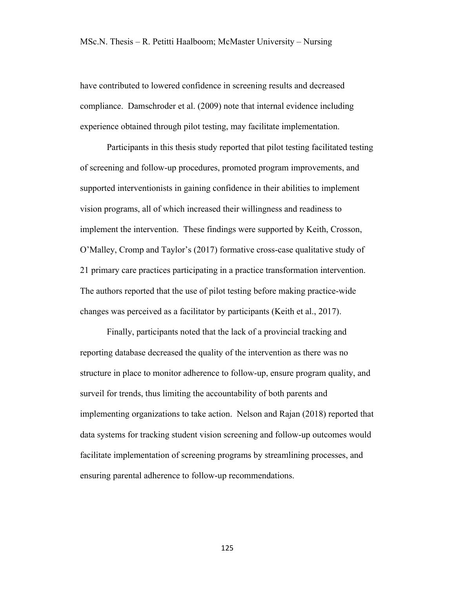have contributed to lowered confidence in screening results and decreased compliance. Damschroder et al. (2009) note that internal evidence including experience obtained through pilot testing, may facilitate implementation.

Participants in this thesis study reported that pilot testing facilitated testing of screening and follow-up procedures, promoted program improvements, and supported interventionists in gaining confidence in their abilities to implement vision programs, all of which increased their willingness and readiness to implement the intervention. These findings were supported by Keith, Crosson, O'Malley, Cromp and Taylor's (2017) formative cross-case qualitative study of 21 primary care practices participating in a practice transformation intervention. The authors reported that the use of pilot testing before making practice-wide changes was perceived as a facilitator by participants (Keith et al., 2017).

Finally, participants noted that the lack of a provincial tracking and reporting database decreased the quality of the intervention as there was no structure in place to monitor adherence to follow-up, ensure program quality, and surveil for trends, thus limiting the accountability of both parents and implementing organizations to take action. Nelson and Rajan (2018) reported that data systems for tracking student vision screening and follow-up outcomes would facilitate implementation of screening programs by streamlining processes, and ensuring parental adherence to follow-up recommendations.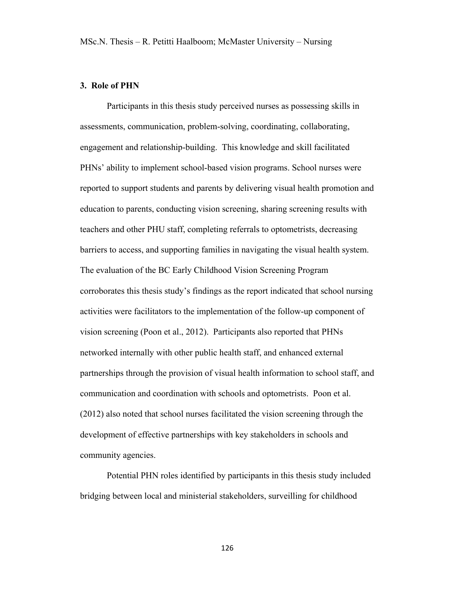### **3. Role of PHN**

Participants in this thesis study perceived nurses as possessing skills in assessments, communication, problem-solving, coordinating, collaborating, engagement and relationship-building. This knowledge and skill facilitated PHNs' ability to implement school-based vision programs. School nurses were reported to support students and parents by delivering visual health promotion and education to parents, conducting vision screening, sharing screening results with teachers and other PHU staff, completing referrals to optometrists, decreasing barriers to access, and supporting families in navigating the visual health system. The evaluation of the BC Early Childhood Vision Screening Program corroborates this thesis study's findings as the report indicated that school nursing activities were facilitators to the implementation of the follow-up component of vision screening (Poon et al., 2012). Participants also reported that PHNs networked internally with other public health staff, and enhanced external partnerships through the provision of visual health information to school staff, and communication and coordination with schools and optometrists. Poon et al. (2012) also noted that school nurses facilitated the vision screening through the development of effective partnerships with key stakeholders in schools and community agencies.

Potential PHN roles identified by participants in this thesis study included bridging between local and ministerial stakeholders, surveilling for childhood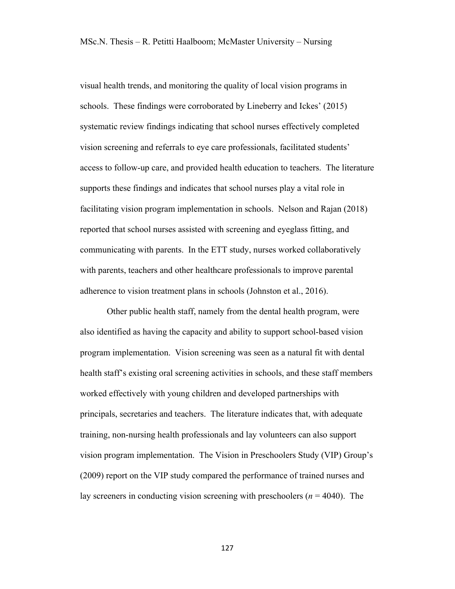visual health trends, and monitoring the quality of local vision programs in schools. These findings were corroborated by Lineberry and Ickes' (2015) systematic review findings indicating that school nurses effectively completed vision screening and referrals to eye care professionals, facilitated students' access to follow-up care, and provided health education to teachers. The literature supports these findings and indicates that school nurses play a vital role in facilitating vision program implementation in schools. Nelson and Rajan (2018) reported that school nurses assisted with screening and eyeglass fitting, and communicating with parents. In the ETT study, nurses worked collaboratively with parents, teachers and other healthcare professionals to improve parental adherence to vision treatment plans in schools (Johnston et al., 2016).

Other public health staff, namely from the dental health program, were also identified as having the capacity and ability to support school-based vision program implementation. Vision screening was seen as a natural fit with dental health staff's existing oral screening activities in schools, and these staff members worked effectively with young children and developed partnerships with principals, secretaries and teachers. The literature indicates that, with adequate training, non-nursing health professionals and lay volunteers can also support vision program implementation. The Vision in Preschoolers Study (VIP) Group's (2009) report on the VIP study compared the performance of trained nurses and lay screeners in conducting vision screening with preschoolers (*n* = 4040). The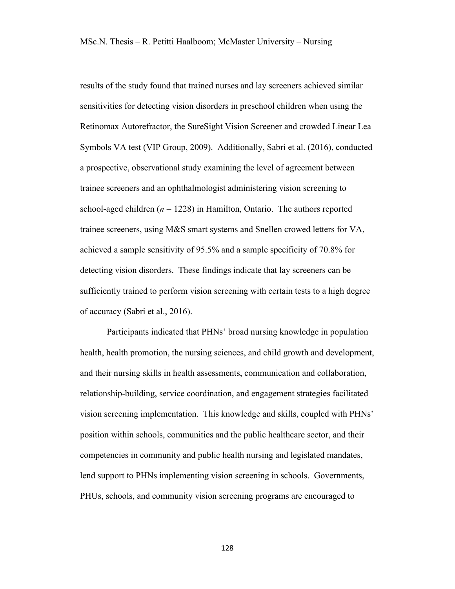results of the study found that trained nurses and lay screeners achieved similar sensitivities for detecting vision disorders in preschool children when using the Retinomax Autorefractor, the SureSight Vision Screener and crowded Linear Lea Symbols VA test (VIP Group, 2009). Additionally, Sabri et al. (2016), conducted a prospective, observational study examining the level of agreement between trainee screeners and an ophthalmologist administering vision screening to school-aged children  $(n = 1228)$  in Hamilton, Ontario. The authors reported trainee screeners, using M&S smart systems and Snellen crowed letters for VA, achieved a sample sensitivity of 95.5% and a sample specificity of 70.8% for detecting vision disorders. These findings indicate that lay screeners can be sufficiently trained to perform vision screening with certain tests to a high degree of accuracy (Sabri et al., 2016).

Participants indicated that PHNs' broad nursing knowledge in population health, health promotion, the nursing sciences, and child growth and development, and their nursing skills in health assessments, communication and collaboration, relationship-building, service coordination, and engagement strategies facilitated vision screening implementation. This knowledge and skills, coupled with PHNs' position within schools, communities and the public healthcare sector, and their competencies in community and public health nursing and legislated mandates, lend support to PHNs implementing vision screening in schools. Governments, PHUs, schools, and community vision screening programs are encouraged to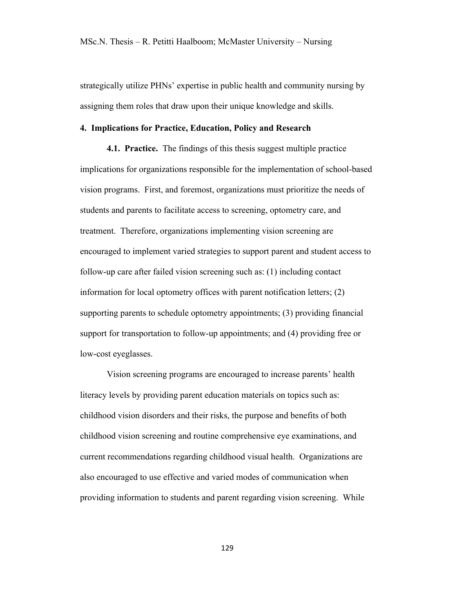strategically utilize PHNs' expertise in public health and community nursing by assigning them roles that draw upon their unique knowledge and skills.

### **4. Implications for Practice, Education, Policy and Research**

**4.1. Practice.** The findings of this thesis suggest multiple practice implications for organizations responsible for the implementation of school-based vision programs. First, and foremost, organizations must prioritize the needs of students and parents to facilitate access to screening, optometry care, and treatment. Therefore, organizations implementing vision screening are encouraged to implement varied strategies to support parent and student access to follow-up care after failed vision screening such as: (1) including contact information for local optometry offices with parent notification letters; (2) supporting parents to schedule optometry appointments; (3) providing financial support for transportation to follow-up appointments; and (4) providing free or low-cost eyeglasses.

Vision screening programs are encouraged to increase parents' health literacy levels by providing parent education materials on topics such as: childhood vision disorders and their risks, the purpose and benefits of both childhood vision screening and routine comprehensive eye examinations, and current recommendations regarding childhood visual health. Organizations are also encouraged to use effective and varied modes of communication when providing information to students and parent regarding vision screening. While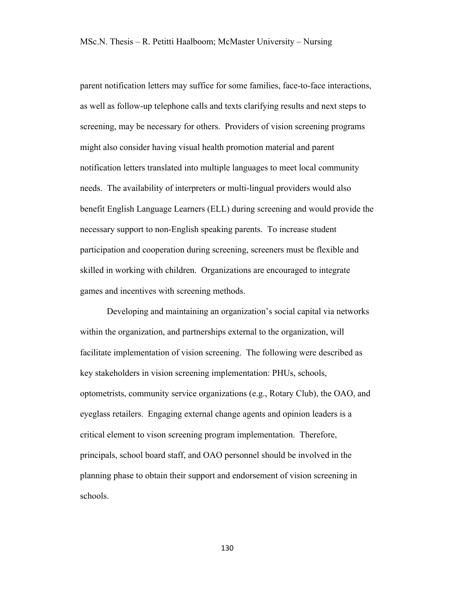parent notification letters may suffice for some families, face-to-face interactions, as well as follow-up telephone calls and texts clarifying results and next steps to screening, may be necessary for others. Providers of vision screening programs might also consider having visual health promotion material and parent notification letters translated into multiple languages to meet local community needs. The availability of interpreters or multi-lingual providers would also benefit English Language Learners (ELL) during screening and would provide the necessary support to non-English speaking parents. To increase student participation and cooperation during screening, screeners must be flexible and skilled in working with children. Organizations are encouraged to integrate games and incentives with screening methods.

Developing and maintaining an organization's social capital via networks within the organization, and partnerships external to the organization, will facilitate implementation of vision screening. The following were described as key stakeholders in vision screening implementation: PHUs, schools, optometrists, community service organizations (e.g., Rotary Club), the OAO, and eyeglass retailers. Engaging external change agents and opinion leaders is a critical element to vison screening program implementation. Therefore, principals, school board staff, and OAO personnel should be involved in the planning phase to obtain their support and endorsement of vision screening in schools.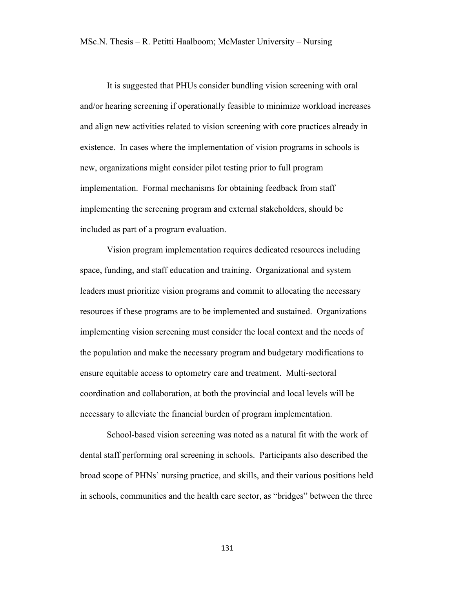It is suggested that PHUs consider bundling vision screening with oral and/or hearing screening if operationally feasible to minimize workload increases and align new activities related to vision screening with core practices already in existence. In cases where the implementation of vision programs in schools is new, organizations might consider pilot testing prior to full program implementation. Formal mechanisms for obtaining feedback from staff implementing the screening program and external stakeholders, should be included as part of a program evaluation.

Vision program implementation requires dedicated resources including space, funding, and staff education and training. Organizational and system leaders must prioritize vision programs and commit to allocating the necessary resources if these programs are to be implemented and sustained. Organizations implementing vision screening must consider the local context and the needs of the population and make the necessary program and budgetary modifications to ensure equitable access to optometry care and treatment. Multi-sectoral coordination and collaboration, at both the provincial and local levels will be necessary to alleviate the financial burden of program implementation.

School-based vision screening was noted as a natural fit with the work of dental staff performing oral screening in schools. Participants also described the broad scope of PHNs' nursing practice, and skills, and their various positions held in schools, communities and the health care sector, as "bridges" between the three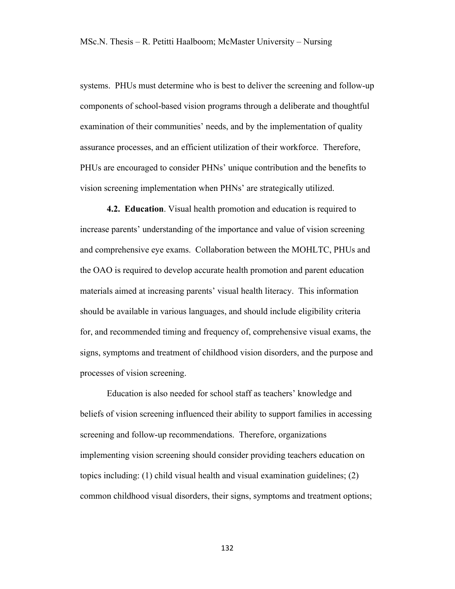systems. PHUs must determine who is best to deliver the screening and follow-up components of school-based vision programs through a deliberate and thoughtful examination of their communities' needs, and by the implementation of quality assurance processes, and an efficient utilization of their workforce. Therefore, PHUs are encouraged to consider PHNs' unique contribution and the benefits to vision screening implementation when PHNs' are strategically utilized.

**4.2. Education**. Visual health promotion and education is required to increase parents' understanding of the importance and value of vision screening and comprehensive eye exams. Collaboration between the MOHLTC, PHUs and the OAO is required to develop accurate health promotion and parent education materials aimed at increasing parents' visual health literacy. This information should be available in various languages, and should include eligibility criteria for, and recommended timing and frequency of, comprehensive visual exams, the signs, symptoms and treatment of childhood vision disorders, and the purpose and processes of vision screening.

Education is also needed for school staff as teachers' knowledge and beliefs of vision screening influenced their ability to support families in accessing screening and follow-up recommendations. Therefore, organizations implementing vision screening should consider providing teachers education on topics including: (1) child visual health and visual examination guidelines; (2) common childhood visual disorders, their signs, symptoms and treatment options;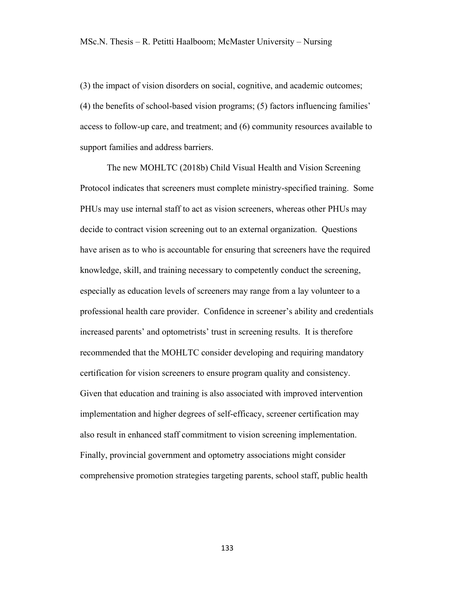(3) the impact of vision disorders on social, cognitive, and academic outcomes; (4) the benefits of school-based vision programs; (5) factors influencing families' access to follow-up care, and treatment; and (6) community resources available to support families and address barriers.

The new MOHLTC (2018b) Child Visual Health and Vision Screening Protocol indicates that screeners must complete ministry-specified training. Some PHUs may use internal staff to act as vision screeners, whereas other PHUs may decide to contract vision screening out to an external organization. Questions have arisen as to who is accountable for ensuring that screeners have the required knowledge, skill, and training necessary to competently conduct the screening, especially as education levels of screeners may range from a lay volunteer to a professional health care provider. Confidence in screener's ability and credentials increased parents' and optometrists' trust in screening results. It is therefore recommended that the MOHLTC consider developing and requiring mandatory certification for vision screeners to ensure program quality and consistency. Given that education and training is also associated with improved intervention implementation and higher degrees of self-efficacy, screener certification may also result in enhanced staff commitment to vision screening implementation. Finally, provincial government and optometry associations might consider comprehensive promotion strategies targeting parents, school staff, public health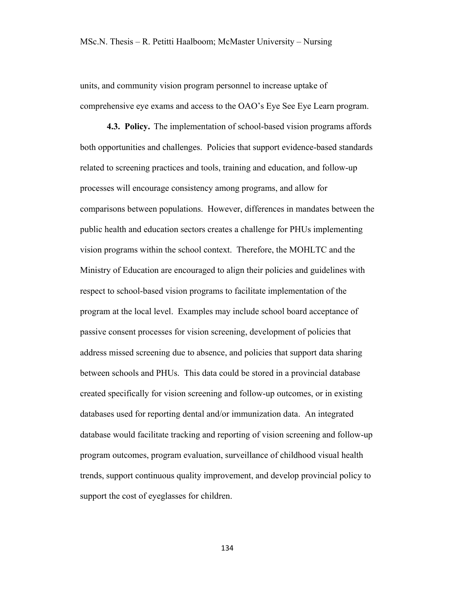units, and community vision program personnel to increase uptake of comprehensive eye exams and access to the OAO's Eye See Eye Learn program.

**4.3. Policy.** The implementation of school-based vision programs affords both opportunities and challenges. Policies that support evidence-based standards related to screening practices and tools, training and education, and follow-up processes will encourage consistency among programs, and allow for comparisons between populations. However, differences in mandates between the public health and education sectors creates a challenge for PHUs implementing vision programs within the school context. Therefore, the MOHLTC and the Ministry of Education are encouraged to align their policies and guidelines with respect to school-based vision programs to facilitate implementation of the program at the local level. Examples may include school board acceptance of passive consent processes for vision screening, development of policies that address missed screening due to absence, and policies that support data sharing between schools and PHUs. This data could be stored in a provincial database created specifically for vision screening and follow-up outcomes, or in existing databases used for reporting dental and/or immunization data. An integrated database would facilitate tracking and reporting of vision screening and follow-up program outcomes, program evaluation, surveillance of childhood visual health trends, support continuous quality improvement, and develop provincial policy to support the cost of eyeglasses for children.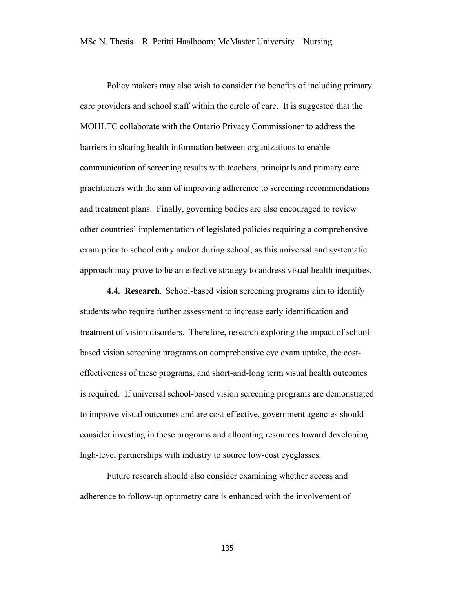Policy makers may also wish to consider the benefits of including primary care providers and school staff within the circle of care. It is suggested that the MOHLTC collaborate with the Ontario Privacy Commissioner to address the barriers in sharing health information between organizations to enable communication of screening results with teachers, principals and primary care practitioners with the aim of improving adherence to screening recommendations and treatment plans. Finally, governing bodies are also encouraged to review other countries' implementation of legislated policies requiring a comprehensive exam prior to school entry and/or during school, as this universal and systematic approach may prove to be an effective strategy to address visual health inequities.

**4.4. Research**. School-based vision screening programs aim to identify students who require further assessment to increase early identification and treatment of vision disorders. Therefore, research exploring the impact of schoolbased vision screening programs on comprehensive eye exam uptake, the costeffectiveness of these programs, and short-and-long term visual health outcomes is required. If universal school-based vision screening programs are demonstrated to improve visual outcomes and are cost-effective, government agencies should consider investing in these programs and allocating resources toward developing high-level partnerships with industry to source low-cost eyeglasses.

Future research should also consider examining whether access and adherence to follow-up optometry care is enhanced with the involvement of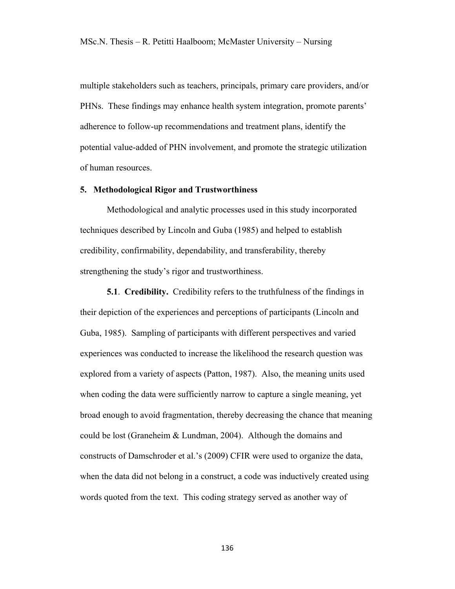multiple stakeholders such as teachers, principals, primary care providers, and/or PHNs. These findings may enhance health system integration, promote parents' adherence to follow-up recommendations and treatment plans, identify the potential value-added of PHN involvement, and promote the strategic utilization of human resources.

#### **5. Methodological Rigor and Trustworthiness**

Methodological and analytic processes used in this study incorporated techniques described by Lincoln and Guba (1985) and helped to establish credibility, confirmability, dependability, and transferability, thereby strengthening the study's rigor and trustworthiness.

**5.1**. **Credibility.** Credibility refers to the truthfulness of the findings in their depiction of the experiences and perceptions of participants (Lincoln and Guba, 1985). Sampling of participants with different perspectives and varied experiences was conducted to increase the likelihood the research question was explored from a variety of aspects (Patton, 1987). Also, the meaning units used when coding the data were sufficiently narrow to capture a single meaning, yet broad enough to avoid fragmentation, thereby decreasing the chance that meaning could be lost (Graneheim & Lundman, 2004). Although the domains and constructs of Damschroder et al.'s (2009) CFIR were used to organize the data, when the data did not belong in a construct, a code was inductively created using words quoted from the text. This coding strategy served as another way of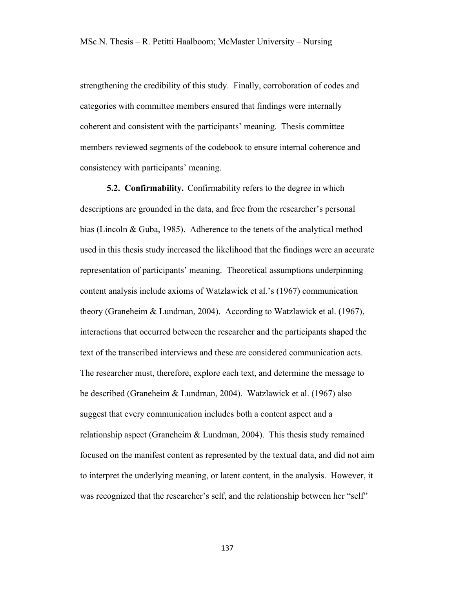strengthening the credibility of this study. Finally, corroboration of codes and categories with committee members ensured that findings were internally coherent and consistent with the participants' meaning. Thesis committee members reviewed segments of the codebook to ensure internal coherence and consistency with participants' meaning.

**5.2. Confirmability.** Confirmability refers to the degree in which descriptions are grounded in the data, and free from the researcher's personal bias (Lincoln & Guba, 1985). Adherence to the tenets of the analytical method used in this thesis study increased the likelihood that the findings were an accurate representation of participants' meaning. Theoretical assumptions underpinning content analysis include axioms of Watzlawick et al.'s (1967) communication theory (Graneheim & Lundman, 2004). According to Watzlawick et al. (1967), interactions that occurred between the researcher and the participants shaped the text of the transcribed interviews and these are considered communication acts. The researcher must, therefore, explore each text, and determine the message to be described (Graneheim & Lundman, 2004). Watzlawick et al. (1967) also suggest that every communication includes both a content aspect and a relationship aspect (Graneheim & Lundman, 2004). This thesis study remained focused on the manifest content as represented by the textual data, and did not aim to interpret the underlying meaning, or latent content, in the analysis. However, it was recognized that the researcher's self, and the relationship between her "self"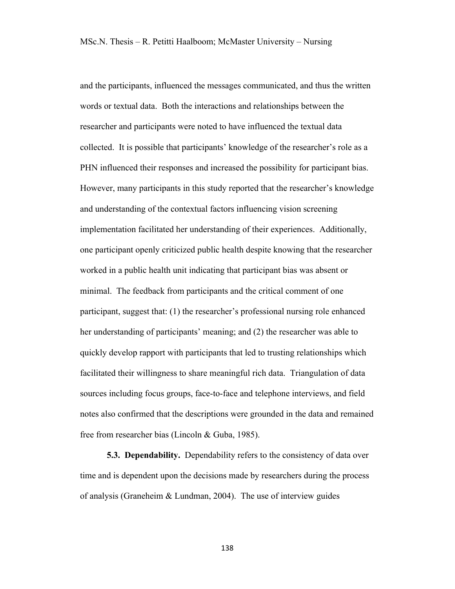and the participants, influenced the messages communicated, and thus the written words or textual data. Both the interactions and relationships between the researcher and participants were noted to have influenced the textual data collected. It is possible that participants' knowledge of the researcher's role as a PHN influenced their responses and increased the possibility for participant bias. However, many participants in this study reported that the researcher's knowledge and understanding of the contextual factors influencing vision screening implementation facilitated her understanding of their experiences. Additionally, one participant openly criticized public health despite knowing that the researcher worked in a public health unit indicating that participant bias was absent or minimal. The feedback from participants and the critical comment of one participant, suggest that: (1) the researcher's professional nursing role enhanced her understanding of participants' meaning; and (2) the researcher was able to quickly develop rapport with participants that led to trusting relationships which facilitated their willingness to share meaningful rich data. Triangulation of data sources including focus groups, face-to-face and telephone interviews, and field notes also confirmed that the descriptions were grounded in the data and remained free from researcher bias (Lincoln & Guba, 1985).

**5.3. Dependability.** Dependability refers to the consistency of data over time and is dependent upon the decisions made by researchers during the process of analysis (Graneheim & Lundman, 2004). The use of interview guides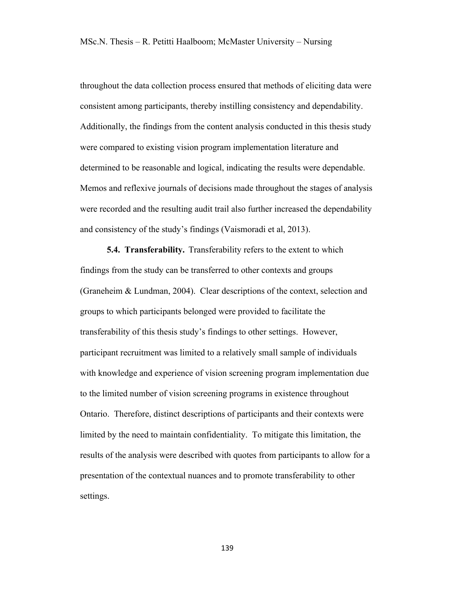throughout the data collection process ensured that methods of eliciting data were consistent among participants, thereby instilling consistency and dependability. Additionally, the findings from the content analysis conducted in this thesis study were compared to existing vision program implementation literature and determined to be reasonable and logical, indicating the results were dependable. Memos and reflexive journals of decisions made throughout the stages of analysis were recorded and the resulting audit trail also further increased the dependability and consistency of the study's findings (Vaismoradi et al, 2013).

**5.4. Transferability.** Transferability refers to the extent to which findings from the study can be transferred to other contexts and groups (Graneheim & Lundman, 2004). Clear descriptions of the context, selection and groups to which participants belonged were provided to facilitate the transferability of this thesis study's findings to other settings. However, participant recruitment was limited to a relatively small sample of individuals with knowledge and experience of vision screening program implementation due to the limited number of vision screening programs in existence throughout Ontario. Therefore, distinct descriptions of participants and their contexts were limited by the need to maintain confidentiality. To mitigate this limitation, the results of the analysis were described with quotes from participants to allow for a presentation of the contextual nuances and to promote transferability to other settings.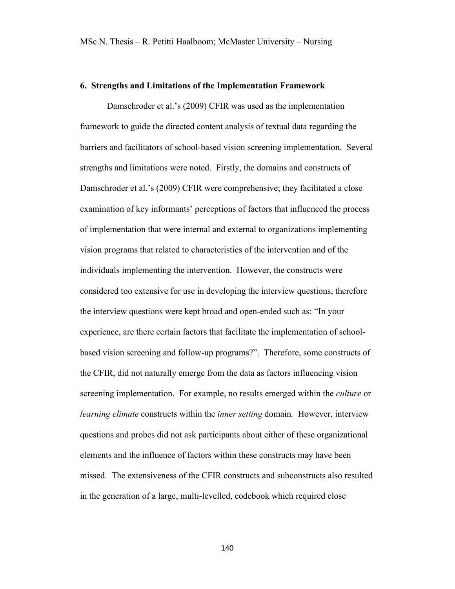#### **6. Strengths and Limitations of the Implementation Framework**

Damschroder et al.'s (2009) CFIR was used as the implementation framework to guide the directed content analysis of textual data regarding the barriers and facilitators of school-based vision screening implementation. Several strengths and limitations were noted. Firstly, the domains and constructs of Damschroder et al.'s (2009) CFIR were comprehensive; they facilitated a close examination of key informants' perceptions of factors that influenced the process of implementation that were internal and external to organizations implementing vision programs that related to characteristics of the intervention and of the individuals implementing the intervention. However, the constructs were considered too extensive for use in developing the interview questions, therefore the interview questions were kept broad and open-ended such as: "In your experience, are there certain factors that facilitate the implementation of schoolbased vision screening and follow-up programs?". Therefore, some constructs of the CFIR, did not naturally emerge from the data as factors influencing vision screening implementation. For example, no results emerged within the *culture* or *learning climate* constructs within the *inner setting* domain*.* However, interview questions and probes did not ask participants about either of these organizational elements and the influence of factors within these constructs may have been missed. The extensiveness of the CFIR constructs and subconstructs also resulted in the generation of a large, multi-levelled, codebook which required close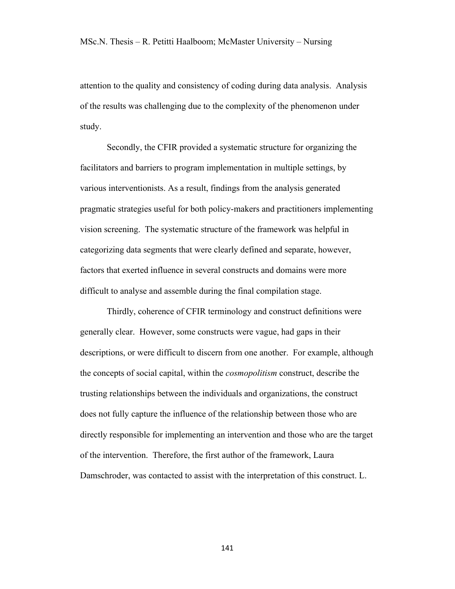attention to the quality and consistency of coding during data analysis. Analysis of the results was challenging due to the complexity of the phenomenon under study.

Secondly, the CFIR provided a systematic structure for organizing the facilitators and barriers to program implementation in multiple settings, by various interventionists. As a result, findings from the analysis generated pragmatic strategies useful for both policy-makers and practitioners implementing vision screening. The systematic structure of the framework was helpful in categorizing data segments that were clearly defined and separate, however, factors that exerted influence in several constructs and domains were more difficult to analyse and assemble during the final compilation stage.

Thirdly, coherence of CFIR terminology and construct definitions were generally clear. However, some constructs were vague, had gaps in their descriptions, or were difficult to discern from one another. For example, although the concepts of social capital, within the *cosmopolitism* construct, describe the trusting relationships between the individuals and organizations, the construct does not fully capture the influence of the relationship between those who are directly responsible for implementing an intervention and those who are the target of the intervention. Therefore, the first author of the framework, Laura Damschroder, was contacted to assist with the interpretation of this construct. L.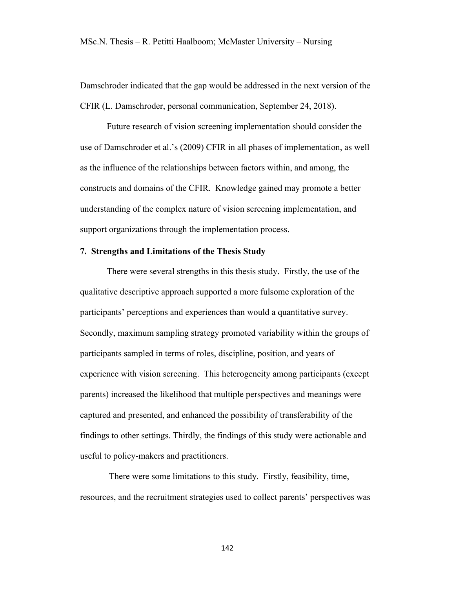Damschroder indicated that the gap would be addressed in the next version of the CFIR (L. Damschroder, personal communication, September 24, 2018).

Future research of vision screening implementation should consider the use of Damschroder et al.'s (2009) CFIR in all phases of implementation, as well as the influence of the relationships between factors within, and among, the constructs and domains of the CFIR. Knowledge gained may promote a better understanding of the complex nature of vision screening implementation, and support organizations through the implementation process.

#### **7. Strengths and Limitations of the Thesis Study**

There were several strengths in this thesis study. Firstly, the use of the qualitative descriptive approach supported a more fulsome exploration of the participants' perceptions and experiences than would a quantitative survey. Secondly, maximum sampling strategy promoted variability within the groups of participants sampled in terms of roles, discipline, position, and years of experience with vision screening. This heterogeneity among participants (except parents) increased the likelihood that multiple perspectives and meanings were captured and presented, and enhanced the possibility of transferability of the findings to other settings. Thirdly, the findings of this study were actionable and useful to policy-makers and practitioners.

There were some limitations to this study. Firstly, feasibility, time, resources, and the recruitment strategies used to collect parents' perspectives was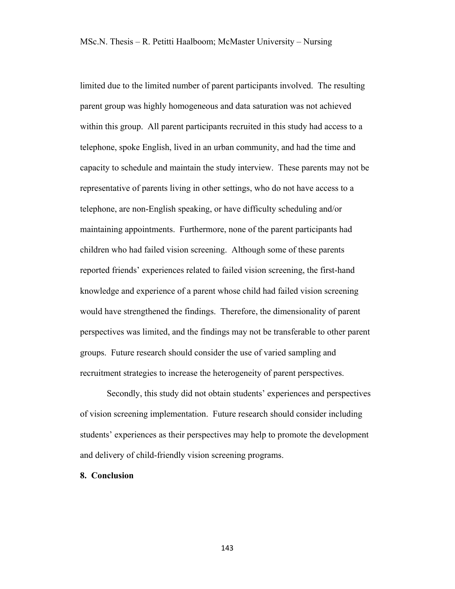limited due to the limited number of parent participants involved. The resulting parent group was highly homogeneous and data saturation was not achieved within this group. All parent participants recruited in this study had access to a telephone, spoke English, lived in an urban community, and had the time and capacity to schedule and maintain the study interview. These parents may not be representative of parents living in other settings, who do not have access to a telephone, are non-English speaking, or have difficulty scheduling and/or maintaining appointments. Furthermore, none of the parent participants had children who had failed vision screening. Although some of these parents reported friends' experiences related to failed vision screening, the first-hand knowledge and experience of a parent whose child had failed vision screening would have strengthened the findings. Therefore, the dimensionality of parent perspectives was limited, and the findings may not be transferable to other parent groups. Future research should consider the use of varied sampling and recruitment strategies to increase the heterogeneity of parent perspectives.

Secondly, this study did not obtain students' experiences and perspectives of vision screening implementation. Future research should consider including students' experiences as their perspectives may help to promote the development and delivery of child-friendly vision screening programs.

#### **8. Conclusion**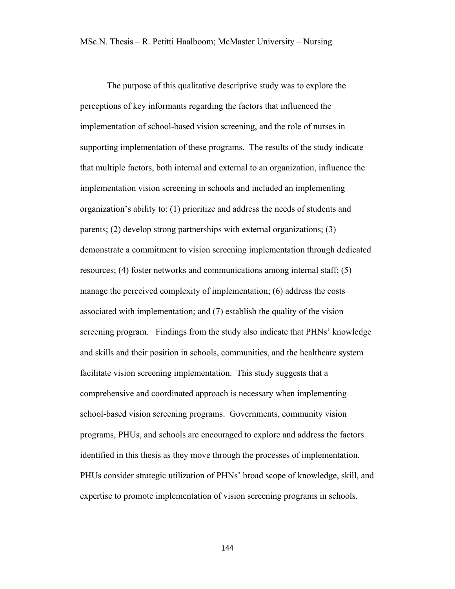The purpose of this qualitative descriptive study was to explore the perceptions of key informants regarding the factors that influenced the implementation of school-based vision screening, and the role of nurses in supporting implementation of these programs. The results of the study indicate that multiple factors, both internal and external to an organization, influence the implementation vision screening in schools and included an implementing organization's ability to: (1) prioritize and address the needs of students and parents; (2) develop strong partnerships with external organizations; (3) demonstrate a commitment to vision screening implementation through dedicated resources; (4) foster networks and communications among internal staff; (5) manage the perceived complexity of implementation; (6) address the costs associated with implementation; and (7) establish the quality of the vision screening program. Findings from the study also indicate that PHNs' knowledge and skills and their position in schools, communities, and the healthcare system facilitate vision screening implementation. This study suggests that a comprehensive and coordinated approach is necessary when implementing school-based vision screening programs. Governments, community vision programs, PHUs, and schools are encouraged to explore and address the factors identified in this thesis as they move through the processes of implementation. PHUs consider strategic utilization of PHNs' broad scope of knowledge, skill, and expertise to promote implementation of vision screening programs in schools.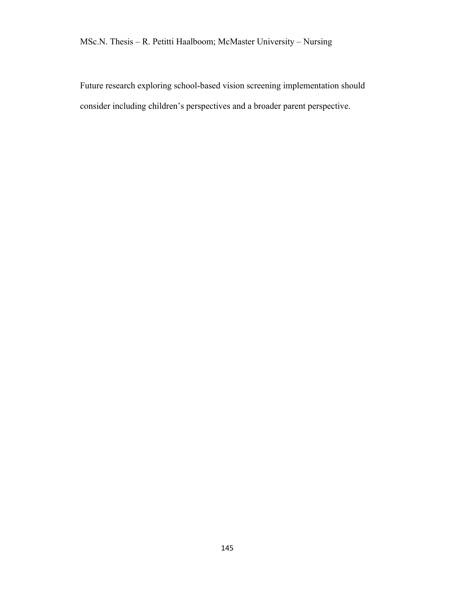Future research exploring school-based vision screening implementation should consider including children's perspectives and a broader parent perspective.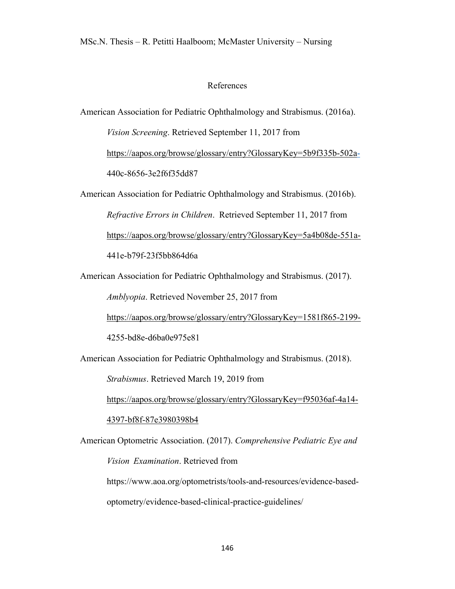## References

American Association for Pediatric Ophthalmology and Strabismus. (2016a).

*Vision Screening*. Retrieved September 11, 2017 from

https://aapos.org/browse/glossary/entry?GlossaryKey=5b9f335b-502a-440c-8656-3e2f6f35dd87

American Association for Pediatric Ophthalmology and Strabismus. (2016b). *Refractive Errors in Children*. Retrieved September 11, 2017 from https://aapos.org/browse/glossary/entry?GlossaryKey=5a4b08de-551a-441e-b79f-23f5bb864d6a

American Association for Pediatric Ophthalmology and Strabismus. (2017).

*Amblyopia*. Retrieved November 25, 2017 from

https://aapos.org/browse/glossary/entry?GlossaryKey=1581f865-2199-

4255-bd8e-d6ba0e975e81

American Association for Pediatric Ophthalmology and Strabismus. (2018).

*Strabismus*. Retrieved March 19, 2019 from

https://aapos.org/browse/glossary/entry?GlossaryKey=f95036af-4a14-

#### 4397-bf8f-87e3980398b4

American Optometric Association. (2017). *Comprehensive Pediatric Eye and Vision Examination*. Retrieved from

https://www.aoa.org/optometrists/tools-and-resources/evidence-based-

optometry/evidence-based-clinical-practice-guidelines/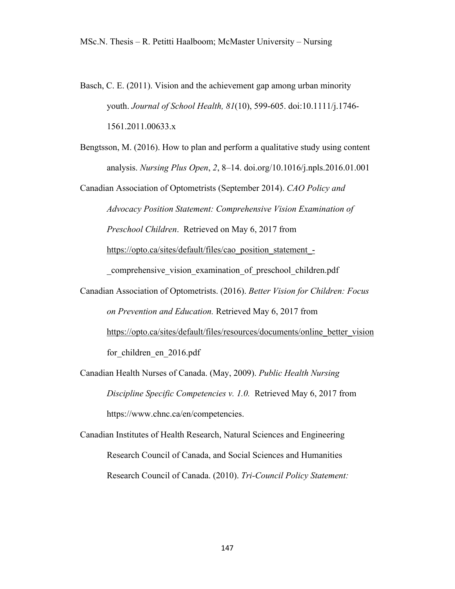- Basch, C. E. (2011). Vision and the achievement gap among urban minority youth. *Journal of School Health, 81*(10), 599-605. doi:10.1111/j.1746- 1561.2011.00633.x
- Bengtsson, M. (2016). How to plan and perform a qualitative study using content analysis. *Nursing Plus Open*, *2*, 8–14. doi.org/10.1016/j.npls.2016.01.001

Canadian Association of Optometrists (September 2014). *CAO Policy and Advocacy Position Statement: Comprehensive Vision Examination of Preschool Children*. Retrieved on May 6, 2017 from https://opto.ca/sites/default/files/cao\_position\_statement\_-

comprehensive vision examination of preschool children.pdf

- Canadian Association of Optometrists. (2016). *Better Vision for Children: Focus on Prevention and Education.* Retrieved May 6, 2017 from https://opto.ca/sites/default/files/resources/documents/online\_better\_vision for children en 2016.pdf
- Canadian Health Nurses of Canada. (May, 2009). *Public Health Nursing Discipline Specific Competencies v. 1.0.* Retrieved May 6, 2017 from https://www.chnc.ca/en/competencies.

Canadian Institutes of Health Research, Natural Sciences and Engineering Research Council of Canada, and Social Sciences and Humanities Research Council of Canada. (2010). *Tri-Council Policy Statement:*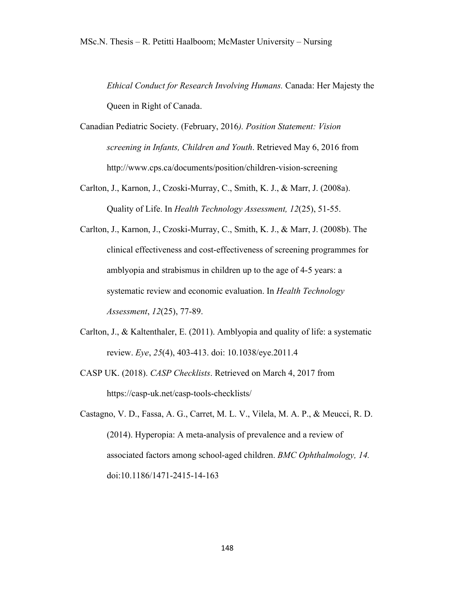*Ethical Conduct for Research Involving Humans.* Canada: Her Majesty the Queen in Right of Canada.

- Canadian Pediatric Society. (February, 2016*). Position Statement: Vision screening in Infants, Children and Youth*. Retrieved May 6, 2016 from http://www.cps.ca/documents/position/children-vision-screening
- Carlton, J., Karnon, J., Czoski-Murray, C., Smith, K. J., & Marr, J. (2008a). Quality of Life. In *Health Technology Assessment, 12*(25), 51-55.
- Carlton, J., Karnon, J., Czoski-Murray, C., Smith, K. J., & Marr, J. (2008b). The clinical effectiveness and cost-effectiveness of screening programmes for amblyopia and strabismus in children up to the age of 4-5 years: a systematic review and economic evaluation. In *Health Technology Assessment*, *12*(25), 77-89.
- Carlton, J., & Kaltenthaler, E. (2011). Amblyopia and quality of life: a systematic review. *Eye*, *25*(4), 403-413. doi: 10.1038/eye.2011.4
- CASP UK. (2018). *CASP Checklists*. Retrieved on March 4, 2017 from https://casp-uk.net/casp-tools-checklists/

Castagno, V. D., Fassa, A. G., Carret, M. L. V., Vilela, M. A. P., & Meucci, R. D. (2014). Hyperopia: A meta-analysis of prevalence and a review of associated factors among school-aged children. *BMC Ophthalmology, 14.* doi:10.1186/1471-2415-14-163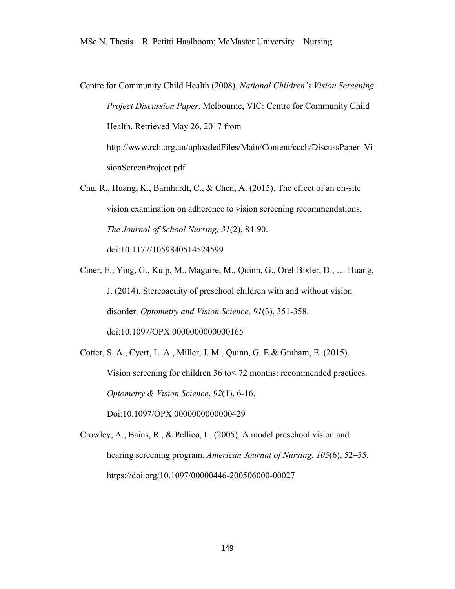Centre for Community Child Health (2008). *National Children's Vision Screening Project Discussion Paper*. Melbourne, VIC: Centre for Community Child Health. Retrieved May 26, 2017 from http://www.rch.org.au/uploadedFiles/Main/Content/ccch/DiscussPaper\_Vi sionScreenProject.pdf

Chu, R., Huang, K., Barnhardt, C., & Chen, A. (2015). The effect of an on-site vision examination on adherence to vision screening recommendations. *The Journal of School Nursing, 31*(2), 84-90.

doi:10.1177/1059840514524599

Ciner, E., Ying, G., Kulp, M., Maguire, M., Quinn, G., Orel-Bixler, D., … Huang, J. (2014). Stereoacuity of preschool children with and without vision disorder. *Optometry and Vision Science, 91*(3), 351-358. doi:10.1097/OPX.0000000000000165

Cotter, S. A., Cyert, L. A., Miller, J. M., Quinn, G. E.& Graham, E. (2015). Vision screening for children 36 to< 72 months: recommended practices. *Optometry & Vision Science*, *92*(1), 6-16. Doi:10.1097/OPX.0000000000000429

Crowley, A., Bains, R., & Pellico, L. (2005). A model preschool vision and hearing screening program. *American Journal of Nursing*, *105*(6), 52–55. https://doi.org/10.1097/00000446-200506000-00027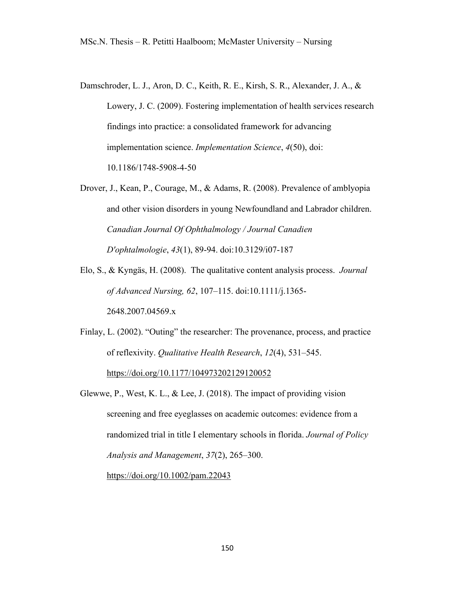- Damschroder, L. J., Aron, D. C., Keith, R. E., Kirsh, S. R., Alexander, J. A., & Lowery, J. C. (2009). Fostering implementation of health services research findings into practice: a consolidated framework for advancing implementation science. *Implementation Science*, *4*(50), doi: 10.1186/1748-5908-4-50
- Drover, J., Kean, P., Courage, M., & Adams, R. (2008). Prevalence of amblyopia and other vision disorders in young Newfoundland and Labrador children. *Canadian Journal Of Ophthalmology / Journal Canadien D'ophtalmologie*, *43*(1), 89-94. doi:10.3129/i07-187
- Elo, S., & Kyngäs, H. (2008). The qualitative content analysis process. *Journal of Advanced Nursing, 62*, 107–115. doi:10.1111/j.1365- 2648.2007.04569.x
- Finlay, L. (2002). "Outing" the researcher: The provenance, process, and practice of reflexivity. *Qualitative Health Research*, *12*(4), 531–545. https://doi.org/10.1177/104973202129120052
- Glewwe, P., West, K. L., & Lee, J. (2018). The impact of providing vision screening and free eyeglasses on academic outcomes: evidence from a randomized trial in title I elementary schools in florida. *Journal of Policy Analysis and Management*, *37*(2), 265–300. https://doi.org/10.1002/pam.22043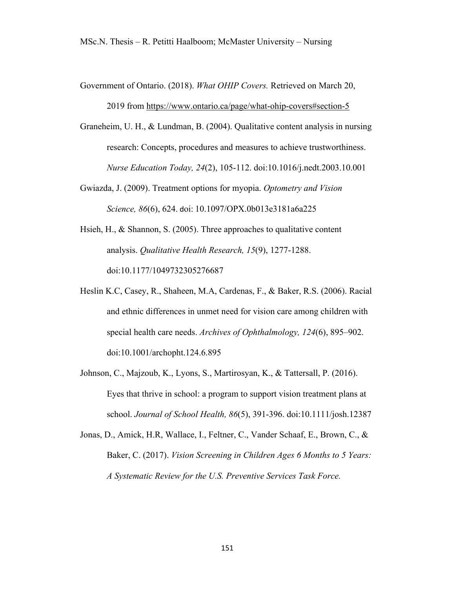- Government of Ontario. (2018). *What OHIP Covers.* Retrieved on March 20, 2019 from https://www.ontario.ca/page/what-ohip-covers#section-5
- Graneheim, U. H., & Lundman, B. (2004). Qualitative content analysis in nursing research: Concepts, procedures and measures to achieve trustworthiness. *Nurse Education Today, 24*(2), 105-112. doi:10.1016/j.nedt.2003.10.001
- Gwiazda, J. (2009). Treatment options for myopia. *Optometry and Vision Science, 86*(6), 624. doi: 10.1097/OPX.0b013e3181a6a225
- Hsieh, H., & Shannon, S. (2005). Three approaches to qualitative content analysis. *Qualitative Health Research, 15*(9), 1277-1288. doi:10.1177/1049732305276687
- Heslin K.C, Casey, R., Shaheen, M.A, Cardenas, F., & Baker, R.S. (2006). Racial and ethnic differences in unmet need for vision care among children with special health care needs. *Archives of Ophthalmology, 124*(6), 895–902. doi:10.1001/archopht.124.6.895
- Johnson, C., Majzoub, K., Lyons, S., Martirosyan, K., & Tattersall, P. (2016). Eyes that thrive in school: a program to support vision treatment plans at school. *Journal of School Health, 86*(5), 391-396. doi:10.1111/josh.12387
- Jonas, D., Amick, H.R, Wallace, I., Feltner, C., Vander Schaaf, E., Brown, C., & Baker, C. (2017). *Vision Screening in Children Ages 6 Months to 5 Years: A Systematic Review for the U.S. Preventive Services Task Force.*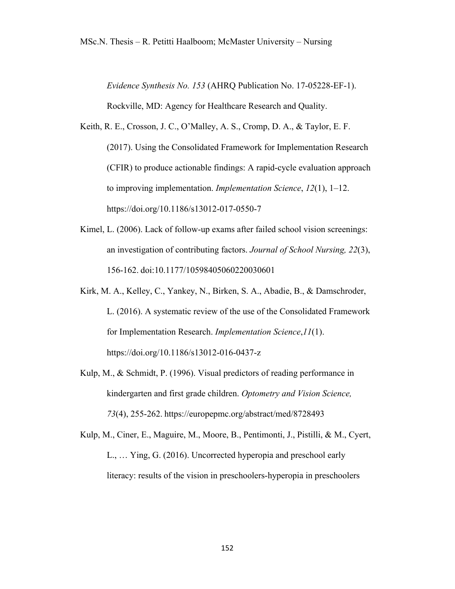*Evidence Synthesis No. 153* (AHRQ Publication No. 17-05228-EF-1). Rockville, MD: Agency for Healthcare Research and Quality.

- Keith, R. E., Crosson, J. C., O'Malley, A. S., Cromp, D. A., & Taylor, E. F. (2017). Using the Consolidated Framework for Implementation Research (CFIR) to produce actionable findings: A rapid-cycle evaluation approach to improving implementation. *Implementation Science*, *12*(1), 1–12. https://doi.org/10.1186/s13012-017-0550-7
- Kimel, L. (2006). Lack of follow-up exams after failed school vision screenings: an investigation of contributing factors. *Journal of School Nursing, 22*(3), 156-162. doi:10.1177/10598405060220030601
- Kirk, M. A., Kelley, C., Yankey, N., Birken, S. A., Abadie, B., & Damschroder, L. (2016). A systematic review of the use of the Consolidated Framework for Implementation Research. *Implementation Science*,*11*(1). https://doi.org/10.1186/s13012-016-0437-z
- Kulp, M., & Schmidt, P. (1996). Visual predictors of reading performance in kindergarten and first grade children. *Optometry and Vision Science, 73*(4), 255-262. https://europepmc.org/abstract/med/8728493
- Kulp, M., Ciner, E., Maguire, M., Moore, B., Pentimonti, J., Pistilli, & M., Cyert, L., … Ying, G. (2016). Uncorrected hyperopia and preschool early literacy: results of the vision in preschoolers-hyperopia in preschoolers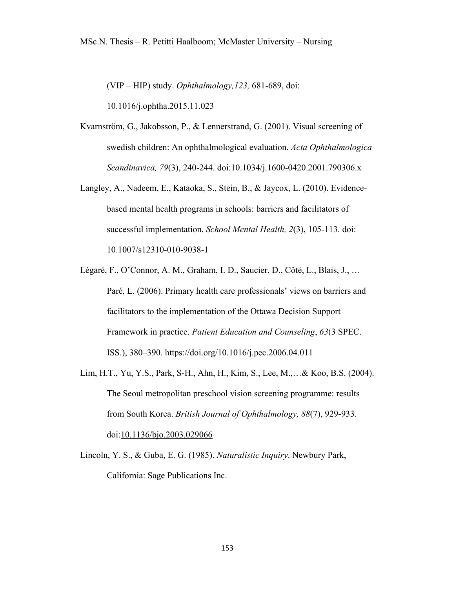(VIP – HIP) study. *Ophthalmology,123,* 681-689, doi:

10.1016/j.ophtha.2015.11.023

- Kvarnström, G., Jakobsson, P., & Lennerstrand, G. (2001). Visual screening of swedish children: An ophthalmological evaluation. *Acta Ophthalmologica Scandinavica, 79*(3), 240-244. doi:10.1034/j.1600-0420.2001.790306.x
- Langley, A., Nadeem, E., Kataoka, S., Stein, B., & Jaycox, L. (2010). Evidencebased mental health programs in schools: barriers and facilitators of successful implementation. *School Mental Health, 2*(3), 105-113. doi: 10.1007/s12310-010-9038-1
- Légaré, F., O'Connor, A. M., Graham, I. D., Saucier, D., Côté, L., Blais, J., … Paré, L. (2006). Primary health care professionals' views on barriers and facilitators to the implementation of the Ottawa Decision Support Framework in practice. *Patient Education and Counseling*, *63*(3 SPEC. ISS.), 380–390. https://doi.org/10.1016/j.pec.2006.04.011
- Lim, H.T., Yu, Y.S., Park, S-H., Ahn, H., Kim, S., Lee, M.,…& Koo, B.S. (2004). The Seoul metropolitan preschool vision screening programme: results from South Korea. *British Journal of Ophthalmology, 88*(7), 929-933. doi:10.1136/bjo.2003.029066
- Lincoln, Y. S., & Guba, E. G. (1985). *Naturalistic Inquiry*. Newbury Park, California: Sage Publications Inc.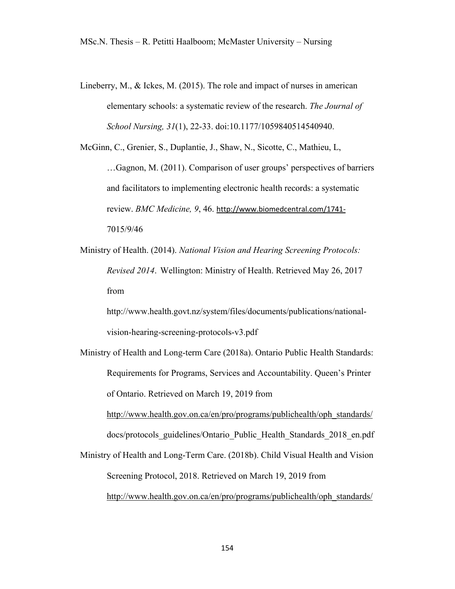Lineberry, M., & Ickes, M. (2015). The role and impact of nurses in american elementary schools: a systematic review of the research. *The Journal of School Nursing, 31*(1), 22-33. doi:10.1177/1059840514540940.

McGinn, C., Grenier, S., Duplantie, J., Shaw, N., Sicotte, C., Mathieu, L, …Gagnon, M. (2011). Comparison of user groups' perspectives of barriers and facilitators to implementing electronic health records: a systematic review. *BMC Medicine, 9*, 46. http://www.biomedcentral.com/1741- 7015/9/46

Ministry of Health. (2014). *National Vision and Hearing Screening Protocols: Revised 2014*. Wellington: Ministry of Health. Retrieved May 26, 2017 from

http://www.health.govt.nz/system/files/documents/publications/nationalvision-hearing-screening-protocols-v3.pdf

Ministry of Health and Long-term Care (2018a). Ontario Public Health Standards: Requirements for Programs, Services and Accountability. Queen's Printer of Ontario. Retrieved on March 19, 2019 from

http://www.health.gov.on.ca/en/pro/programs/publichealth/oph\_standards/ docs/protocols\_guidelines/Ontario\_Public\_Health\_Standards\_2018\_en.pdf

Ministry of Health and Long-Term Care. (2018b). Child Visual Health and Vision Screening Protocol, 2018. Retrieved on March 19, 2019 from http://www.health.gov.on.ca/en/pro/programs/publichealth/oph\_standards/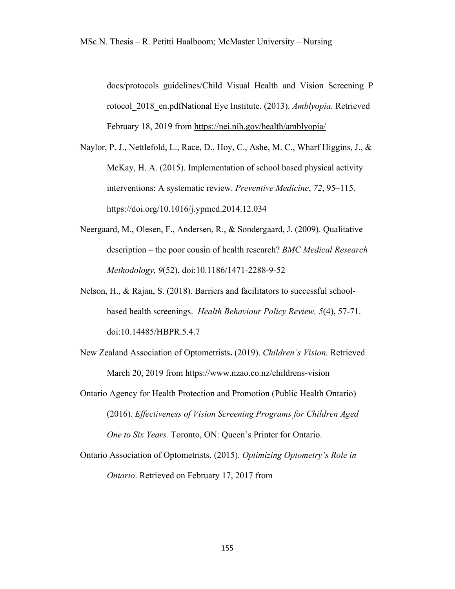docs/protocols\_guidelines/Child\_Visual\_Health\_and\_Vision\_Screening\_P rotocol\_2018\_en.pdfNational Eye Institute. (2013). *Amblyopia*. Retrieved February 18, 2019 from https://nei.nih.gov/health/amblyopia/

- Naylor, P. J., Nettlefold, L., Race, D., Hoy, C., Ashe, M. C., Wharf Higgins, J., & McKay, H. A. (2015). Implementation of school based physical activity interventions: A systematic review. *Preventive Medicine*, *72*, 95–115. https://doi.org/10.1016/j.ypmed.2014.12.034
- Neergaard, M., Olesen, F., Andersen, R., & Sondergaard, J. (2009). Qualitative description – the poor cousin of health research? *BMC Medical Research Methodology, 9*(52), doi:10.1186/1471-2288-9-52
- Nelson, H., & Rajan, S. (2018). Barriers and facilitators to successful schoolbased health screenings. *Health Behaviour Policy Review, 5*(4), 57-71. doi:10.14485/HBPR.5.4.7
- New Zealand Association of Optometrists**.** (2019). *Children's Vision.* Retrieved March 20, 2019 from https://www.nzao.co.nz/childrens-vision
- Ontario Agency for Health Protection and Promotion (Public Health Ontario) (2016). *Effectiveness of Vision Screening Programs for Children Aged One to Six Years.* Toronto, ON: Queen's Printer for Ontario.
- Ontario Association of Optometrists. (2015). *Optimizing Optometry's Role in Ontario*. Retrieved on February 17, 2017 from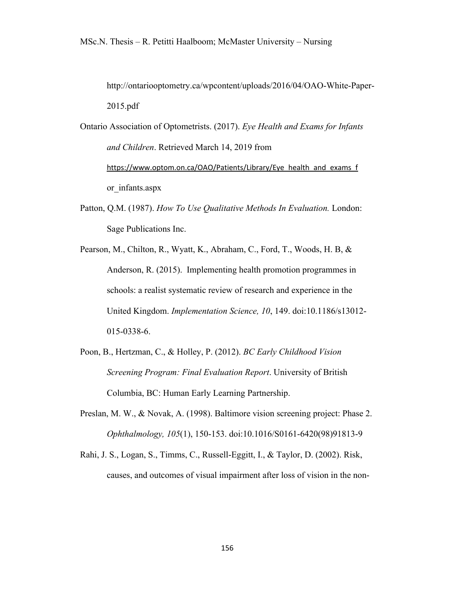http://ontariooptometry.ca/wpcontent/uploads/2016/04/OAO-White-Paper-2015.pdf

- Ontario Association of Optometrists. (2017). *Eye Health and Exams for Infants and Children*. Retrieved March 14, 2019 from https://www.optom.on.ca/OAO/Patients/Library/Eye\_health\_and\_exams\_f or\_infants.aspx
- Patton, Q.M. (1987). *How To Use Qualitative Methods In Evaluation.* London: Sage Publications Inc.
- Pearson, M., Chilton, R., Wyatt, K., Abraham, C., Ford, T., Woods, H. B, & Anderson, R. (2015). Implementing health promotion programmes in schools: a realist systematic review of research and experience in the United Kingdom. *Implementation Science, 10*, 149. doi:10.1186/s13012- 015-0338-6.
- Poon, B., Hertzman, C., & Holley, P. (2012). *BC Early Childhood Vision Screening Program: Final Evaluation Report*. University of British Columbia, BC: Human Early Learning Partnership.
- Preslan, M. W., & Novak, A. (1998). Baltimore vision screening project: Phase 2. *Ophthalmology, 105*(1), 150-153. doi:10.1016/S0161-6420(98)91813-9
- Rahi, J. S., Logan, S., Timms, C., Russell-Eggitt, I., & Taylor, D. (2002). Risk, causes, and outcomes of visual impairment after loss of vision in the non-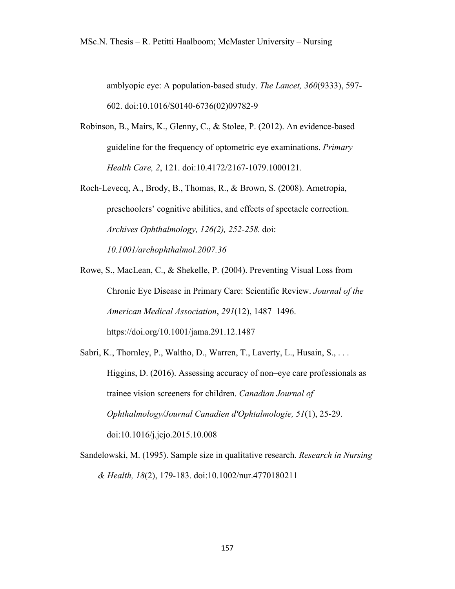amblyopic eye: A population-based study. *The Lancet, 360*(9333), 597- 602. doi:10.1016/S0140-6736(02)09782-9

- Robinson, B., Mairs, K., Glenny, C., & Stolee, P. (2012). An evidence-based guideline for the frequency of optometric eye examinations. *Primary Health Care, 2*, 121. doi:10.4172/2167-1079.1000121.
- Roch-Levecq, A., Brody, B., Thomas, R., & Brown, S. (2008). Ametropia, preschoolers' cognitive abilities, and effects of spectacle correction. *Archives Ophthalmology, 126(2), 252-258.* doi: *10.1001/archophthalmol.2007.36*
- Rowe, S., MacLean, C., & Shekelle, P. (2004). Preventing Visual Loss from Chronic Eye Disease in Primary Care: Scientific Review. *Journal of the American Medical Association*, *291*(12), 1487–1496. https://doi.org/10.1001/jama.291.12.1487
- Sabri, K., Thornley, P., Waltho, D., Warren, T., Laverty, L., Husain, S., ... Higgins, D. (2016). Assessing accuracy of non–eye care professionals as trainee vision screeners for children. *Canadian Journal of Ophthalmology/Journal Canadien d'Ophtalmologie, 51*(1), 25-29. doi:10.1016/j.jcjo.2015.10.008
- Sandelowski, M. (1995). Sample size in qualitative research. *Research in Nursing & Health, 18*(2), 179-183. doi:10.1002/nur.4770180211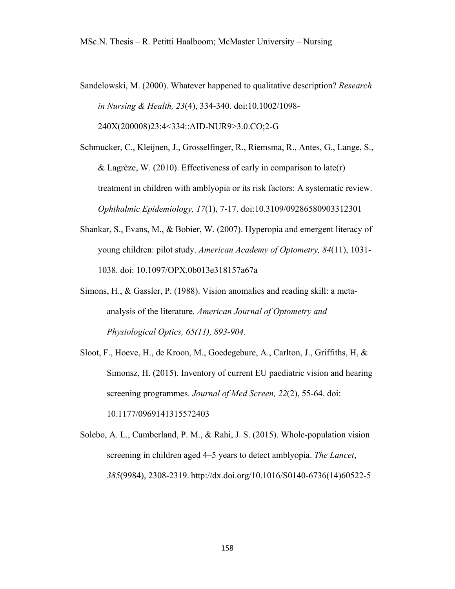Sandelowski, M. (2000). Whatever happened to qualitative description? *Research in Nursing & Health, 23*(4), 334-340. doi:10.1002/1098- 240X(200008)23:4<334::AID-NUR9>3.0.CO;2-G

Schmucker, C., Kleijnen, J., Grosselfinger, R., Riemsma, R., Antes, G., Lange, S., & Lagrèze, W. (2010). Effectiveness of early in comparison to late(r) treatment in children with amblyopia or its risk factors: A systematic review. *Ophthalmic Epidemiology, 17*(1), 7-17. doi:10.3109/09286580903312301

- Shankar, S., Evans, M., & Bobier, W. (2007). Hyperopia and emergent literacy of young children: pilot study. *American Academy of Optometry, 84*(11), 1031- 1038. doi: 10.1097/OPX.0b013e318157a67a
- Simons, H., & Gassler, P. (1988). Vision anomalies and reading skill: a metaanalysis of the literature. *American Journal of Optometry and Physiological Optics, 65(11), 893-904.*
- Sloot, F., Hoeve, H., de Kroon, M., Goedegebure, A., Carlton, J., Griffiths, H, & Simonsz, H. (2015). Inventory of current EU paediatric vision and hearing screening programmes. *Journal of Med Screen, 22*(2), 55-64. doi: 10.1177/0969141315572403

Solebo, A. L., Cumberland, P. M., & Rahi, J. S. (2015). Whole-population vision screening in children aged 4–5 years to detect amblyopia. *The Lancet*, *385*(9984), 2308-2319. http://dx.doi.org/10.1016/S0140-6736(14)60522-5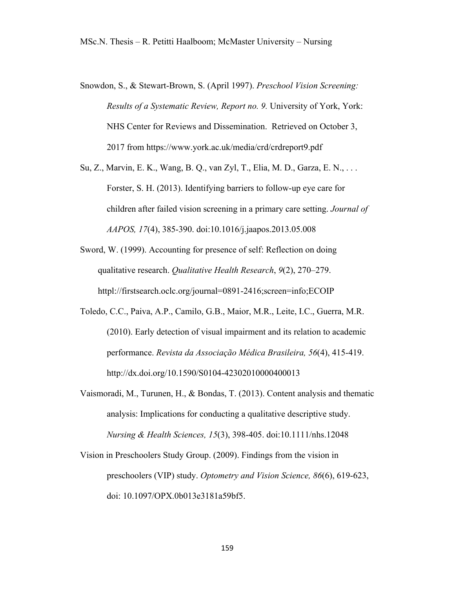- Snowdon, S., & Stewart-Brown, S. (April 1997). *Preschool Vision Screening: Results of a Systematic Review, Report no. 9.* University of York, York: NHS Center for Reviews and Dissemination. Retrieved on October 3, 2017 from https://www.york.ac.uk/media/crd/crdreport9.pdf
- Su, Z., Marvin, E. K., Wang, B. Q., van Zyl, T., Elia, M. D., Garza, E. N., . . . Forster, S. H. (2013). Identifying barriers to follow-up eye care for children after failed vision screening in a primary care setting. *Journal of AAPOS, 17*(4), 385-390. doi:10.1016/j.jaapos.2013.05.008
- Sword, W. (1999). Accounting for presence of self: Reflection on doing qualitative research. *Qualitative Health Research*, *9*(2), 270–279. httpl://firstsearch.oclc.org/journal=0891-2416;screen=info;ECOIP
- Toledo, C.C., Paiva, A.P., Camilo, G.B., Maior, M.R., Leite, I.C., Guerra, M.R. (2010). Early detection of visual impairment and its relation to academic performance. *Revista da Associação Médica Brasileira, 56*(4), 415-419. http://dx.doi.org/10.1590/S0104-42302010000400013
- Vaismoradi, M., Turunen, H., & Bondas, T. (2013). Content analysis and thematic analysis: Implications for conducting a qualitative descriptive study. *Nursing & Health Sciences, 15*(3), 398-405. doi:10.1111/nhs.12048
- Vision in Preschoolers Study Group. (2009). Findings from the vision in preschoolers (VIP) study. *Optometry and Vision Science, 86*(6), 619-623, doi: 10.1097/OPX.0b013e3181a59bf5.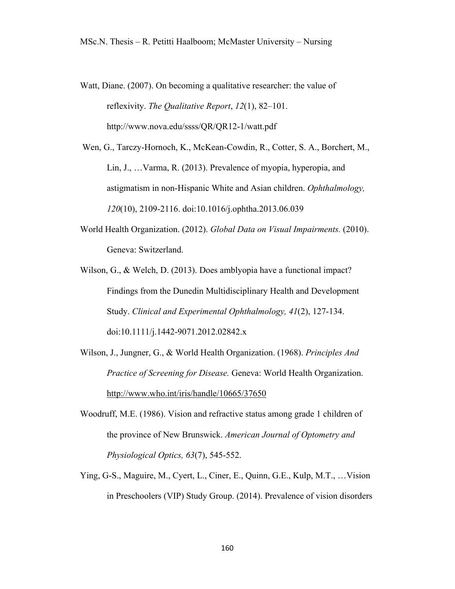Watt, Diane. (2007). On becoming a qualitative researcher: the value of reflexivity. *The Qualitative Report*, *12*(1), 82–101. http://www.nova.edu/ssss/QR/QR12-1/watt.pdf

Wen, G., Tarczy-Hornoch, K., McKean-Cowdin, R., Cotter, S. A., Borchert, M., Lin, J., …Varma, R. (2013). Prevalence of myopia, hyperopia, and astigmatism in non-Hispanic White and Asian children. *Ophthalmology, 120*(10), 2109-2116. doi:10.1016/j.ophtha.2013.06.039

World Health Organization. (2012). *Global Data on Visual Impairments.* (2010). Geneva: Switzerland.

Wilson, G., & Welch, D. (2013). Does amblyopia have a functional impact? Findings from the Dunedin Multidisciplinary Health and Development Study. *Clinical and Experimental Ophthalmology, 41*(2), 127-134. doi:10.1111/j.1442-9071.2012.02842.x

Wilson, J., Jungner, G., & World Health Organization. (1968). *Principles And Practice of Screening for Disease.* Geneva: World Health Organization. http://www.who.int/iris/handle/10665/37650

- Woodruff, M.E. (1986). Vision and refractive status among grade 1 children of the province of New Brunswick. *American Journal of Optometry and Physiological Optics, 63*(7), 545-552.
- Ying, G-S., Maguire, M., Cyert, L., Ciner, E., Quinn, G.E., Kulp, M.T., …Vision in Preschoolers (VIP) Study Group. (2014). Prevalence of vision disorders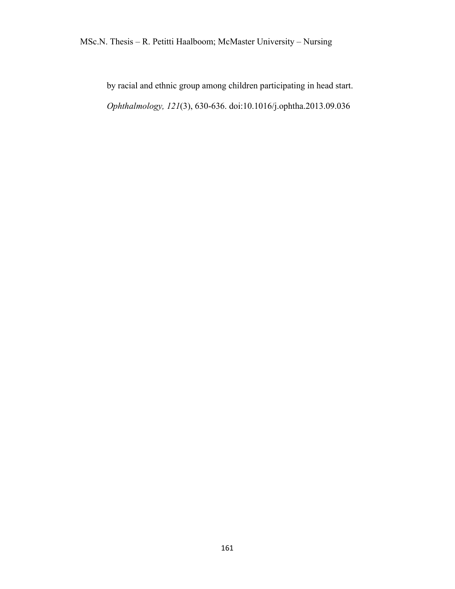by racial and ethnic group among children participating in head start. *Ophthalmology, 121*(3), 630-636. doi:10.1016/j.ophtha.2013.09.036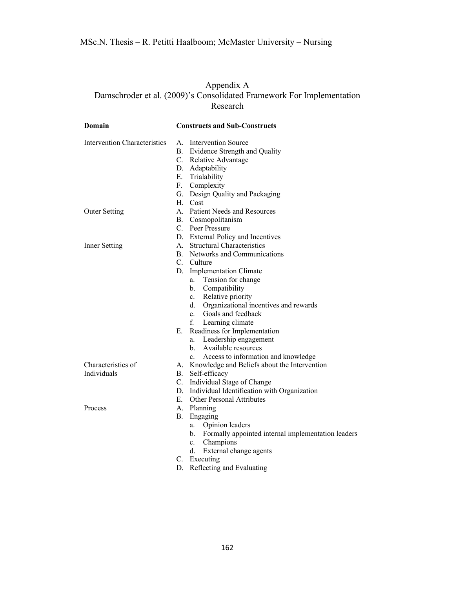## Appendix A Damschroder et al. (2009)'s Consolidated Framework For Implementation Research

| Domain                              | <b>Constructs and Sub-Constructs</b>                     |
|-------------------------------------|----------------------------------------------------------|
| <b>Intervention Characteristics</b> | A. Intervention Source                                   |
|                                     | B. Evidence Strength and Quality                         |
|                                     | C. Relative Advantage                                    |
|                                     | D. Adaptability                                          |
|                                     | E. Trialability                                          |
|                                     | F. Complexity                                            |
|                                     | G. Design Quality and Packaging                          |
|                                     | H. Cost                                                  |
| <b>Outer Setting</b>                | A. Patient Needs and Resources                           |
|                                     | B. Cosmopolitanism                                       |
|                                     | C. Peer Pressure                                         |
|                                     | D. External Policy and Incentives                        |
| Inner Setting                       | A. Structural Characteristics                            |
|                                     | B. Networks and Communications                           |
|                                     | C. Culture                                               |
|                                     | <b>Implementation Climate</b><br>D.                      |
|                                     | Tension for change<br>a.                                 |
|                                     | $\mathbf{b}$ .<br>Compatibility                          |
|                                     | Relative priority<br>c.                                  |
|                                     | d.<br>Organizational incentives and rewards              |
|                                     | Goals and feedback<br>e.                                 |
|                                     | f. Learning climate                                      |
|                                     | Е.<br>Readiness for Implementation                       |
|                                     | Leadership engagement<br>a.                              |
|                                     | Available resources<br>b.                                |
|                                     | Access to information and knowledge<br>$c_{\cdot}$       |
| Characteristics of                  | A. Knowledge and Beliefs about the Intervention          |
| Individuals                         | B. Self-efficacy                                         |
|                                     | C. Individual Stage of Change                            |
|                                     | D. Individual Identification with Organization           |
|                                     | E. Other Personal Attributes                             |
| Process                             | A. Planning                                              |
|                                     | В.<br>Engaging                                           |
|                                     | a.<br>Opinion leaders                                    |
|                                     | Formally appointed internal implementation leaders<br>b. |
|                                     | Champions<br>c.                                          |
|                                     | d.<br>External change agents                             |
|                                     | C. Executing                                             |
|                                     | Reflecting and Evaluating<br>D.                          |
|                                     |                                                          |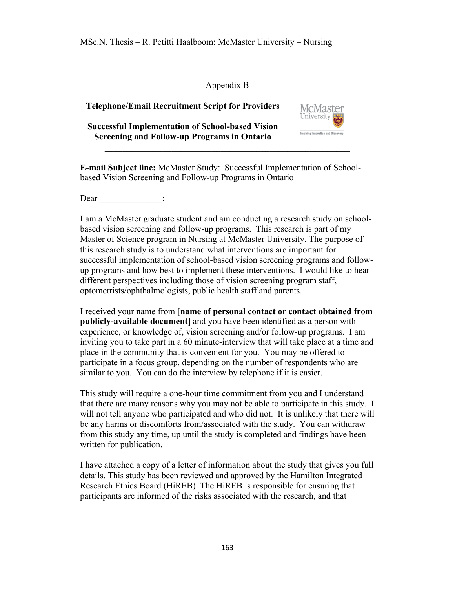## Appendix B

## **Telephone/Email Recruitment Script for Providers**

**Successful Implementation of School-based Vision Screening and Follow-up Programs in Ontario** 



**E-mail Subject line:** McMaster Study: Successful Implementation of Schoolbased Vision Screening and Follow-up Programs in Ontario

 $\mathcal{L} = \{ \mathcal{L} \mathcal{L} \mathcal{L} \mathcal{L} \mathcal{L} \mathcal{L} \mathcal{L} \mathcal{L} \mathcal{L} \mathcal{L} \mathcal{L} \mathcal{L} \mathcal{L} \mathcal{L} \mathcal{L} \mathcal{L} \mathcal{L} \mathcal{L} \mathcal{L} \mathcal{L} \mathcal{L} \mathcal{L} \mathcal{L} \mathcal{L} \mathcal{L} \mathcal{L} \mathcal{L} \mathcal{L} \mathcal{L} \mathcal{L} \mathcal{L} \mathcal{L} \mathcal{L} \mathcal{L} \mathcal{L} \$ 

Dear :

I am a McMaster graduate student and am conducting a research study on schoolbased vision screening and follow-up programs. This research is part of my Master of Science program in Nursing at McMaster University. The purpose of this research study is to understand what interventions are important for successful implementation of school-based vision screening programs and followup programs and how best to implement these interventions. I would like to hear different perspectives including those of vision screening program staff, optometrists/ophthalmologists, public health staff and parents.

I received your name from [**name of personal contact or contact obtained from publicly-available document**] and you have been identified as a person with experience, or knowledge of, vision screening and/or follow-up programs. I am inviting you to take part in a 60 minute-interview that will take place at a time and place in the community that is convenient for you. You may be offered to participate in a focus group, depending on the number of respondents who are similar to you. You can do the interview by telephone if it is easier.

This study will require a one-hour time commitment from you and I understand that there are many reasons why you may not be able to participate in this study. I will not tell anyone who participated and who did not. It is unlikely that there will be any harms or discomforts from/associated with the study. You can withdraw from this study any time, up until the study is completed and findings have been written for publication.

I have attached a copy of a letter of information about the study that gives you full details. This study has been reviewed and approved by the Hamilton Integrated Research Ethics Board (HiREB). The HiREB is responsible for ensuring that participants are informed of the risks associated with the research, and that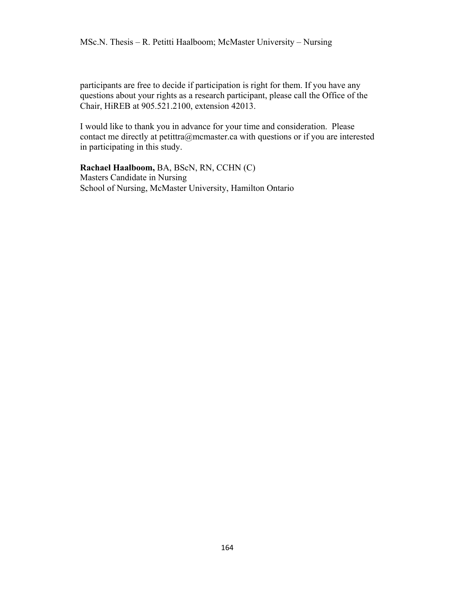participants are free to decide if participation is right for them. If you have any questions about your rights as a research participant, please call the Office of the Chair, HiREB at 905.521.2100, extension 42013.

I would like to thank you in advance for your time and consideration. Please contact me directly at petittra@mcmaster.ca with questions or if you are interested in participating in this study.

**Rachael Haalboom,** BA, BScN, RN, CCHN (C) Masters Candidate in Nursing School of Nursing, McMaster University, Hamilton Ontario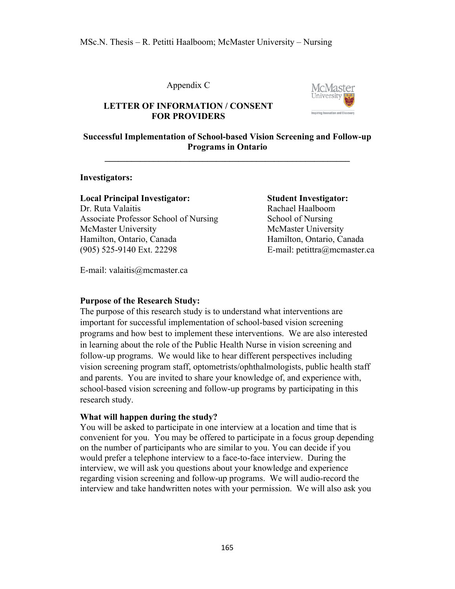### Appendix C



## **LETTER OF INFORMATION / CONSENT FOR PROVIDERS**

## **Successful Implementation of School-based Vision Screening and Follow-up Programs in Ontario**

**\_\_\_\_\_\_\_\_\_\_\_\_\_\_\_\_\_\_\_\_\_\_\_\_\_\_\_\_\_\_\_\_\_\_\_\_\_\_\_\_\_\_\_\_\_\_\_\_\_\_\_\_\_\_\_**

#### **Investigators:**

#### **Local Principal Investigator: Student Investigator:**

Dr. Ruta Valaitis **Rachael Haalboom** Associate Professor School of Nursing School of Nursing McMaster University McMaster University Hamilton, Ontario, Canada Hamilton, Ontario, Canada (905) 525-9140 Ext. 22298 E-mail: petittra@mcmaster.ca

E-mail: valaitis@mcmaster.ca

## **Purpose of the Research Study:**

The purpose of this research study is to understand what interventions are important for successful implementation of school-based vision screening programs and how best to implement these interventions. We are also interested in learning about the role of the Public Health Nurse in vision screening and follow-up programs. We would like to hear different perspectives including vision screening program staff, optometrists/ophthalmologists, public health staff and parents. You are invited to share your knowledge of, and experience with, school-based vision screening and follow-up programs by participating in this research study.

## **What will happen during the study?**

You will be asked to participate in one interview at a location and time that is convenient for you. You may be offered to participate in a focus group depending on the number of participants who are similar to you. You can decide if you would prefer a telephone interview to a face-to-face interview. During the interview, we will ask you questions about your knowledge and experience regarding vision screening and follow-up programs. We will audio-record the interview and take handwritten notes with your permission. We will also ask you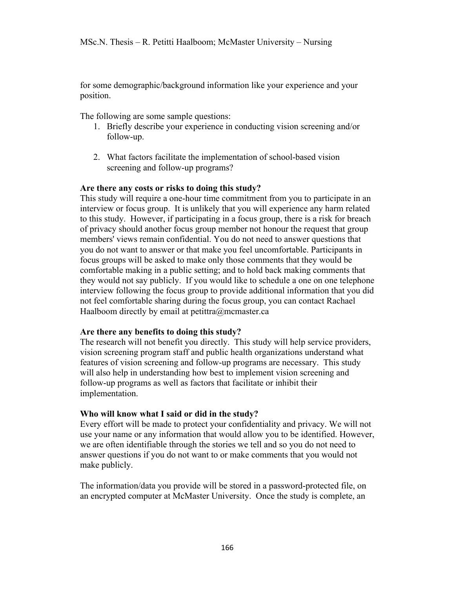for some demographic/background information like your experience and your position.

The following are some sample questions:

- 1. Briefly describe your experience in conducting vision screening and/or follow-up.
- 2. What factors facilitate the implementation of school-based vision screening and follow-up programs?

### **Are there any costs or risks to doing this study?**

This study will require a one-hour time commitment from you to participate in an interview or focus group. It is unlikely that you will experience any harm related to this study. However, if participating in a focus group, there is a risk for breach of privacy should another focus group member not honour the request that group members' views remain confidential. You do not need to answer questions that you do not want to answer or that make you feel uncomfortable. Participants in focus groups will be asked to make only those comments that they would be comfortable making in a public setting; and to hold back making comments that they would not say publicly. If you would like to schedule a one on one telephone interview following the focus group to provide additional information that you did not feel comfortable sharing during the focus group, you can contact Rachael Haalboom directly by email at petittra@mcmaster.ca

#### **Are there any benefits to doing this study?**

The research will not benefit you directly. This study will help service providers, vision screening program staff and public health organizations understand what features of vision screening and follow-up programs are necessary. This study will also help in understanding how best to implement vision screening and follow-up programs as well as factors that facilitate or inhibit their implementation.

## **Who will know what I said or did in the study?**

Every effort will be made to protect your confidentiality and privacy. We will not use your name or any information that would allow you to be identified. However, we are often identifiable through the stories we tell and so you do not need to answer questions if you do not want to or make comments that you would not make publicly.

The information/data you provide will be stored in a password-protected file, on an encrypted computer at McMaster University. Once the study is complete, an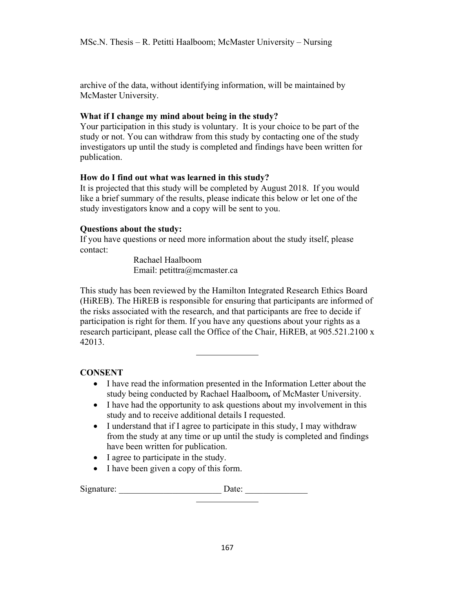archive of the data, without identifying information, will be maintained by McMaster University.

## **What if I change my mind about being in the study?**

Your participation in this study is voluntary. It is your choice to be part of the study or not. You can withdraw from this study by contacting one of the study investigators up until the study is completed and findings have been written for publication.

## **How do I find out what was learned in this study?**

It is projected that this study will be completed by August 2018. If you would like a brief summary of the results, please indicate this below or let one of the study investigators know and a copy will be sent to you.

## **Questions about the study:**

If you have questions or need more information about the study itself, please contact:

> Rachael Haalboom Email: petittra@mcmaster.ca

This study has been reviewed by the Hamilton Integrated Research Ethics Board (HiREB). The HiREB is responsible for ensuring that participants are informed of the risks associated with the research, and that participants are free to decide if participation is right for them. If you have any questions about your rights as a research participant, please call the Office of the Chair, HiREB, at 905.521.2100 x 42013.

## **CONSENT**

- I have read the information presented in the Information Letter about the study being conducted by Rachael Haalboom*,* of McMaster University.
- I have had the opportunity to ask questions about my involvement in this study and to receive additional details I requested.
- I understand that if I agree to participate in this study, I may withdraw from the study at any time or up until the study is completed and findings have been written for publication.
- I agree to participate in the study.
- I have been given a copy of this form.

Signature: \_\_\_\_\_\_\_\_\_\_\_\_\_\_\_\_\_\_\_\_\_\_\_ Date: \_\_\_\_\_\_\_\_\_\_\_\_\_\_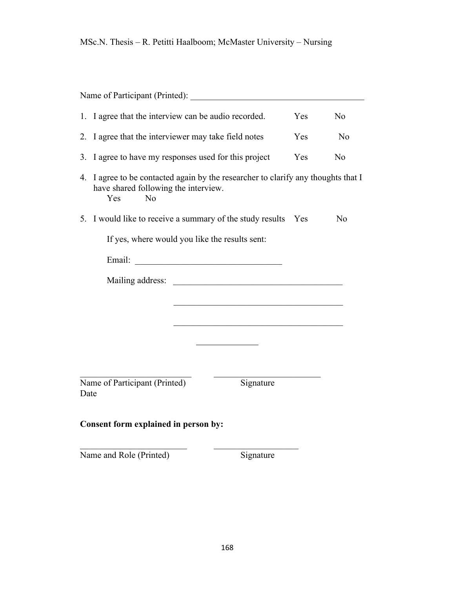| Name of Participant (Printed):                                                                                                                               |                                                                                                                      |     |    |
|--------------------------------------------------------------------------------------------------------------------------------------------------------------|----------------------------------------------------------------------------------------------------------------------|-----|----|
| I agree that the interview can be audio recorded.<br>1.                                                                                                      | N <sub>o</sub>                                                                                                       |     |    |
| I agree that the interviewer may take field notes<br>2.                                                                                                      |                                                                                                                      |     | No |
| I agree to have my responses used for this project<br>Yes<br>3.                                                                                              |                                                                                                                      |     | No |
| I agree to be contacted again by the researcher to clarify any thoughts that I<br>4.<br>have shared following the interview.<br><b>Yes</b><br>N <sub>o</sub> |                                                                                                                      |     |    |
| 5. I would like to receive a summary of the study results                                                                                                    |                                                                                                                      | Yes | No |
| If yes, where would you like the results sent:                                                                                                               |                                                                                                                      |     |    |
| Email:                                                                                                                                                       | <u> 2000 - 2000 - 2000 - 2000 - 2000 - 2000 - 2000 - 2000 - 2000 - 2000 - 2000 - 2000 - 2000 - 2000 - 2000 - 200</u> |     |    |
|                                                                                                                                                              |                                                                                                                      |     |    |
|                                                                                                                                                              |                                                                                                                      |     |    |
|                                                                                                                                                              |                                                                                                                      |     |    |
|                                                                                                                                                              |                                                                                                                      |     |    |
|                                                                                                                                                              |                                                                                                                      |     |    |
| Name of Participant (Printed)<br>Date                                                                                                                        | Signature                                                                                                            |     |    |
| Consent form explained in person by:                                                                                                                         |                                                                                                                      |     |    |
| Name and Role (Printed)                                                                                                                                      | Signature                                                                                                            |     |    |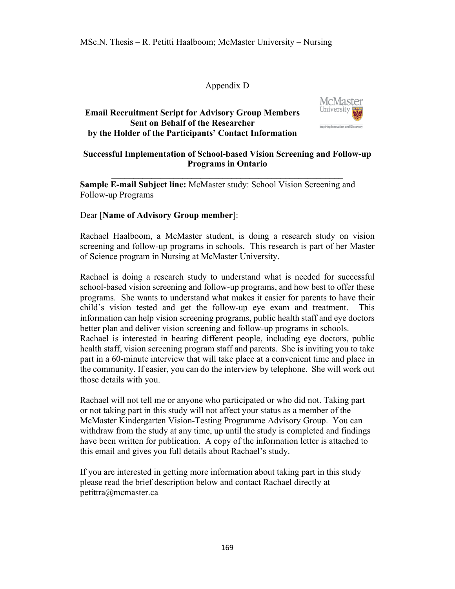## Appendix D

## **Email Recruitment Script for Advisory Group Members Sent on Behalf of the Researcher by the Holder of the Participants' Contact Information**



## **Successful Implementation of School-based Vision Screening and Follow-up Programs in Ontario**

 $\mathcal{L} = \{ \mathcal{L} \}$ 

**Sample E-mail Subject line:** McMaster study: School Vision Screening and Follow-up Programs

## Dear [**Name of Advisory Group member**]:

Rachael Haalboom, a McMaster student, is doing a research study on vision screening and follow-up programs in schools. This research is part of her Master of Science program in Nursing at McMaster University.

Rachael is doing a research study to understand what is needed for successful school-based vision screening and follow-up programs, and how best to offer these programs. She wants to understand what makes it easier for parents to have their child's vision tested and get the follow-up eye exam and treatment. This information can help vision screening programs, public health staff and eye doctors better plan and deliver vision screening and follow-up programs in schools. Rachael is interested in hearing different people, including eye doctors, public

health staff, vision screening program staff and parents. She is inviting you to take part in a 60-minute interview that will take place at a convenient time and place in the community. If easier, you can do the interview by telephone. She will work out those details with you.

Rachael will not tell me or anyone who participated or who did not. Taking part or not taking part in this study will not affect your status as a member of the McMaster Kindergarten Vision-Testing Programme Advisory Group. You can withdraw from the study at any time, up until the study is completed and findings have been written for publication. A copy of the information letter is attached to this email and gives you full details about Rachael's study.

If you are interested in getting more information about taking part in this study please read the brief description below and contact Rachael directly at petittra@mcmaster.ca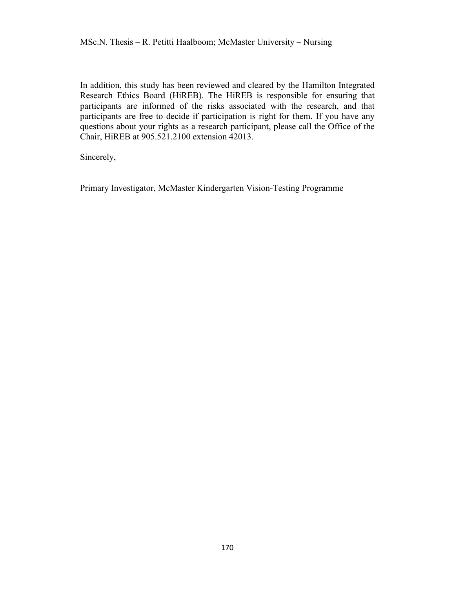In addition, this study has been reviewed and cleared by the Hamilton Integrated Research Ethics Board (HiREB). The HiREB is responsible for ensuring that participants are informed of the risks associated with the research, and that participants are free to decide if participation is right for them. If you have any questions about your rights as a research participant, please call the Office of the Chair, HiREB at 905.521.2100 extension 42013.

Sincerely,

Primary Investigator, McMaster Kindergarten Vision-Testing Programme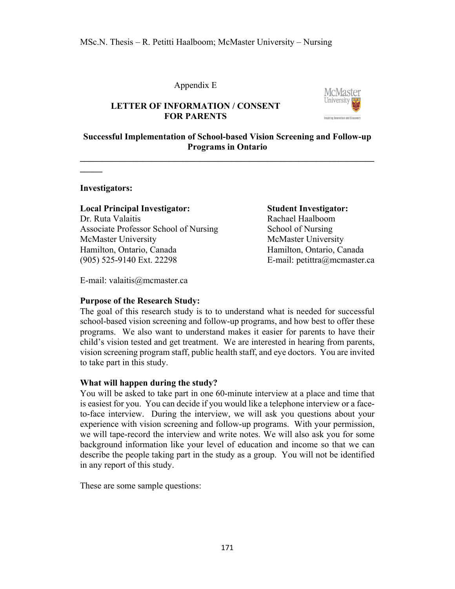## Appendix E



## **LETTER OF INFORMATION / CONSENT FOR PARENTS**

## **Successful Implementation of School-based Vision Screening and Follow-up Programs in Ontario**

**\_\_\_\_\_\_\_\_\_\_\_\_\_\_\_\_\_\_\_\_\_\_\_\_\_\_\_\_\_\_\_\_\_\_\_\_\_\_\_\_\_\_\_\_\_\_\_\_\_\_\_\_\_\_\_\_\_\_\_\_\_\_\_\_\_\_**

**Investigators:** 

**\_\_\_\_\_**

## **Local Principal Investigator: Student Investigator:**

Dr. Ruta Valaitis Rachael Haalboom Associate Professor School of Nursing School of Nursing McMaster University **McMaster University** Hamilton, Ontario, Canada Hamilton, Ontario, Canada (905) 525-9140 Ext. 22298 E-mail: petittra@mcmaster.ca

E-mail: valaitis@mcmaster.ca

## **Purpose of the Research Study:**

The goal of this research study is to to understand what is needed for successful school-based vision screening and follow-up programs, and how best to offer these programs. We also want to understand makes it easier for parents to have their child's vision tested and get treatment. We are interested in hearing from parents, vision screening program staff, public health staff, and eye doctors. You are invited to take part in this study.

## **What will happen during the study?**

You will be asked to take part in one 60-minute interview at a place and time that is easiest for you. You can decide if you would like a telephone interview or a faceto-face interview. During the interview, we will ask you questions about your experience with vision screening and follow-up programs. With your permission, we will tape-record the interview and write notes. We will also ask you for some background information like your level of education and income so that we can describe the people taking part in the study as a group. You will not be identified in any report of this study.

These are some sample questions: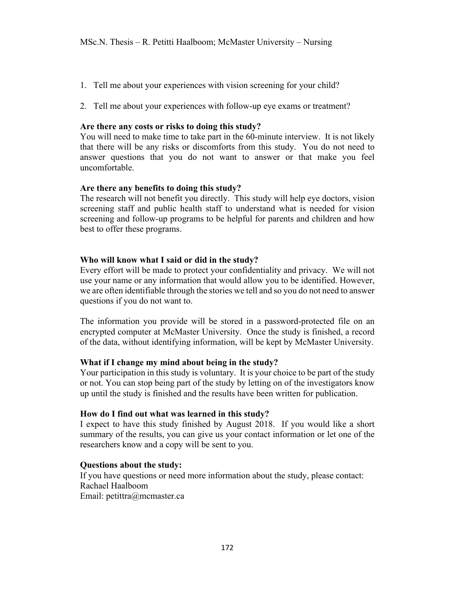- 1. Tell me about your experiences with vision screening for your child?
- 2. Tell me about your experiences with follow-up eye exams or treatment?

## **Are there any costs or risks to doing this study?**

You will need to make time to take part in the 60-minute interview. It is not likely that there will be any risks or discomforts from this study. You do not need to answer questions that you do not want to answer or that make you feel uncomfortable.

## **Are there any benefits to doing this study?**

The research will not benefit you directly. This study will help eye doctors, vision screening staff and public health staff to understand what is needed for vision screening and follow-up programs to be helpful for parents and children and how best to offer these programs.

## **Who will know what I said or did in the study?**

Every effort will be made to protect your confidentiality and privacy. We will not use your name or any information that would allow you to be identified. However, we are often identifiable through the stories we tell and so you do not need to answer questions if you do not want to.

The information you provide will be stored in a password-protected file on an encrypted computer at McMaster University. Once the study is finished, a record of the data, without identifying information, will be kept by McMaster University.

## **What if I change my mind about being in the study?**

Your participation in this study is voluntary. It is your choice to be part of the study or not. You can stop being part of the study by letting on of the investigators know up until the study is finished and the results have been written for publication.

## **How do I find out what was learned in this study?**

I expect to have this study finished by August 2018. If you would like a short summary of the results, you can give us your contact information or let one of the researchers know and a copy will be sent to you.

## **Questions about the study:**

If you have questions or need more information about the study, please contact: Rachael Haalboom Email: petittra@mcmaster.ca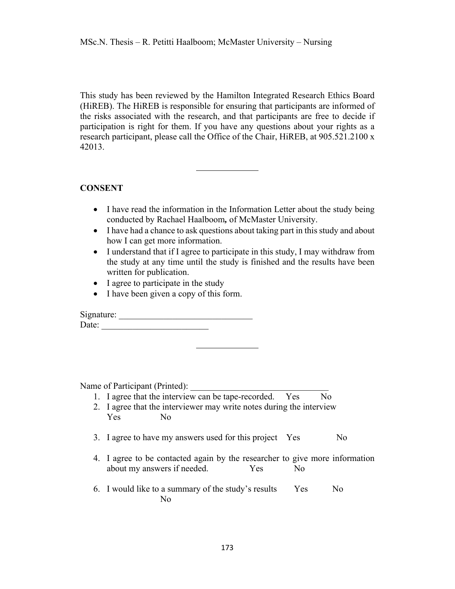This study has been reviewed by the Hamilton Integrated Research Ethics Board (HiREB). The HiREB is responsible for ensuring that participants are informed of the risks associated with the research, and that participants are free to decide if participation is right for them. If you have any questions about your rights as a research participant, please call the Office of the Chair, HiREB, at 905.521.2100 x 42013.

## **CONSENT**

- I have read the information in the Information Letter about the study being conducted by Rachael Haalboom*,* of McMaster University.
- I have had a chance to ask questions about taking part in this study and about how I can get more information.
- I understand that if I agree to participate in this study, I may withdraw from the study at any time until the study is finished and the results have been written for publication.
- I agree to participate in the study
- I have been given a copy of this form.

Signature: \_\_\_\_\_\_\_\_\_\_\_\_\_\_\_\_\_\_\_\_\_\_\_\_\_\_\_\_\_\_ Date: \_\_\_\_\_\_\_\_\_\_\_\_\_\_\_\_\_\_\_\_\_\_\_\_

Name of Participant (Printed):

- 1. I agree that the interview can be tape-recorded. Yes No 2. I agree that the interviewer may write notes during the interview
- Yes No
- 3. I agree to have my answers used for this project Yes No
- 4. I agree to be contacted again by the researcher to give more information about my answers if needed. Yes No
- 6. I would like to a summary of the study's results Yes No No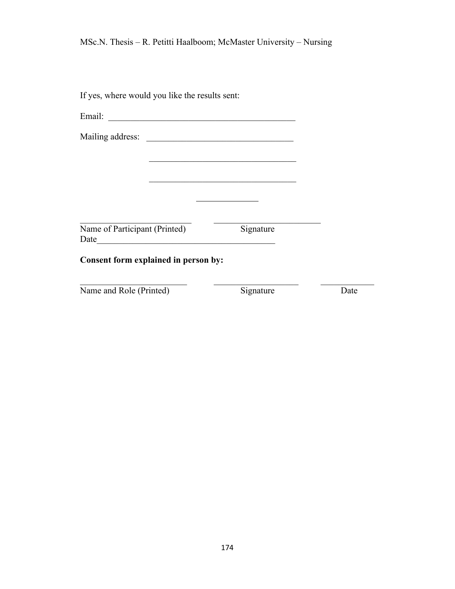| If yes, where would you like the results sent: |                                                                                                                       |      |
|------------------------------------------------|-----------------------------------------------------------------------------------------------------------------------|------|
| Email:                                         | <u> 1980 - Johann Stein, marwolaethau a bhann an t-Amhainn an t-Amhainn an t-Amhainn an t-Amhainn an t-Amhainn an</u> |      |
|                                                |                                                                                                                       |      |
|                                                |                                                                                                                       |      |
|                                                |                                                                                                                       |      |
|                                                |                                                                                                                       |      |
|                                                |                                                                                                                       |      |
| Name of Participant (Printed)                  | Signature                                                                                                             |      |
| Consent form explained in person by:           |                                                                                                                       |      |
| Name and Role (Printed)                        | Signature                                                                                                             | Date |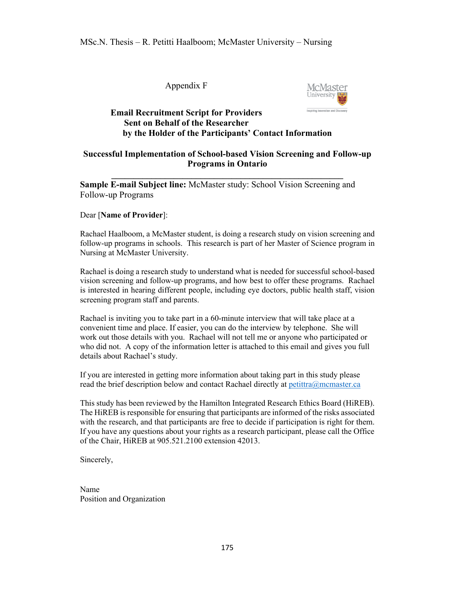Appendix F



## **Email Recruitment Script for Providers Sent on Behalf of the Researcher by the Holder of the Participants' Contact Information**

## **Successful Implementation of School-based Vision Screening and Follow-up Programs in Ontario**

 $\mathcal{L} = \{ \mathcal{L} \}$ 

**Sample E-mail Subject line:** McMaster study: School Vision Screening and Follow-up Programs

#### Dear [**Name of Provider**]:

Rachael Haalboom, a McMaster student, is doing a research study on vision screening and follow-up programs in schools. This research is part of her Master of Science program in Nursing at McMaster University.

Rachael is doing a research study to understand what is needed for successful school-based vision screening and follow-up programs, and how best to offer these programs. Rachael is interested in hearing different people, including eye doctors, public health staff, vision screening program staff and parents.

Rachael is inviting you to take part in a 60-minute interview that will take place at a convenient time and place. If easier, you can do the interview by telephone. She will work out those details with you. Rachael will not tell me or anyone who participated or who did not. A copy of the information letter is attached to this email and gives you full details about Rachael's study.

If you are interested in getting more information about taking part in this study please read the brief description below and contact Rachael directly at petittra@mcmaster.ca

This study has been reviewed by the Hamilton Integrated Research Ethics Board (HiREB). The HiREB is responsible for ensuring that participants are informed of the risks associated with the research, and that participants are free to decide if participation is right for them. If you have any questions about your rights as a research participant, please call the Office of the Chair, HiREB at 905.521.2100 extension 42013.

Sincerely,

Name Position and Organization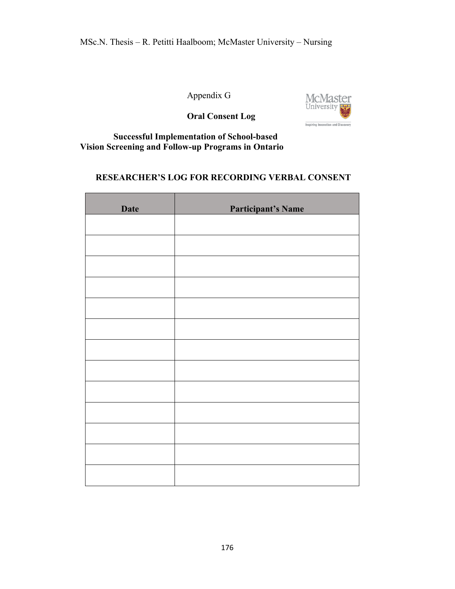Appendix G



**Oral Consent Log**

## **Successful Implementation of School-based Vision Screening and Follow-up Programs in Ontario**

# **RESEARCHER'S LOG FOR RECORDING VERBAL CONSENT**

| <b>Date</b> | <b>Participant's Name</b> |
|-------------|---------------------------|
|             |                           |
|             |                           |
|             |                           |
|             |                           |
|             |                           |
|             |                           |
|             |                           |
|             |                           |
|             |                           |
|             |                           |
|             |                           |
|             |                           |
|             |                           |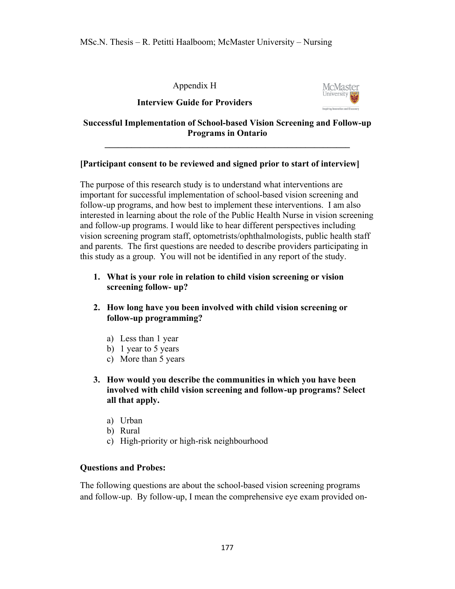Appendix H





## **Successful Implementation of School-based Vision Screening and Follow-up Programs in Ontario**

**\_\_\_\_\_\_\_\_\_\_\_\_\_\_\_\_\_\_\_\_\_\_\_\_\_\_\_\_\_\_\_\_\_\_\_\_\_\_\_\_\_\_\_\_\_\_\_\_\_\_\_\_\_\_\_**

## **[Participant consent to be reviewed and signed prior to start of interview]**

The purpose of this research study is to understand what interventions are important for successful implementation of school-based vision screening and follow-up programs, and how best to implement these interventions. I am also interested in learning about the role of the Public Health Nurse in vision screening and follow-up programs. I would like to hear different perspectives including vision screening program staff, optometrists/ophthalmologists, public health staff and parents. The first questions are needed to describe providers participating in this study as a group. You will not be identified in any report of the study.

- **1. What is your role in relation to child vision screening or vision screening follow- up?**
- **2. How long have you been involved with child vision screening or follow-up programming?**
	- a) Less than 1 year
	- b) 1 year to 5 years
	- c) More than 5 years
- **3. How would you describe the communities in which you have been involved with child vision screening and follow-up programs? Select all that apply.** 
	- a) Urban
	- b) Rural
	- c) High-priority or high-risk neighbourhood

## **Questions and Probes:**

The following questions are about the school-based vision screening programs and follow-up. By follow-up, I mean the comprehensive eye exam provided on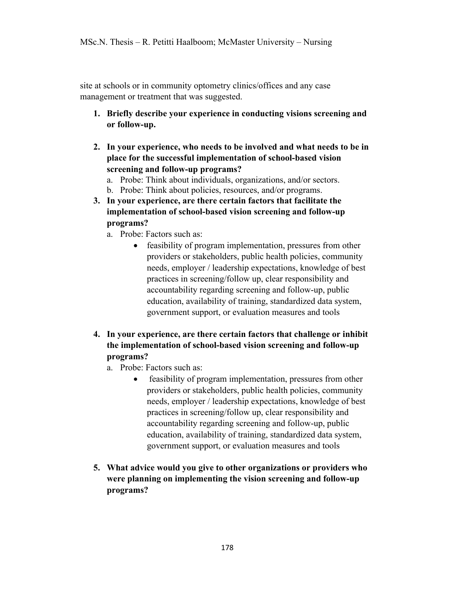site at schools or in community optometry clinics/offices and any case management or treatment that was suggested.

- **1. Briefly describe your experience in conducting visions screening and or follow-up.**
- **2. In your experience, who needs to be involved and what needs to be in place for the successful implementation of school-based vision screening and follow-up programs?**
	- a. Probe: Think about individuals, organizations, and/or sectors.
	- b. Probe: Think about policies, resources, and/or programs.
- **3. In your experience, are there certain factors that facilitate the implementation of school-based vision screening and follow-up programs?**
	- a. Probe: Factors such as:
		- feasibility of program implementation, pressures from other providers or stakeholders, public health policies, community needs, employer / leadership expectations, knowledge of best practices in screening/follow up, clear responsibility and accountability regarding screening and follow-up, public education, availability of training, standardized data system, government support, or evaluation measures and tools
- **4. In your experience, are there certain factors that challenge or inhibit the implementation of school-based vision screening and follow-up programs?**
	- a. Probe: Factors such as:
		- feasibility of program implementation, pressures from other providers or stakeholders, public health policies, community needs, employer / leadership expectations, knowledge of best practices in screening/follow up, clear responsibility and accountability regarding screening and follow-up, public education, availability of training, standardized data system, government support, or evaluation measures and tools
- **5. What advice would you give to other organizations or providers who were planning on implementing the vision screening and follow-up programs?**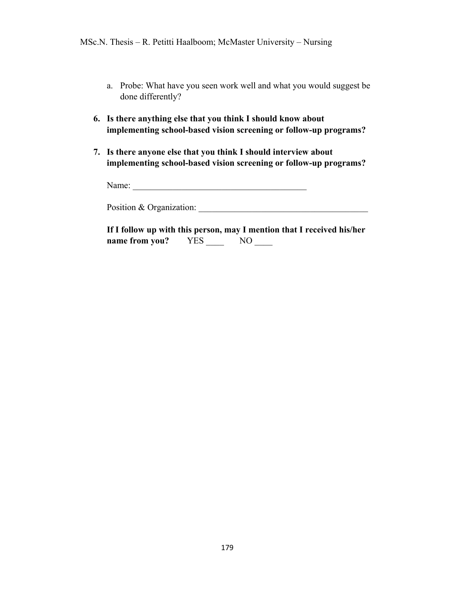- a. Probe: What have you seen work well and what you would suggest be done differently?
- **6. Is there anything else that you think I should know about implementing school-based vision screening or follow-up programs?**
- **7. Is there anyone else that you think I should interview about implementing school-based vision screening or follow-up programs?**

Name: \_\_\_\_\_\_\_\_\_\_\_\_\_\_\_\_\_\_\_\_\_\_\_\_\_\_\_\_\_\_\_\_\_\_\_\_\_\_\_

Position & Organization: \_\_\_\_\_\_\_\_\_\_\_\_\_\_\_\_\_\_\_\_\_\_\_\_\_\_\_\_\_\_\_\_\_\_\_\_\_\_

|                |     | If I follow up with this person, may I mention that I received his/her |
|----------------|-----|------------------------------------------------------------------------|
| name from you? | YES | NO.                                                                    |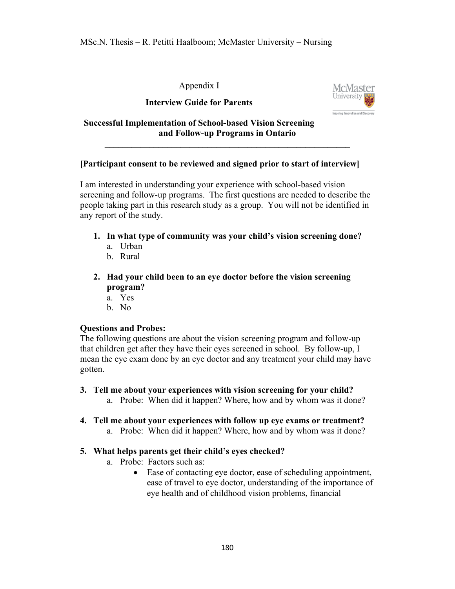Appendix I

**Interview Guide for Parents**



**Successful Implementation of School-based Vision Screening and Follow-up Programs in Ontario** 

## **[Participant consent to be reviewed and signed prior to start of interview]**

**\_\_\_\_\_\_\_\_\_\_\_\_\_\_\_\_\_\_\_\_\_\_\_\_\_\_\_\_\_\_\_\_\_\_\_\_\_\_\_\_\_\_\_\_\_\_\_\_\_\_\_\_\_\_\_**

I am interested in understanding your experience with school-based vision screening and follow-up programs. The first questions are needed to describe the people taking part in this research study as a group. You will not be identified in any report of the study.

- **1. In what type of community was your child's vision screening done?** 
	- a. Urban
	- b. Rural
- **2. Had your child been to an eye doctor before the vision screening program?**
	- a. Yes
	- b. No

## **Questions and Probes:**

The following questions are about the vision screening program and follow-up that children get after they have their eyes screened in school. By follow-up, I mean the eye exam done by an eye doctor and any treatment your child may have gotten.

- **3. Tell me about your experiences with vision screening for your child?** 
	- a. Probe: When did it happen? Where, how and by whom was it done?
- **4. Tell me about your experiences with follow up eye exams or treatment?**
	- a. Probe: When did it happen? Where, how and by whom was it done?

## **5. What helps parents get their child's eyes checked?**

- a. Probe: Factors such as:
	- Ease of contacting eye doctor, ease of scheduling appointment, ease of travel to eye doctor, understanding of the importance of eye health and of childhood vision problems, financial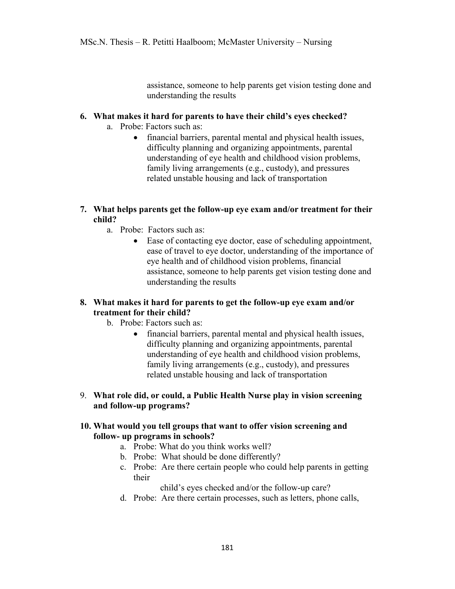assistance, someone to help parents get vision testing done and understanding the results

## **6. What makes it hard for parents to have their child's eyes checked?**

- a. Probe: Factors such as:
	- financial barriers, parental mental and physical health issues, difficulty planning and organizing appointments, parental understanding of eye health and childhood vision problems, family living arrangements (e.g., custody), and pressures related unstable housing and lack of transportation
- **7. What helps parents get the follow-up eye exam and/or treatment for their child?**
	- a. Probe: Factors such as:
		- Ease of contacting eye doctor, ease of scheduling appointment, ease of travel to eye doctor, understanding of the importance of eye health and of childhood vision problems, financial assistance, someone to help parents get vision testing done and understanding the results

## **8. What makes it hard for parents to get the follow-up eye exam and/or treatment for their child?**

- b. Probe: Factors such as:
	- financial barriers, parental mental and physical health issues, difficulty planning and organizing appointments, parental understanding of eye health and childhood vision problems, family living arrangements (e.g., custody), and pressures related unstable housing and lack of transportation
- 9. **What role did, or could, a Public Health Nurse play in vision screening and follow-up programs?**

## **10. What would you tell groups that want to offer vision screening and follow- up programs in schools?**

- a. Probe: What do you think works well?
- b. Probe: What should be done differently?
- c. Probe: Are there certain people who could help parents in getting their

child's eyes checked and/or the follow-up care?

d. Probe: Are there certain processes, such as letters, phone calls,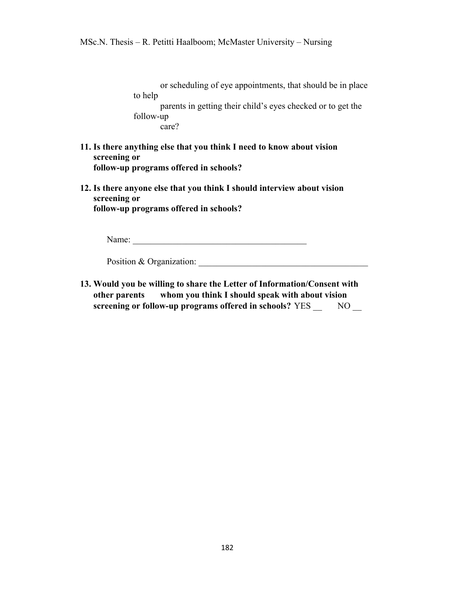or scheduling of eye appointments, that should be in place to help parents in getting their child's eyes checked or to get the follow-up care?

- **11. Is there anything else that you think I need to know about vision screening or follow-up programs offered in schools?**
- **12. Is there anyone else that you think I should interview about vision screening or follow-up programs offered in schools?**

Name: \_\_\_\_\_\_\_\_\_\_\_\_\_\_\_\_\_\_\_\_\_\_\_\_\_\_\_\_\_\_\_\_\_\_\_\_\_\_\_

Position & Organization:

**13. Would you be willing to share the Letter of Information/Consent with other parents whom you think I should speak with about vision screening or follow-up programs offered in schools?** YES \_\_ NO \_\_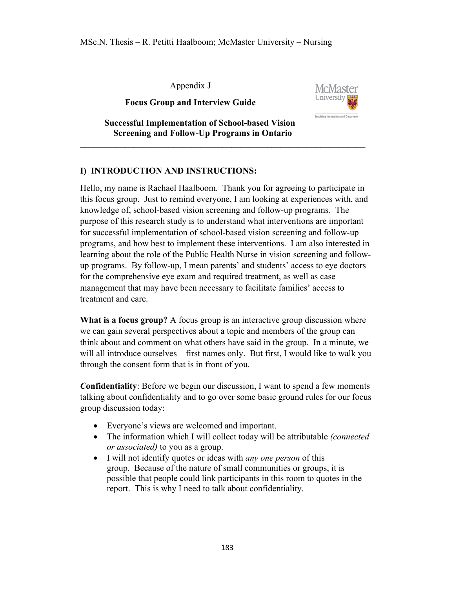Appendix J

**Focus Group and Interview Guide** 



 **Successful Implementation of School-based Vision Screening and Follow-Up Programs in Ontario**

## **I) INTRODUCTION AND INSTRUCTIONS:**

Hello, my name is Rachael Haalboom. Thank you for agreeing to participate in this focus group. Just to remind everyone, I am looking at experiences with, and knowledge of, school-based vision screening and follow-up programs. The purpose of this research study is to understand what interventions are important for successful implementation of school-based vision screening and follow-up programs, and how best to implement these interventions. I am also interested in learning about the role of the Public Health Nurse in vision screening and followup programs. By follow-up, I mean parents' and students' access to eye doctors for the comprehensive eye exam and required treatment, as well as case management that may have been necessary to facilitate families' access to treatment and care.

**\_\_\_\_\_\_\_\_\_\_\_\_\_\_\_\_\_\_\_\_\_\_\_\_\_\_\_\_\_\_\_\_\_\_\_\_\_\_\_\_\_\_\_\_\_\_\_\_\_\_\_\_\_\_\_\_\_\_\_\_\_\_\_\_**

**What is a focus group?** A focus group is an interactive group discussion where we can gain several perspectives about a topic and members of the group can think about and comment on what others have said in the group. In a minute, we will all introduce ourselves – first names only. But first, I would like to walk you through the consent form that is in front of you.

*C***onfidentiality**: Before we begin our discussion, I want to spend a few moments talking about confidentiality and to go over some basic ground rules for our focus group discussion today:

- Everyone's views are welcomed and important.
- The information which I will collect today will be attributable *(connected or associated)* to you as a group.
- I will not identify quotes or ideas with *any one person* of this group. Because of the nature of small communities or groups, it is possible that people could link participants in this room to quotes in the report. This is why I need to talk about confidentiality.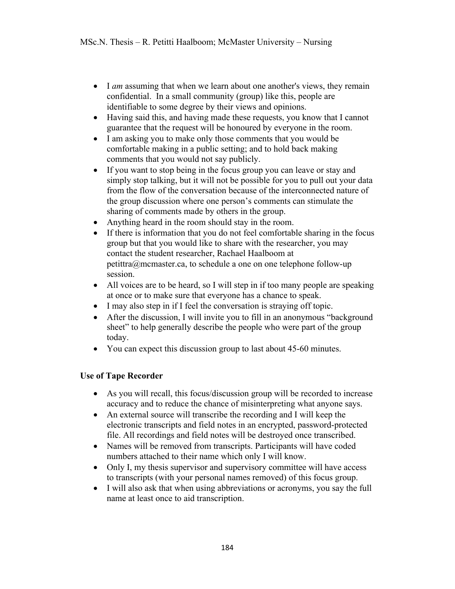- I *am* assuming that when we learn about one another's views, they remain confidential. In a small community (group) like this, people are identifiable to some degree by their views and opinions.
- Having said this, and having made these requests, you know that I cannot guarantee that the request will be honoured by everyone in the room.
- I am asking you to make only those comments that you would be comfortable making in a public setting; and to hold back making comments that you would not say publicly.
- If you want to stop being in the focus group you can leave or stay and simply stop talking, but it will not be possible for you to pull out your data from the flow of the conversation because of the interconnected nature of the group discussion where one person's comments can stimulate the sharing of comments made by others in the group.
- Anything heard in the room should stay in the room.
- If there is information that you do not feel comfortable sharing in the focus group but that you would like to share with the researcher, you may contact the student researcher, Rachael Haalboom at petittra@mcmaster.ca, to schedule a one on one telephone follow-up session.
- All voices are to be heard, so I will step in if too many people are speaking at once or to make sure that everyone has a chance to speak.
- I may also step in if I feel the conversation is straying off topic.
- After the discussion, I will invite you to fill in an anonymous "background" sheet" to help generally describe the people who were part of the group today.
- You can expect this discussion group to last about 45-60 minutes.

## **Use of Tape Recorder**

- As you will recall, this focus/discussion group will be recorded to increase accuracy and to reduce the chance of misinterpreting what anyone says.
- An external source will transcribe the recording and I will keep the electronic transcripts and field notes in an encrypted, password-protected file. All recordings and field notes will be destroyed once transcribed.
- Names will be removed from transcripts. Participants will have coded numbers attached to their name which only I will know.
- Only I, my thesis supervisor and supervisory committee will have access to transcripts (with your personal names removed) of this focus group.
- I will also ask that when using abbreviations or acronyms, you say the full name at least once to aid transcription.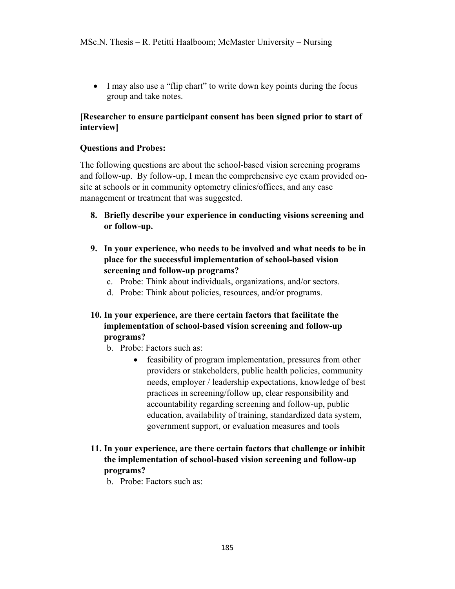• I may also use a "flip chart" to write down key points during the focus group and take notes.

## **[Researcher to ensure participant consent has been signed prior to start of interview]**

## **Questions and Probes:**

The following questions are about the school-based vision screening programs and follow-up. By follow-up, I mean the comprehensive eye exam provided onsite at schools or in community optometry clinics/offices, and any case management or treatment that was suggested.

- **8. Briefly describe your experience in conducting visions screening and or follow-up.**
- **9. In your experience, who needs to be involved and what needs to be in place for the successful implementation of school-based vision screening and follow-up programs?**
	- c. Probe: Think about individuals, organizations, and/or sectors.
	- d. Probe: Think about policies, resources, and/or programs.
- **10. In your experience, are there certain factors that facilitate the implementation of school-based vision screening and follow-up programs?**
	- b. Probe: Factors such as:
		- feasibility of program implementation, pressures from other providers or stakeholders, public health policies, community needs, employer / leadership expectations, knowledge of best practices in screening/follow up, clear responsibility and accountability regarding screening and follow-up, public education, availability of training, standardized data system, government support, or evaluation measures and tools

## **11. In your experience, are there certain factors that challenge or inhibit the implementation of school-based vision screening and follow-up programs?**

b. Probe: Factors such as: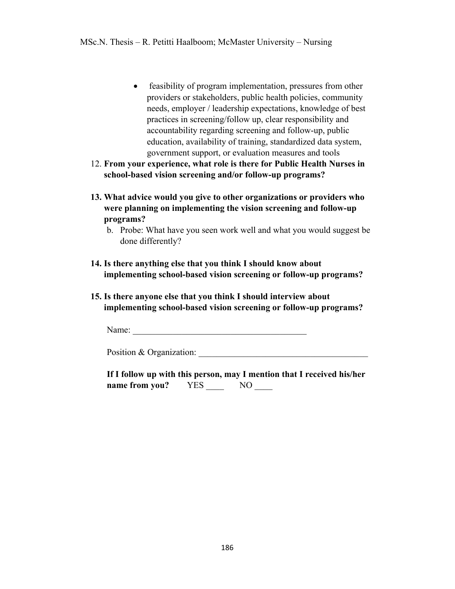- feasibility of program implementation, pressures from other providers or stakeholders, public health policies, community needs, employer / leadership expectations, knowledge of best practices in screening/follow up, clear responsibility and accountability regarding screening and follow-up, public education, availability of training, standardized data system, government support, or evaluation measures and tools
- 12. **From your experience, what role is there for Public Health Nurses in school-based vision screening and/or follow-up programs?**
- **13. What advice would you give to other organizations or providers who were planning on implementing the vision screening and follow-up programs?**

- **14. Is there anything else that you think I should know about implementing school-based vision screening or follow-up programs?**
- **15. Is there anyone else that you think I should interview about implementing school-based vision screening or follow-up programs?**

Name:

Position & Organization:

|                |            | If I follow up with this person, may I mention that I received his/her |
|----------------|------------|------------------------------------------------------------------------|
| name from you? | <b>YES</b> | NO.                                                                    |

b. Probe: What have you seen work well and what you would suggest be done differently?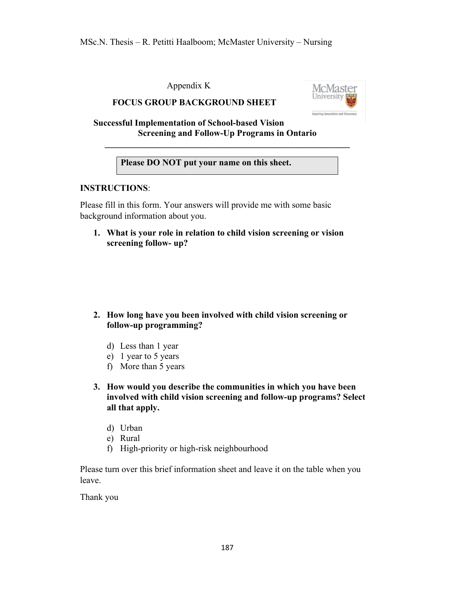Appendix K





**Successful Implementation of School-based Vision Screening and Follow-Up Programs in Ontario**

**Please DO NOT put your name on this sheet.**

**\_\_\_\_\_\_\_\_\_\_\_\_\_\_\_\_\_\_\_\_\_\_\_\_\_\_\_\_\_\_\_\_\_\_\_\_\_\_\_\_\_\_\_\_\_\_\_\_\_\_\_\_\_\_\_**

## **INSTRUCTIONS**:

Please fill in this form. Your answers will provide me with some basic background information about you.

**1. What is your role in relation to child vision screening or vision screening follow- up?**

- **2. How long have you been involved with child vision screening or follow-up programming?**
	- d) Less than 1 year
	- e) 1 year to 5 years
	- f) More than 5 years
- **3. How would you describe the communities in which you have been involved with child vision screening and follow-up programs? Select all that apply.** 
	- d) Urban
	- e) Rural
	- f) High-priority or high-risk neighbourhood

Please turn over this brief information sheet and leave it on the table when you leave.

Thank you